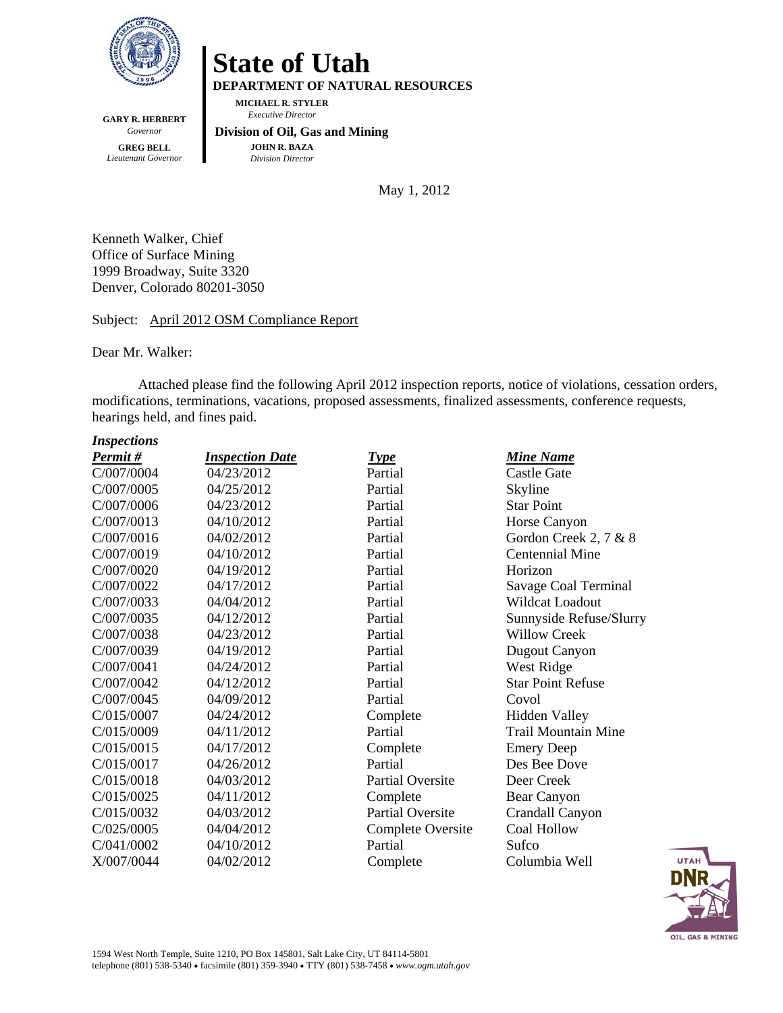

**State of Utah** 

**DEPARTMENT OF NATURAL RESOURCES** 

**MICHAEL R. STYLER**   *Executive Director* 

**GARY R. HERBERT**  *Governor*  **GREG BELL**  *Lieutenant Governor* 

 **Division of Oil, Gas and Mining JOHN R. BAZA**  *Division Director*

May 1, 2012

Kenneth Walker, Chief Office of Surface Mining 1999 Broadway, Suite 3320 Denver, Colorado 80201-3050

Subject: April 2012 OSM Compliance Report

Dear Mr. Walker:

*Inspections* 

Attached please find the following April 2012 inspection reports, notice of violations, cessation orders, modifications, terminations, vacations, proposed assessments, finalized assessments, conference requests, hearings held, and fines paid.

|            |                                                    | <b>Mine Name</b>           |
|------------|----------------------------------------------------|----------------------------|
|            |                                                    | <b>Castle Gate</b>         |
|            | Partial                                            | Skyline                    |
| 04/23/2012 | Partial                                            | <b>Star Point</b>          |
| 04/10/2012 | Partial                                            | Horse Canyon               |
| 04/02/2012 | Partial                                            | Gordon Creek 2, 7 & 8      |
| 04/10/2012 | Partial                                            | <b>Centennial Mine</b>     |
| 04/19/2012 | Partial                                            | Horizon                    |
| 04/17/2012 | Partial                                            | Savage Coal Terminal       |
| 04/04/2012 | Partial                                            | <b>Wildcat Loadout</b>     |
| 04/12/2012 | Partial                                            | Sunnyside Refuse/Slurry    |
| 04/23/2012 | Partial                                            | <b>Willow Creek</b>        |
| 04/19/2012 | Partial                                            | Dugout Canyon              |
| 04/24/2012 | Partial                                            | West Ridge                 |
| 04/12/2012 | Partial                                            | <b>Star Point Refuse</b>   |
| 04/09/2012 | Partial                                            | Covol                      |
| 04/24/2012 | Complete                                           | <b>Hidden Valley</b>       |
| 04/11/2012 | Partial                                            | <b>Trail Mountain Mine</b> |
| 04/17/2012 | Complete                                           | <b>Emery Deep</b>          |
| 04/26/2012 | Partial                                            | Des Bee Dove               |
| 04/03/2012 | <b>Partial Oversite</b>                            | Deer Creek                 |
| 04/11/2012 | Complete                                           | Bear Canyon                |
| 04/03/2012 | <b>Partial Oversite</b>                            | Crandall Canyon            |
| 04/04/2012 | Complete Oversite                                  | Coal Hollow                |
| 04/10/2012 | Partial                                            | Sufco                      |
| 04/02/2012 | Complete                                           | Columbia Well              |
|            | <b>Inspection Date</b><br>04/23/2012<br>04/25/2012 | <b>Type</b><br>Partial     |

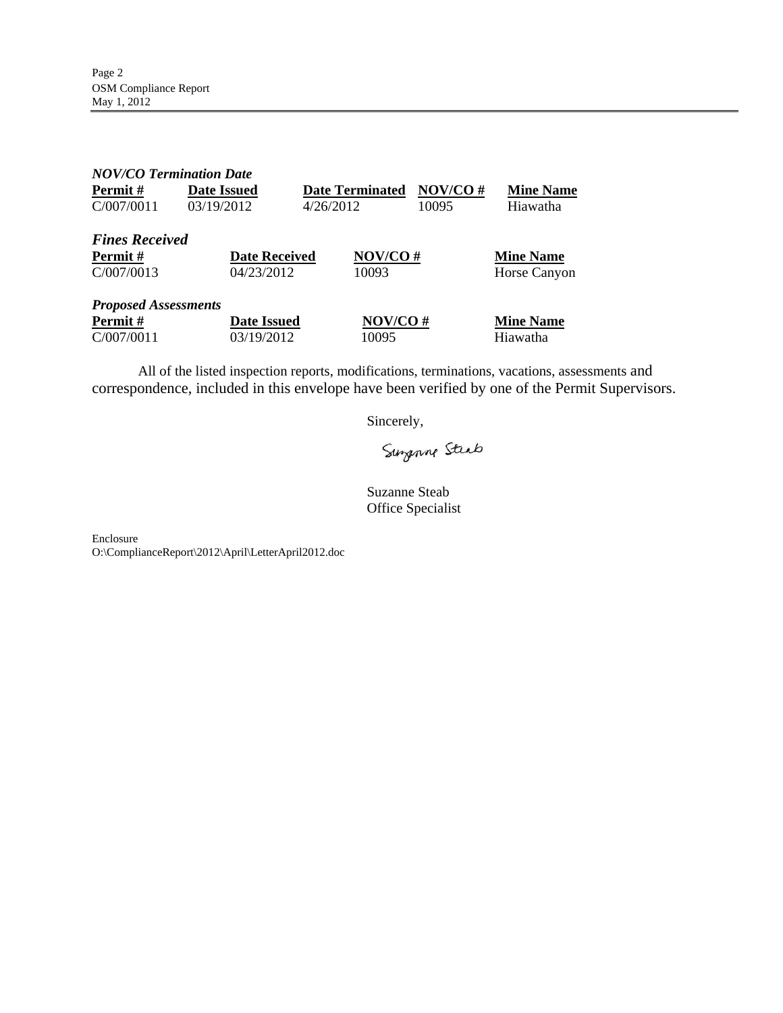| <b>NOV/CO Termination Date</b>                 |                                    |                        |            |                                  |
|------------------------------------------------|------------------------------------|------------------------|------------|----------------------------------|
| Permit#                                        | <b>Date Issued</b>                 | <b>Date Terminated</b> | $NOV/CO$ # | <b>Mine Name</b>                 |
| C/007/0011                                     | 03/19/2012                         | 4/26/2012              | 10095      | Hiawatha                         |
| <b>Fines Received</b><br>Permit#<br>C/007/0013 | <b>Date Received</b><br>04/23/2012 | NOV/CO#<br>10093       |            | <b>Mine Name</b><br>Horse Canyon |
| <b>Proposed Assessments</b>                    |                                    |                        |            |                                  |
| Permit#                                        | <b>Date Issued</b>                 | NOV/CO#                |            | <b>Mine Name</b>                 |
| C/007/0011                                     | 03/19/2012                         | 10095                  |            | Hiawatha                         |

All of the listed inspection reports, modifications, terminations, vacations, assessments and correspondence, included in this envelope have been verified by one of the Permit Supervisors.

Sincerely,

Surgenne Steab

Suzanne Steab Office Specialist

Enclosure O:\ComplianceReport\2012\April\LetterApril2012.doc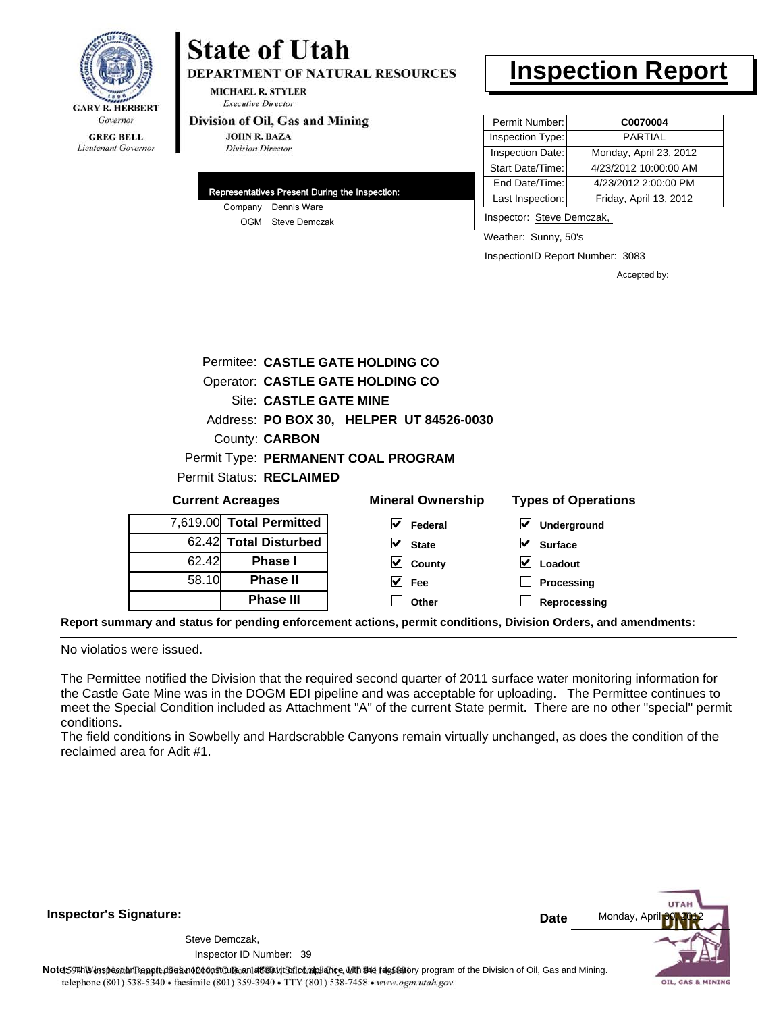

# **State of Utah**

**DEPARTMENT OF NATURAL RESOURCES** 

**MICHAEL R. STYLER Executive Director** 

### Division of Oil, Gas and Mining

**Phase III**

**JOHN R. BAZA Division Director** 

|  | Representatives Present During the Inspection: |
|--|------------------------------------------------|
|  | Company Dennis Ware                            |
|  | OGM Steve Demczak                              |

# **Inspection Report**

| Permit Number:   | C0070004               |
|------------------|------------------------|
| Inspection Type: | PARTIAI                |
| Inspection Date: | Monday, April 23, 2012 |
| Start Date/Time: | 4/23/2012 10:00:00 AM  |
| End Date/Time:   | 4/23/2012 2:00:00 PM   |
| Last Inspection: | Friday, April 13, 2012 |

Inspector: Steve Demczak,

Weather: Sunny, 50's

InspectionID Report Number: 3083

**Reprocessing**

Accepted by:

|       | Permitee: CASTLE GATE HOLDING CO |                                          |                            |  |  |  |
|-------|----------------------------------|------------------------------------------|----------------------------|--|--|--|
|       |                                  | Operator: CASTLE GATE HOLDING CO         |                            |  |  |  |
|       | <b>Site: CASTLE GATE MINE</b>    |                                          |                            |  |  |  |
|       |                                  | Address: PO BOX 30, HELPER UT 84526-0030 |                            |  |  |  |
|       | County: <b>CARBON</b>            |                                          |                            |  |  |  |
|       |                                  | Permit Type: PERMANENT COAL PROGRAM      |                            |  |  |  |
|       | Permit Status: RECLAIMED         |                                          |                            |  |  |  |
|       | <b>Current Acreages</b>          | <b>Mineral Ownership</b>                 | <b>Types of Operations</b> |  |  |  |
|       | 7,619.00 Total Permitted         | M<br>Federal                             | V<br>Underground           |  |  |  |
|       | 62.42 Total Disturbed            | V<br><b>State</b>                        | V<br><b>Surface</b>        |  |  |  |
| 62.42 | <b>Phase I</b>                   | V<br>County                              | Loadout                    |  |  |  |
| 58.10 | <b>Phase II</b>                  | <b>Fee</b>                               | Processing                 |  |  |  |

**Other**

**Report summary and status for pending enforcement actions, permit conditions, Division Orders, and amendments:**

No violatios were issued.

The Permittee notified the Division that the required second quarter of 2011 surface water monitoring information for the Castle Gate Mine was in the DOGM EDI pipeline and was acceptable for uploading. The Permittee continues to meet the Special Condition included as Attachment "A" of the current State permit. There are no other "special" permit conditions.

The field conditions in Sowbelly and Hardscrabble Canyons remain virtually unchanged, as does the condition of the reclaimed area for Adit #1.

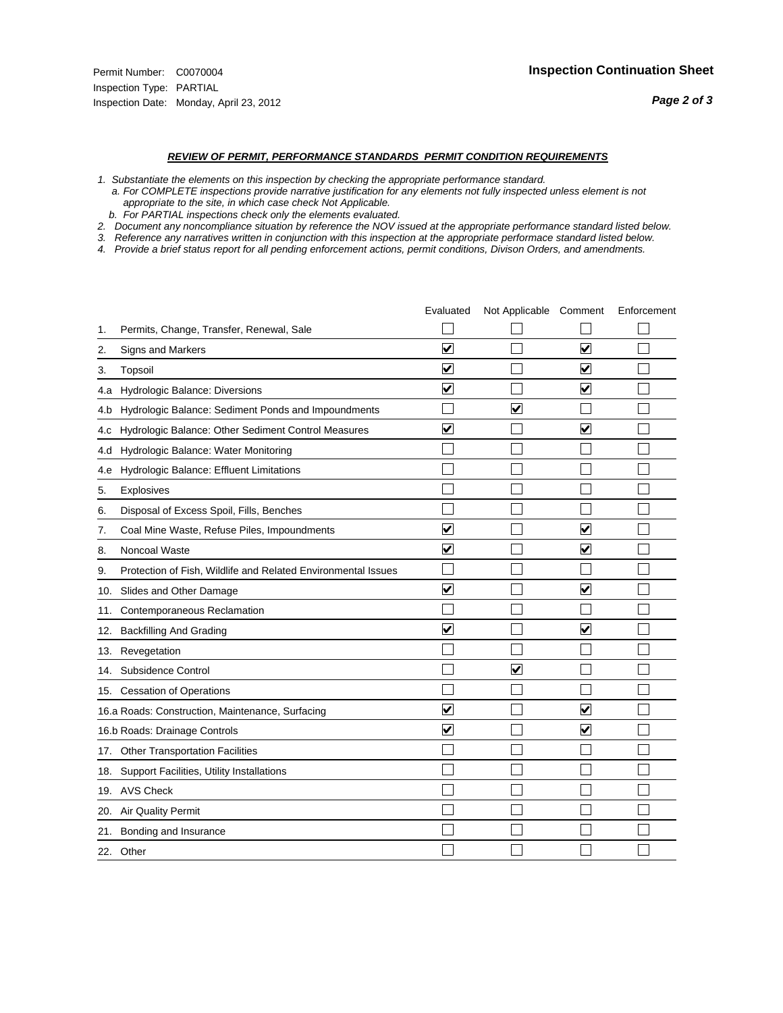- *1. Substantiate the elements on this inspection by checking the appropriate performance standard.*
- *a. For COMPLETE inspections provide narrative justification for any elements not fully inspected unless element is not appropriate to the site, in which case check Not Applicable.*
- *b. For PARTIAL inspections check only the elements evaluated.*
- *2. Document any noncompliance situation by reference the NOV issued at the appropriate performance standard listed below.*
- *3. Reference any narratives written in conjunction with this inspection at the appropriate performace standard listed below.*
- *4. Provide a brief status report for all pending enforcement actions, permit conditions, Divison Orders, and amendments.*

|     |                                                               | Evaluated               | Not Applicable Comment  |                         | Enforcement |
|-----|---------------------------------------------------------------|-------------------------|-------------------------|-------------------------|-------------|
| 1.  | Permits, Change, Transfer, Renewal, Sale                      |                         |                         |                         |             |
| 2.  | <b>Signs and Markers</b>                                      | $\overline{\mathbf{v}}$ |                         | $\overline{\mathbf{v}}$ |             |
| 3.  | Topsoil                                                       | $\overline{\mathbf{v}}$ |                         | $\overline{\mathbf{v}}$ |             |
| 4.a | Hydrologic Balance: Diversions                                | ⊽                       |                         | $\blacktriangledown$    |             |
| 4.b | Hydrologic Balance: Sediment Ponds and Impoundments           |                         | $\overline{\mathsf{v}}$ |                         |             |
| 4.C | Hydrologic Balance: Other Sediment Control Measures           | $\overline{\mathbf{v}}$ |                         | $\blacktriangledown$    |             |
| 4.d | Hydrologic Balance: Water Monitoring                          |                         |                         |                         |             |
| 4.e | Hydrologic Balance: Effluent Limitations                      |                         |                         |                         |             |
| 5.  | <b>Explosives</b>                                             |                         |                         |                         |             |
| 6.  | Disposal of Excess Spoil, Fills, Benches                      |                         |                         |                         |             |
| 7.  | Coal Mine Waste, Refuse Piles, Impoundments                   | $\overline{\mathbf{v}}$ |                         | $\overline{\mathbf{v}}$ |             |
| 8.  | Noncoal Waste                                                 | $\overline{\mathbf{v}}$ |                         | ☑                       |             |
| 9.  | Protection of Fish, Wildlife and Related Environmental Issues |                         |                         |                         |             |
| 10. | Slides and Other Damage                                       | ⊽                       |                         | ⊽                       |             |
| 11. | Contemporaneous Reclamation                                   |                         |                         |                         |             |
| 12. | <b>Backfilling And Grading</b>                                | $\overline{\mathbf{v}}$ |                         | $\blacktriangledown$    |             |
| 13. | Revegetation                                                  |                         |                         |                         |             |
| 14. | Subsidence Control                                            |                         | $\overline{\mathbf{v}}$ |                         |             |
|     | 15. Cessation of Operations                                   |                         |                         |                         |             |
|     | 16.a Roads: Construction, Maintenance, Surfacing              | ⊻                       |                         | V                       |             |
|     | 16.b Roads: Drainage Controls                                 | ⊽                       |                         | $\blacktriangledown$    |             |
|     | 17. Other Transportation Facilities                           |                         |                         |                         |             |
| 18. | Support Facilities, Utility Installations                     |                         |                         |                         |             |
|     | 19. AVS Check                                                 |                         |                         |                         |             |
| 20. | <b>Air Quality Permit</b>                                     |                         |                         |                         |             |
|     | 21. Bonding and Insurance                                     |                         |                         |                         |             |
|     | 22. Other                                                     |                         |                         |                         |             |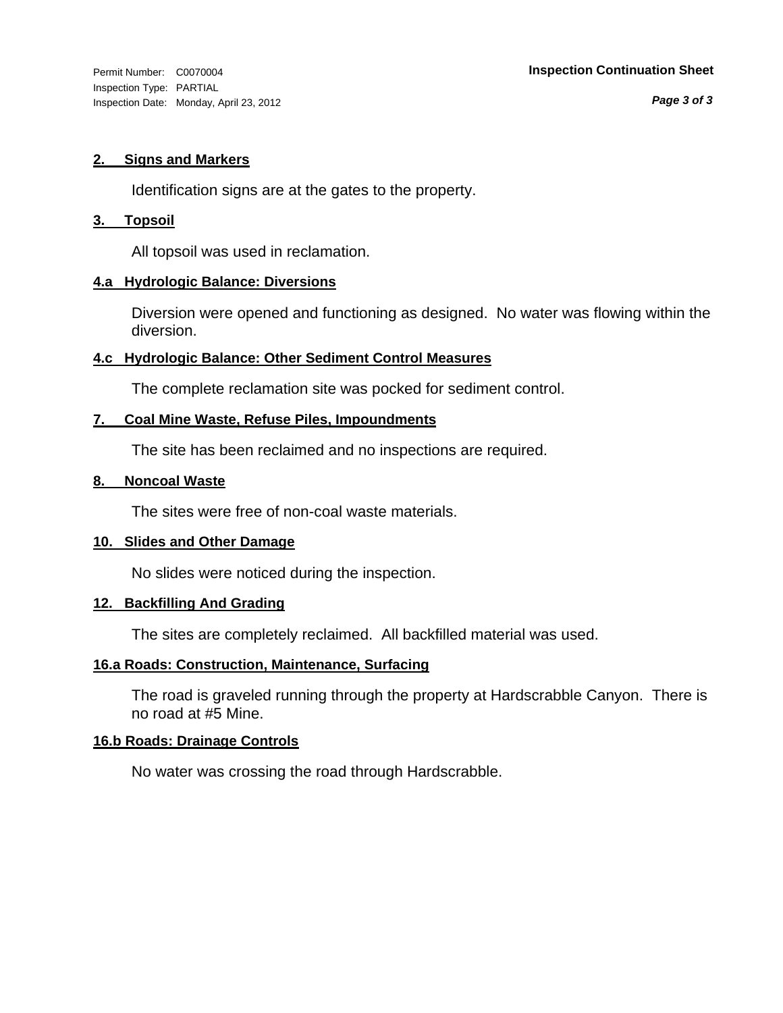Inspection Type: PARTIAL Inspection Date: Monday, April 23, 2012

*Page 3 of 3*

# **2. Signs and Markers**

Identification signs are at the gates to the property.

# **3. Topsoil**

All topsoil was used in reclamation.

# **4.a Hydrologic Balance: Diversions**

Diversion were opened and functioning as designed. No water was flowing within the diversion.

# **4.c Hydrologic Balance: Other Sediment Control Measures**

The complete reclamation site was pocked for sediment control.

# **7. Coal Mine Waste, Refuse Piles, Impoundments**

The site has been reclaimed and no inspections are required.

## **8. Noncoal Waste**

The sites were free of non-coal waste materials.

# **10. Slides and Other Damage**

No slides were noticed during the inspection.

# **12. Backfilling And Grading**

The sites are completely reclaimed. All backfilled material was used.

# **16.a Roads: Construction, Maintenance, Surfacing**

The road is graveled running through the property at Hardscrabble Canyon. There is no road at #5 Mine.

## **16.b Roads: Drainage Controls**

No water was crossing the road through Hardscrabble.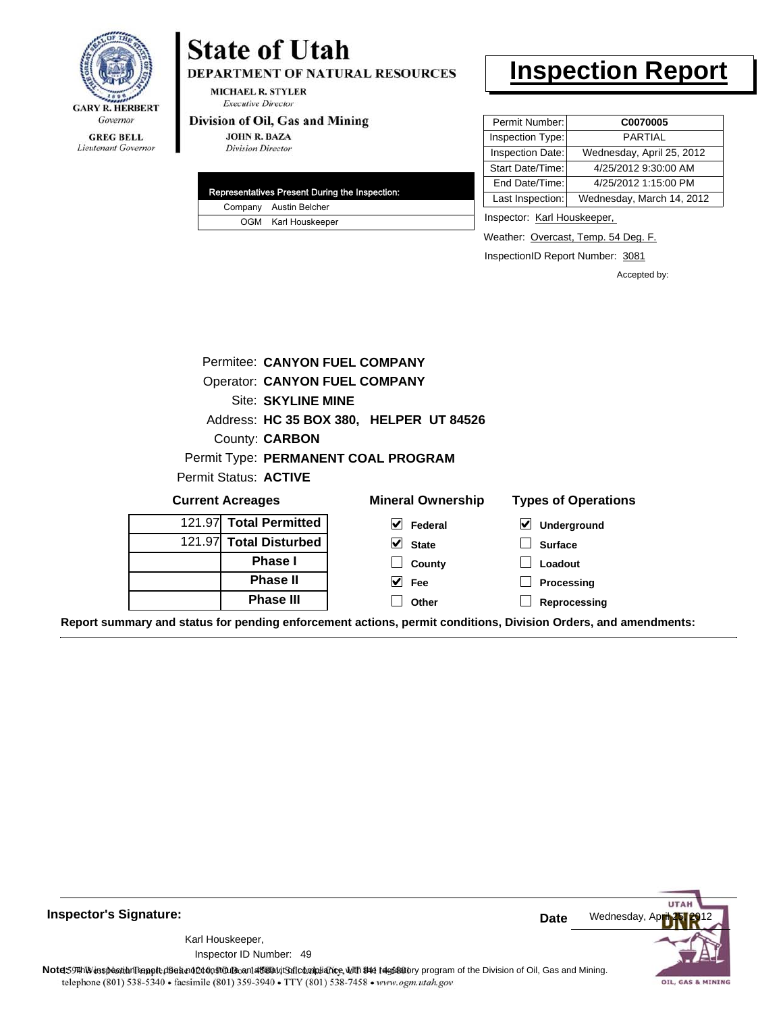

Lieutenant Governor

# **State of Utah**

DEPARTMENT OF NATURAL RESOURCES

**MICHAEL R. STYLER Executive Director** 

# Division of Oil, Gas and Mining

**JOHN R. BAZA Division Director** 

| Representatives Present During the Inspection: |
|------------------------------------------------|
| Company Austin Belcher                         |
| OGM Karl Houskeeper                            |

# **Inspection Report**

| Permit Number:   | C0070005                  |
|------------------|---------------------------|
| Inspection Type: | PARTIAL                   |
| Inspection Date: | Wednesday, April 25, 2012 |
| Start Date/Time: | 4/25/2012 9:30:00 AM      |
| End Date/Time:   | 4/25/2012 1:15:00 PM      |
| Last Inspection: | Wednesday, March 14, 2012 |
|                  |                           |

Inspector: Karl Houskeeper,

Weather: Overcast, Temp. 54 Deg. F.

InspectionID Report Number: 3081

Accepted by:

|                                      | Permitee: CANYON FUEL COMPANY |                                         |                            |
|--------------------------------------|-------------------------------|-----------------------------------------|----------------------------|
| <b>Operator: CANYON FUEL COMPANY</b> |                               |                                         |                            |
|                                      | <b>Site: SKYLINE MINE</b>     |                                         |                            |
|                                      |                               | Address: HC 35 BOX 380, HELPER UT 84526 |                            |
|                                      | County: <b>CARBON</b>         |                                         |                            |
|                                      |                               | Permit Type: PERMANENT COAL PROGRAM     |                            |
|                                      | Permit Status: ACTIVE         |                                         |                            |
|                                      | <b>Current Acreages</b>       | <b>Mineral Ownership</b>                | <b>Types of Operations</b> |
|                                      | 121.97 Total Permitted        | $\vert \mathbf{v} \vert$ Federal        | Underground                |
|                                      | 121.97 Total Disturbed        | $\vee$ State                            | <b>Surface</b>             |
|                                      | <b>Phase I</b>                | County                                  | Loadout                    |
|                                      | <b>Phase II</b>               | $\sqrt{ }$ Fee                          | Processing                 |
|                                      | Phase III                     | Other                                   | Reprocessing               |

**Report summary and status for pending enforcement actions, permit conditions, Division Orders, and amendments:**



**Inspector's Signature:**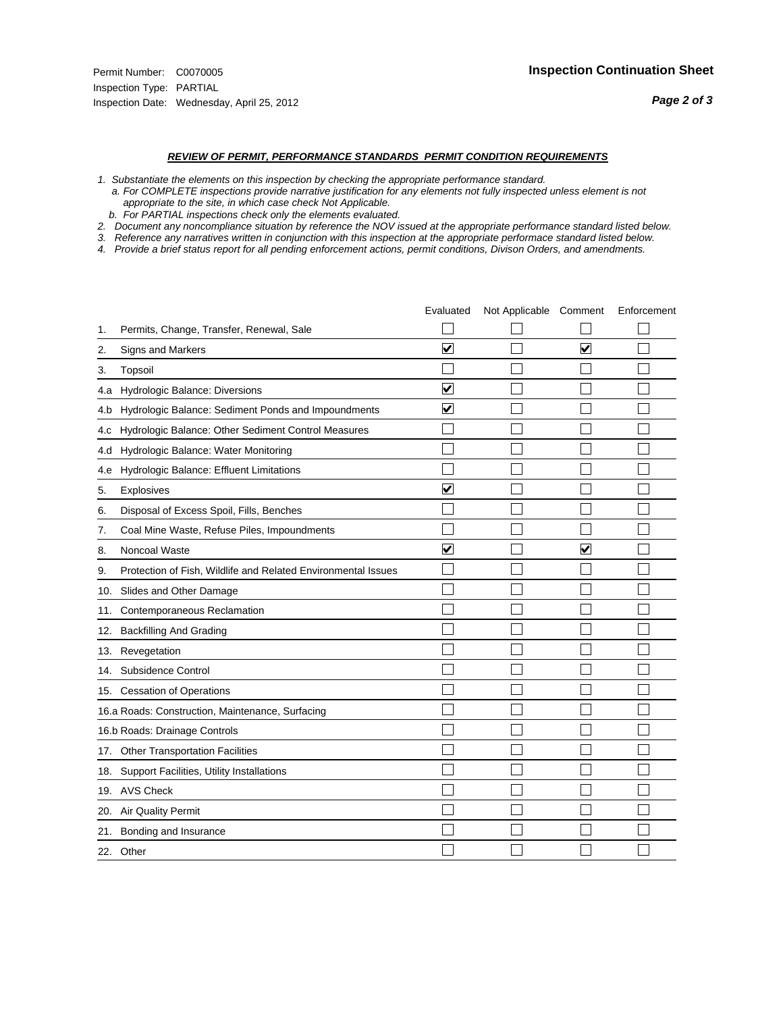- *1. Substantiate the elements on this inspection by checking the appropriate performance standard.*
- *a. For COMPLETE inspections provide narrative justification for any elements not fully inspected unless element is not appropriate to the site, in which case check Not Applicable.*
- *b. For PARTIAL inspections check only the elements evaluated.*
- *2. Document any noncompliance situation by reference the NOV issued at the appropriate performance standard listed below.*
- *3. Reference any narratives written in conjunction with this inspection at the appropriate performace standard listed below.*
- *4. Provide a brief status report for all pending enforcement actions, permit conditions, Divison Orders, and amendments.*

|     |                                                               | Evaluated               | Not Applicable Comment |                         | Enforcement |
|-----|---------------------------------------------------------------|-------------------------|------------------------|-------------------------|-------------|
| 1.  | Permits, Change, Transfer, Renewal, Sale                      |                         |                        |                         |             |
| 2.  | <b>Signs and Markers</b>                                      | $\overline{\mathbf{v}}$ |                        | $\overline{\mathbf{v}}$ |             |
| 3.  | Topsoil                                                       |                         |                        |                         |             |
| 4.a | Hydrologic Balance: Diversions                                | ⊽                       |                        |                         |             |
| 4.b | Hydrologic Balance: Sediment Ponds and Impoundments           | $\blacktriangledown$    |                        |                         |             |
| 4.C | Hydrologic Balance: Other Sediment Control Measures           |                         |                        |                         |             |
| 4.d | Hydrologic Balance: Water Monitoring                          |                         |                        |                         |             |
| 4.e | Hydrologic Balance: Effluent Limitations                      |                         |                        |                         |             |
| 5.  | Explosives                                                    | $\overline{\mathbf{v}}$ |                        |                         |             |
| 6.  | Disposal of Excess Spoil, Fills, Benches                      |                         |                        |                         |             |
| 7.  | Coal Mine Waste, Refuse Piles, Impoundments                   |                         |                        |                         |             |
| 8.  | Noncoal Waste                                                 | $\overline{\mathsf{v}}$ |                        | $\overline{\mathbf{v}}$ |             |
| 9.  | Protection of Fish, Wildlife and Related Environmental Issues |                         |                        |                         |             |
|     | 10. Slides and Other Damage                                   |                         |                        |                         |             |
| 11. | Contemporaneous Reclamation                                   |                         |                        |                         |             |
| 12. | <b>Backfilling And Grading</b>                                |                         |                        |                         |             |
| 13. | Revegetation                                                  |                         |                        |                         |             |
| 14. | Subsidence Control                                            |                         |                        |                         |             |
|     | 15. Cessation of Operations                                   |                         |                        |                         |             |
|     | 16.a Roads: Construction, Maintenance, Surfacing              |                         |                        |                         |             |
|     | 16.b Roads: Drainage Controls                                 |                         |                        |                         |             |
|     | 17. Other Transportation Facilities                           |                         |                        |                         |             |
| 18. | Support Facilities, Utility Installations                     |                         |                        |                         |             |
|     | 19. AVS Check                                                 |                         |                        |                         |             |
| 20. | Air Quality Permit                                            |                         |                        |                         |             |
|     | 21. Bonding and Insurance                                     |                         |                        |                         |             |
|     | 22. Other                                                     |                         |                        |                         |             |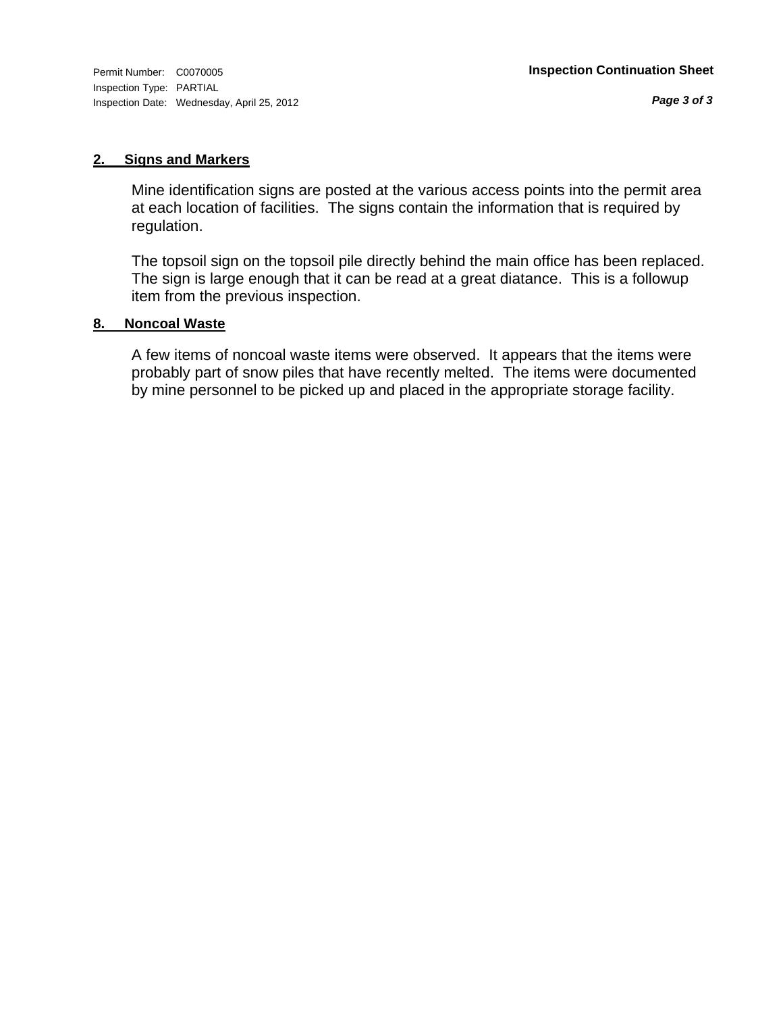Inspection Type: PARTIAL Inspection Date: Wednesday, April 25, 2012

*Page 3 of 3*

## **2. Signs and Markers**

Mine identification signs are posted at the various access points into the permit area at each location of facilities. The signs contain the information that is required by regulation.

The topsoil sign on the topsoil pile directly behind the main office has been replaced. The sign is large enough that it can be read at a great diatance. This is a followup item from the previous inspection.

### **8. Noncoal Waste**

A few items of noncoal waste items were observed. It appears that the items were probably part of snow piles that have recently melted. The items were documented by mine personnel to be picked up and placed in the appropriate storage facility.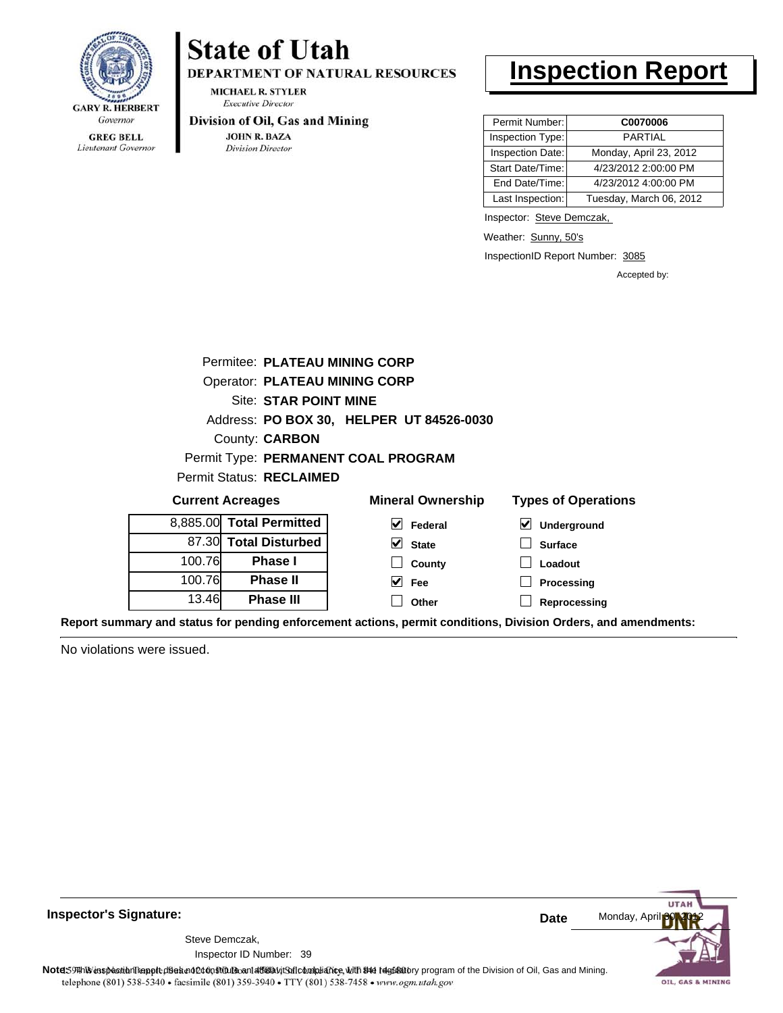

Lieutenant Governor

# **State of Utah**

DEPARTMENT OF NATURAL RESOURCES

**MICHAEL R. STYLER Executive Director** 

### Division of Oil, Gas and Mining

**JOHN R. BAZA** Division Director

# **Inspection Report**

| Permit Number:   | C0070006                |
|------------------|-------------------------|
| Inspection Type: | PARTIAL                 |
| Inspection Date: | Monday, April 23, 2012  |
| Start Date/Time: | 4/23/2012 2:00:00 PM    |
| End Date/Time:   | 4/23/2012 4:00:00 PM    |
| Last Inspection: | Tuesday, March 06, 2012 |

Inspector: Steve Demczak,

Weather: Sunny, 50's

InspectionID Report Number: 3085

Accepted by:

|        | Permitee: PLATEAU MINING CORP        |                                          |                                                   |  |  |  |
|--------|--------------------------------------|------------------------------------------|---------------------------------------------------|--|--|--|
|        | <b>Operator: PLATEAU MINING CORP</b> |                                          |                                                   |  |  |  |
|        | Site: STAR POINT MINE                |                                          |                                                   |  |  |  |
|        |                                      | Address: PO BOX 30, HELPER UT 84526-0030 |                                                   |  |  |  |
|        | <b>County: CARBON</b>                |                                          |                                                   |  |  |  |
|        |                                      | Permit Type: PERMANENT COAL PROGRAM      |                                                   |  |  |  |
|        | Permit Status: RECLAIMED             |                                          |                                                   |  |  |  |
|        | <b>Current Acreages</b>              | <b>Mineral Ownership</b>                 | <b>Types of Operations</b>                        |  |  |  |
|        | 8,885.00 Total Permitted             | M<br>Federal                             | $\vert\bm{\mathsf{v}}\vert$<br><b>Underground</b> |  |  |  |
|        | 87.30 Total Disturbed                | M<br><b>State</b>                        | <b>Surface</b>                                    |  |  |  |
| 100.76 | <b>Phase I</b>                       | County                                   | Loadout                                           |  |  |  |
| 100.76 | <b>Phase II</b>                      | V<br>Fee                                 | Processing                                        |  |  |  |
| 13.46  | <b>Phase III</b>                     | Other                                    | Reprocessing                                      |  |  |  |

**Report summary and status for pending enforcement actions, permit conditions, Division Orders, and amendments:**

No violations were issued.

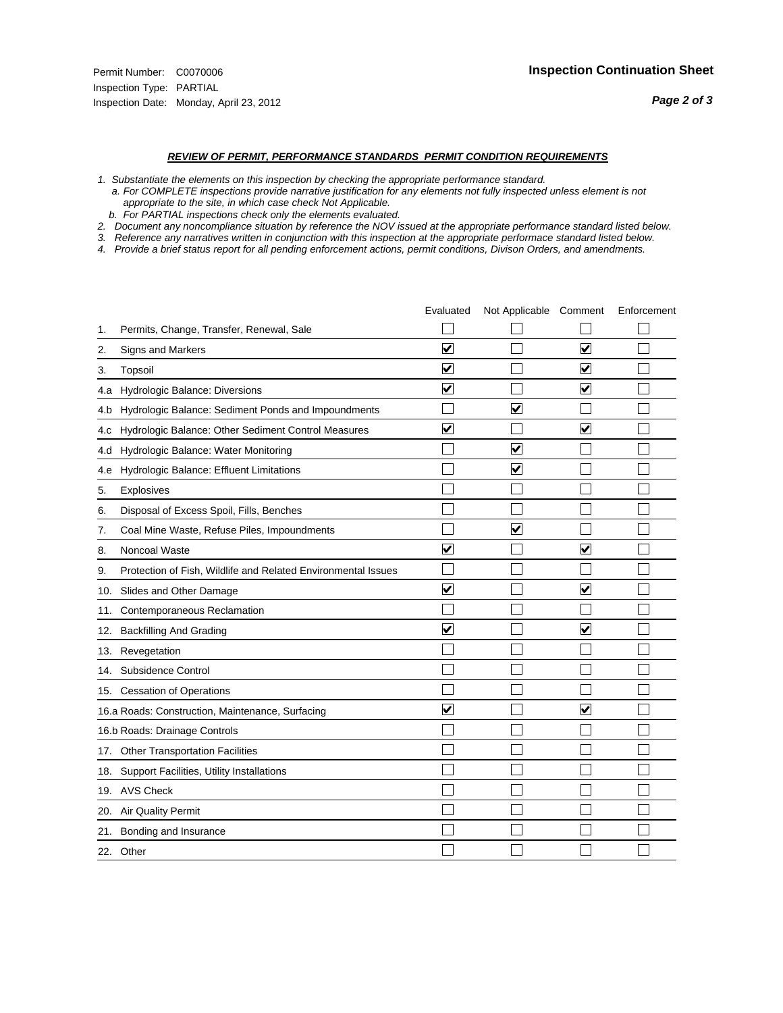- *1. Substantiate the elements on this inspection by checking the appropriate performance standard.*
- *a. For COMPLETE inspections provide narrative justification for any elements not fully inspected unless element is not appropriate to the site, in which case check Not Applicable.*
- *b. For PARTIAL inspections check only the elements evaluated.*
- *2. Document any noncompliance situation by reference the NOV issued at the appropriate performance standard listed below.*
- *3. Reference any narratives written in conjunction with this inspection at the appropriate performace standard listed below.*
- *4. Provide a brief status report for all pending enforcement actions, permit conditions, Divison Orders, and amendments.*

|     |                                                               | Evaluated               | Not Applicable Comment  |                         | Enforcement |
|-----|---------------------------------------------------------------|-------------------------|-------------------------|-------------------------|-------------|
| 1.  | Permits, Change, Transfer, Renewal, Sale                      |                         |                         |                         |             |
| 2.  | <b>Signs and Markers</b>                                      | $\overline{\mathbf{v}}$ |                         | $\overline{\mathbf{v}}$ |             |
| 3.  | Topsoil                                                       | $\overline{\mathbf{v}}$ |                         | $\overline{\mathbf{v}}$ |             |
| 4.a | Hydrologic Balance: Diversions                                | ⊽                       |                         | $\blacktriangledown$    |             |
| 4.b | Hydrologic Balance: Sediment Ponds and Impoundments           |                         | $\overline{\mathsf{v}}$ |                         |             |
| 4.C | Hydrologic Balance: Other Sediment Control Measures           | $\overline{\mathbf{v}}$ |                         | $\blacktriangledown$    |             |
| 4.d | Hydrologic Balance: Water Monitoring                          |                         | $\overline{\mathbf{v}}$ |                         |             |
| 4.e | Hydrologic Balance: Effluent Limitations                      |                         | $\blacktriangledown$    |                         |             |
| 5.  | <b>Explosives</b>                                             |                         |                         |                         |             |
| 6.  | Disposal of Excess Spoil, Fills, Benches                      |                         |                         |                         |             |
| 7.  | Coal Mine Waste, Refuse Piles, Impoundments                   |                         | $\overline{\mathsf{v}}$ |                         |             |
| 8.  | Noncoal Waste                                                 | $\overline{\mathbf{v}}$ |                         | $\blacktriangledown$    |             |
| 9.  | Protection of Fish, Wildlife and Related Environmental Issues |                         |                         |                         |             |
| 10. | Slides and Other Damage                                       | ⊽                       |                         | ⊽                       |             |
| 11. | Contemporaneous Reclamation                                   |                         |                         |                         |             |
| 12. | <b>Backfilling And Grading</b>                                | $\overline{\mathbf{v}}$ |                         | $\blacktriangledown$    |             |
| 13. | Revegetation                                                  |                         |                         |                         |             |
| 14. | Subsidence Control                                            |                         |                         |                         |             |
|     | 15. Cessation of Operations                                   |                         |                         |                         |             |
|     | 16.a Roads: Construction, Maintenance, Surfacing              | $\blacktriangledown$    |                         | V                       |             |
|     | 16.b Roads: Drainage Controls                                 |                         |                         |                         |             |
|     | 17. Other Transportation Facilities                           |                         |                         |                         |             |
| 18. | Support Facilities, Utility Installations                     |                         |                         |                         |             |
|     | 19. AVS Check                                                 |                         |                         |                         |             |
| 20. | <b>Air Quality Permit</b>                                     |                         |                         |                         |             |
|     | 21. Bonding and Insurance                                     |                         |                         |                         |             |
|     | 22. Other                                                     |                         |                         |                         |             |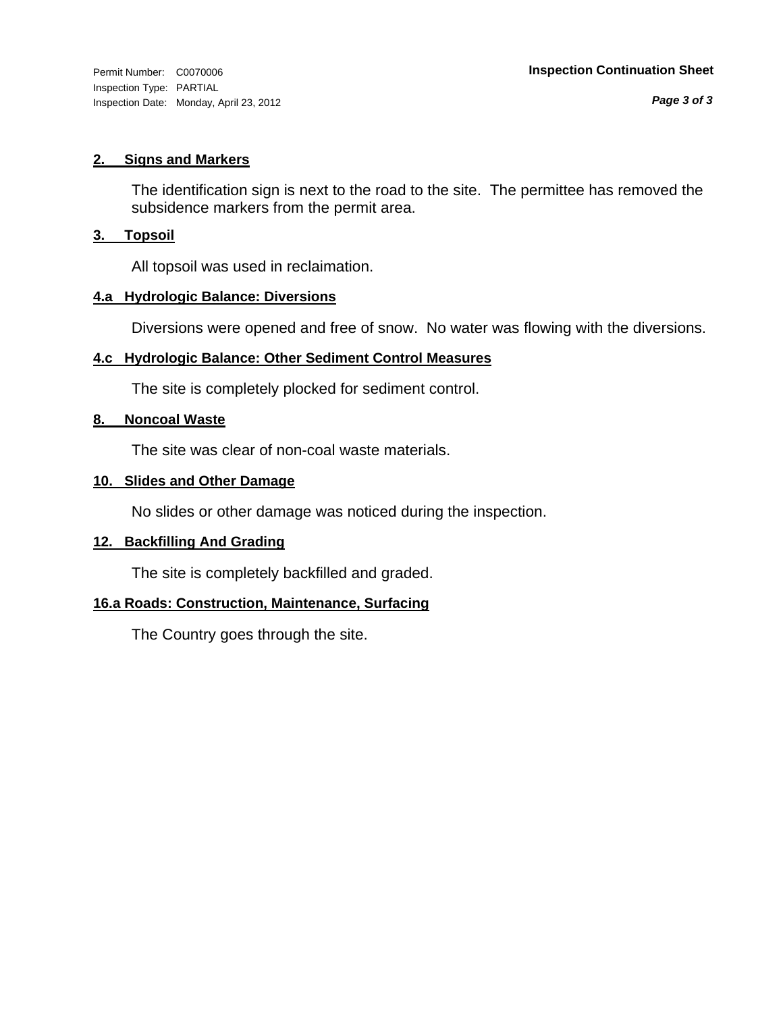Inspection Type: PARTIAL Inspection Date: Monday, April 23, 2012

# **2. Signs and Markers**

The identification sign is next to the road to the site. The permittee has removed the subsidence markers from the permit area.

# **3. Topsoil**

All topsoil was used in reclaimation.

# **4.a Hydrologic Balance: Diversions**

Diversions were opened and free of snow. No water was flowing with the diversions.

# **4.c Hydrologic Balance: Other Sediment Control Measures**

The site is completely plocked for sediment control.

# **8. Noncoal Waste**

The site was clear of non-coal waste materials.

# **10. Slides and Other Damage**

No slides or other damage was noticed during the inspection.

# **12. Backfilling And Grading**

The site is completely backfilled and graded.

# **16.a Roads: Construction, Maintenance, Surfacing**

The Country goes through the site.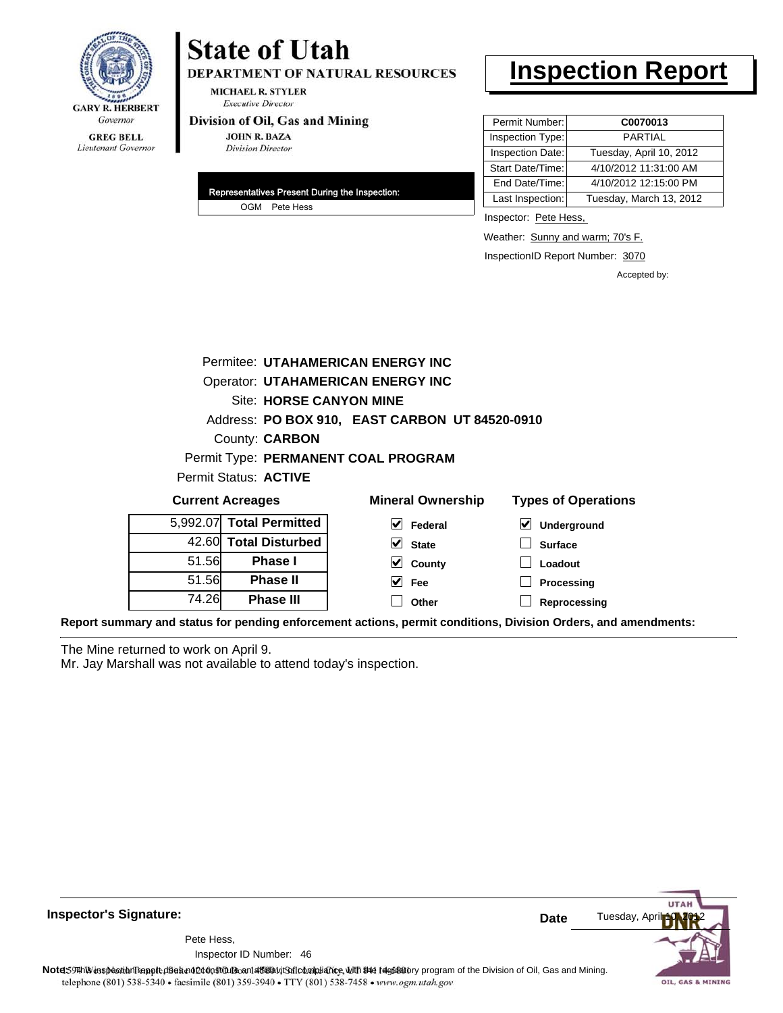

# **State of Utah**

DEPARTMENT OF NATURAL RESOURCES

**MICHAEL R. STYLER Executive Director** 

### Division of Oil, Gas and Mining

**JOHN R. BAZA Division Director** 

| Representatives Present During the Inspection: |  |
|------------------------------------------------|--|
| OGM Pete Hess                                  |  |

# **Inspection Report**

| Permit Number:   | C0070013                |
|------------------|-------------------------|
| Inspection Type: | <b>PARTIAL</b>          |
| Inspection Date: | Tuesday, April 10, 2012 |
| Start Date/Time: | 4/10/2012 11:31:00 AM   |
| End Date/Time:   | 4/10/2012 12:15:00 PM   |
| Last Inspection: | Tuesday, March 13, 2012 |

Inspector: Pete Hess,

Weather: Sunny and warm; 70's F.

InspectionID Report Number: 3070

Accepted by:

|                                          |                                                | Permitee: UTAHAMERICAN ENERGY INC   |                            |  |  |  |
|------------------------------------------|------------------------------------------------|-------------------------------------|----------------------------|--|--|--|
| <b>Operator: UTAHAMERICAN ENERGY INC</b> |                                                |                                     |                            |  |  |  |
| <b>Site: HORSE CANYON MINE</b>           |                                                |                                     |                            |  |  |  |
|                                          | Address: PO BOX 910, EAST CARBON UT 84520-0910 |                                     |                            |  |  |  |
|                                          | County: <b>CARBON</b>                          |                                     |                            |  |  |  |
|                                          |                                                | Permit Type: PERMANENT COAL PROGRAM |                            |  |  |  |
|                                          | Permit Status: ACTIVE                          |                                     |                            |  |  |  |
|                                          | <b>Current Acreages</b>                        | <b>Mineral Ownership</b>            | <b>Types of Operations</b> |  |  |  |
|                                          | 5,992.07 Total Permitted                       | V<br>Federal                        | Underground                |  |  |  |
|                                          | 42.60 Total Disturbed                          | $\vee$ State                        | <b>Surface</b>             |  |  |  |
| 51.56                                    | <b>Phase I</b>                                 | $\vee$ County                       | Loadout                    |  |  |  |
| 51.56                                    | <b>Phase II</b>                                | $\overline{\vee}$ Fee               | Processing                 |  |  |  |
| 74.26                                    | <b>Phase III</b>                               | Other                               | Reprocessing               |  |  |  |

**Report summary and status for pending enforcement actions, permit conditions, Division Orders, and amendments:**

The Mine returned to work on April 9.

Mr. Jay Marshall was not available to attend today's inspection.

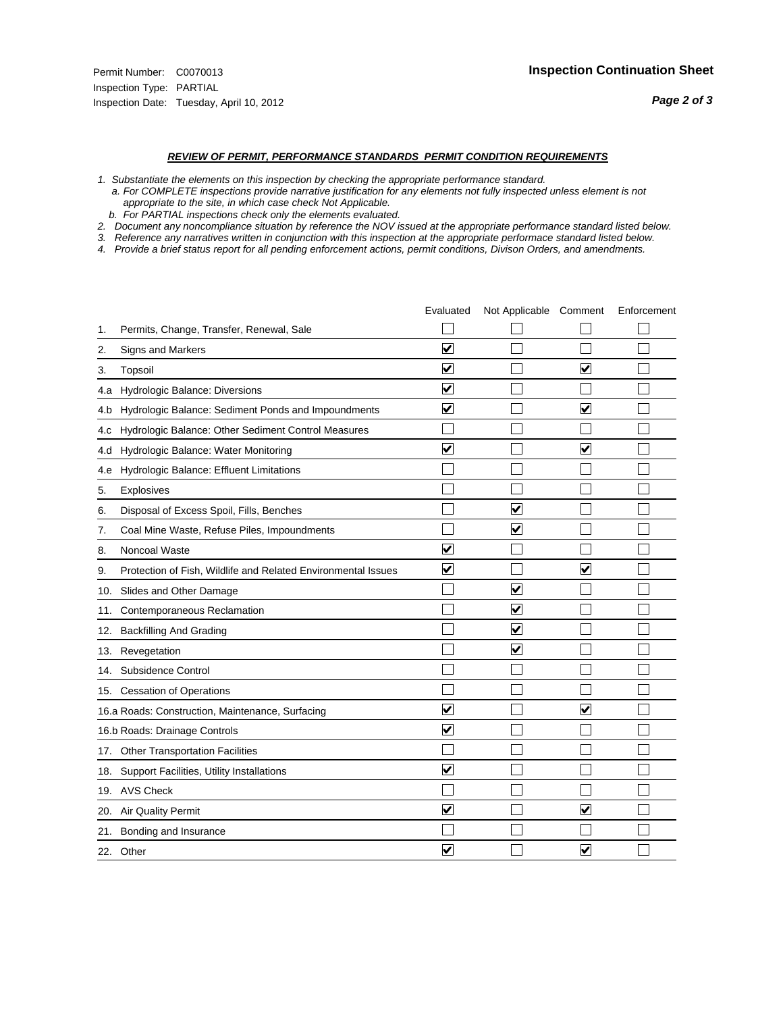- *1. Substantiate the elements on this inspection by checking the appropriate performance standard.*
- *a. For COMPLETE inspections provide narrative justification for any elements not fully inspected unless element is not appropriate to the site, in which case check Not Applicable.*
- *b. For PARTIAL inspections check only the elements evaluated.*
- *2. Document any noncompliance situation by reference the NOV issued at the appropriate performance standard listed below.*
- *3. Reference any narratives written in conjunction with this inspection at the appropriate performace standard listed below.*
- *4. Provide a brief status report for all pending enforcement actions, permit conditions, Divison Orders, and amendments.*

|     |                                                               | Evaluated               | Not Applicable Comment          |                         | Enforcement |
|-----|---------------------------------------------------------------|-------------------------|---------------------------------|-------------------------|-------------|
| 1.  | Permits, Change, Transfer, Renewal, Sale                      |                         |                                 |                         |             |
| 2.  | <b>Signs and Markers</b>                                      | $\overline{\mathbf{v}}$ |                                 |                         |             |
| 3.  | Topsoil                                                       | $\overline{\mathbf{v}}$ |                                 | $\overline{\mathbf{v}}$ |             |
| 4.a | Hydrologic Balance: Diversions                                | $\blacktriangledown$    |                                 |                         |             |
| 4.b | Hydrologic Balance: Sediment Ponds and Impoundments           | $\blacktriangledown$    |                                 | ⊻                       |             |
| 4.c | Hydrologic Balance: Other Sediment Control Measures           |                         |                                 |                         |             |
| 4.d | Hydrologic Balance: Water Monitoring                          | $\overline{\mathbf{v}}$ |                                 | $\blacktriangledown$    |             |
| 4.e | Hydrologic Balance: Effluent Limitations                      |                         |                                 |                         |             |
| 5.  | <b>Explosives</b>                                             |                         |                                 |                         |             |
| 6.  | Disposal of Excess Spoil, Fills, Benches                      |                         | $\overline{\mathsf{v}}$         |                         |             |
| 7.  | Coal Mine Waste, Refuse Piles, Impoundments                   |                         | ☑                               |                         |             |
| 8.  | Noncoal Waste                                                 | $\overline{\mathbf{v}}$ |                                 |                         |             |
| 9.  | Protection of Fish, Wildlife and Related Environmental Issues | $\blacktriangledown$    |                                 | $\blacktriangledown$    |             |
| 10. | Slides and Other Damage                                       |                         | $\blacktriangledown$            |                         |             |
| 11. | Contemporaneous Reclamation                                   |                         | $\blacktriangledown$            |                         |             |
| 12. | <b>Backfilling And Grading</b>                                |                         | $\overline{\mathbf{v}}$         |                         |             |
| 13. | Revegetation                                                  |                         | $\overline{\blacktriangledown}$ |                         |             |
| 14. | Subsidence Control                                            |                         |                                 |                         |             |
|     | 15. Cessation of Operations                                   |                         |                                 |                         |             |
|     | 16.a Roads: Construction, Maintenance, Surfacing              | ⊽                       |                                 | $\overline{\mathbf{v}}$ |             |
|     | 16.b Roads: Drainage Controls                                 | $\overline{\mathbf{v}}$ |                                 |                         |             |
|     | 17. Other Transportation Facilities                           |                         |                                 |                         |             |
| 18. | Support Facilities, Utility Installations                     | $\overline{\mathbf{v}}$ |                                 |                         |             |
|     | 19. AVS Check                                                 |                         |                                 |                         |             |
| 20. | <b>Air Quality Permit</b>                                     | $\checkmark$            |                                 | $\blacktriangledown$    |             |
|     | 21. Bonding and Insurance                                     |                         |                                 |                         |             |
|     | 22. Other                                                     | $\overline{\mathbf{v}}$ |                                 | $\overline{\mathbf{v}}$ |             |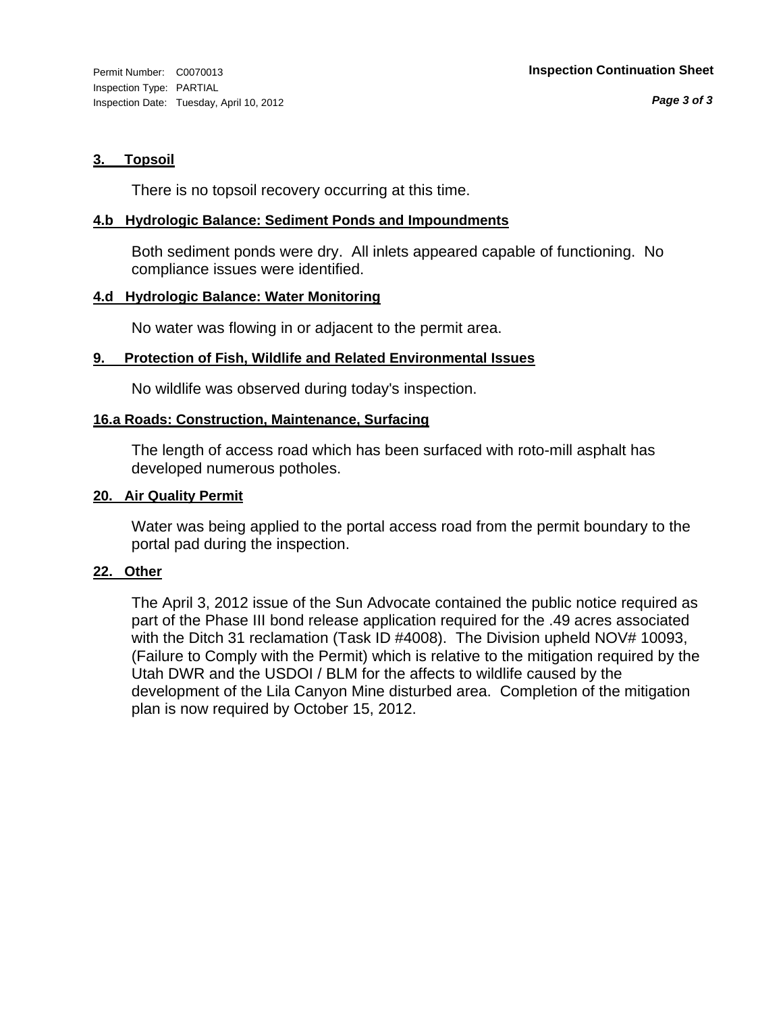# **3. Topsoil**

There is no topsoil recovery occurring at this time.

# **4.b Hydrologic Balance: Sediment Ponds and Impoundments**

Both sediment ponds were dry. All inlets appeared capable of functioning. No compliance issues were identified.

## **4.d Hydrologic Balance: Water Monitoring**

No water was flowing in or adjacent to the permit area.

# **9. Protection of Fish, Wildlife and Related Environmental Issues**

No wildlife was observed during today's inspection.

# **16.a Roads: Construction, Maintenance, Surfacing**

The length of access road which has been surfaced with roto-mill asphalt has developed numerous potholes.

## **20. Air Quality Permit**

Water was being applied to the portal access road from the permit boundary to the portal pad during the inspection.

# **22. Other**

The April 3, 2012 issue of the Sun Advocate contained the public notice required as part of the Phase III bond release application required for the .49 acres associated with the Ditch 31 reclamation (Task ID #4008). The Division upheld NOV# 10093, (Failure to Comply with the Permit) which is relative to the mitigation required by the Utah DWR and the USDOI / BLM for the affects to wildlife caused by the development of the Lila Canyon Mine disturbed area. Completion of the mitigation plan is now required by October 15, 2012.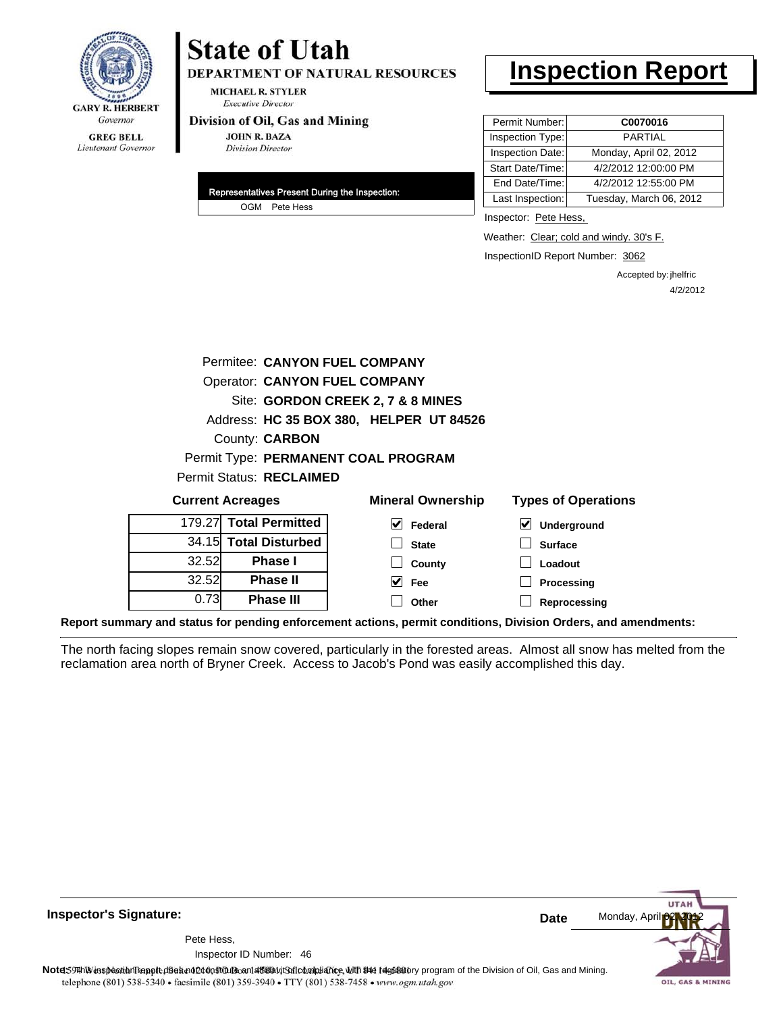

# **State of Utah**

**DEPARTMENT OF NATURAL RESOURCES** 

**MICHAEL R. STYLER Executive Director** 

### Division of Oil, Gas and Mining

**JOHN R. BAZA Division Director** 

| Representatives Present During the Inspection: |
|------------------------------------------------|
| OGM Pete Hess                                  |

# **Inspection Report**

| Permit Number:   | C0070016                |
|------------------|-------------------------|
| Inspection Type: | PARTIAI                 |
| Inspection Date: | Monday, April 02, 2012  |
| Start Date/Time: | 4/2/2012 12:00:00 PM    |
| End Date/Time:   | 4/2/2012 12:55:00 PM    |
| Last Inspection: | Tuesday, March 06, 2012 |

Inspector: Pete Hess,

Weather: Clear; cold and windy. 30's F.

InspectionID Report Number: 3062

Accepted by: jhelfric 4/2/2012

|                                         | Permitee: CANYON FUEL COMPANY     |                                     |                            |  |
|-----------------------------------------|-----------------------------------|-------------------------------------|----------------------------|--|
|                                         | Operator: CANYON FUEL COMPANY     |                                     |                            |  |
|                                         | Site: GORDON CREEK 2, 7 & 8 MINES |                                     |                            |  |
| Address: HC 35 BOX 380, HELPER UT 84526 |                                   |                                     |                            |  |
|                                         | County: <b>CARBON</b>             |                                     |                            |  |
|                                         |                                   | Permit Type: PERMANENT COAL PROGRAM |                            |  |
| <b>Permit Status: RECLAIMED</b>         |                                   |                                     |                            |  |
|                                         |                                   |                                     |                            |  |
|                                         | <b>Current Acreages</b>           | <b>Mineral Ownership</b>            | <b>Types of Operations</b> |  |
|                                         | 179.27 Total Permitted            | M<br>Federal                        | ∨∣<br>Underground          |  |
|                                         | 34.15 Total Disturbed             | <b>State</b>                        | <b>Surface</b>             |  |
| 32.52                                   | Phase I                           | County                              | Loadout                    |  |
| 32.52                                   | <b>Phase II</b>                   | V<br><b>Fee</b>                     | Processing                 |  |

**Report summary and status for pending enforcement actions, permit conditions, Division Orders, and amendments:**

The north facing slopes remain snow covered, particularly in the forested areas. Almost all snow has melted from the reclamation area north of Bryner Creek. Access to Jacob's Pond was easily accomplished this day.

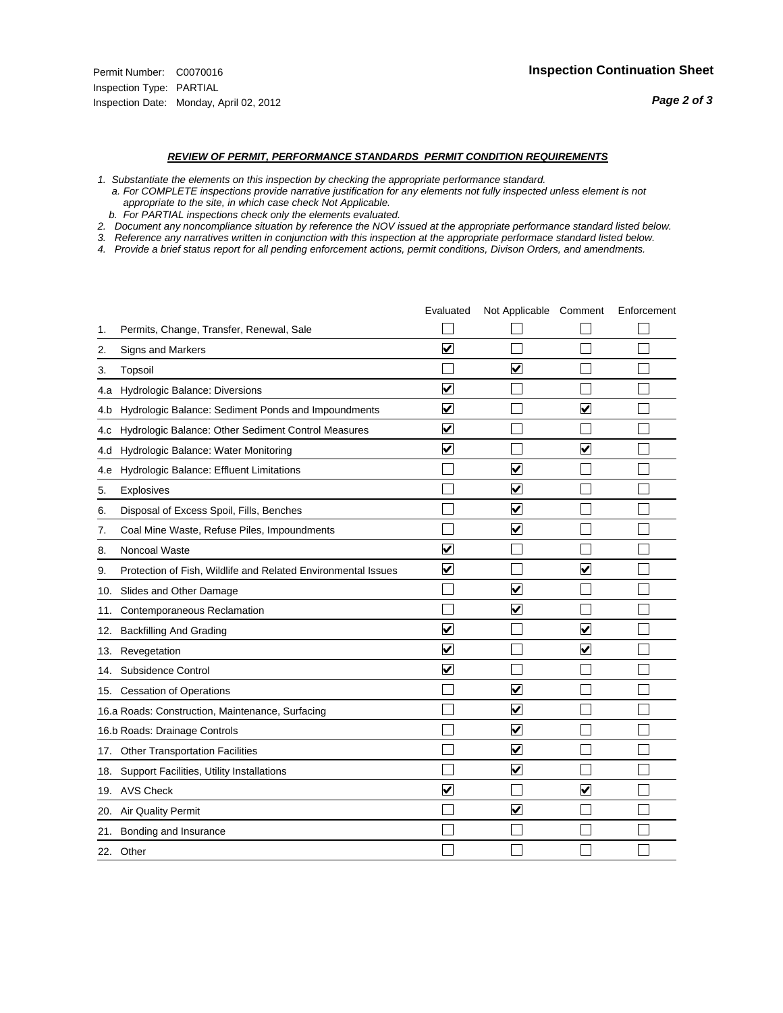- *1. Substantiate the elements on this inspection by checking the appropriate performance standard.*
- *a. For COMPLETE inspections provide narrative justification for any elements not fully inspected unless element is not appropriate to the site, in which case check Not Applicable.*
- *b. For PARTIAL inspections check only the elements evaluated.*
- *2. Document any noncompliance situation by reference the NOV issued at the appropriate performance standard listed below.*
- *3. Reference any narratives written in conjunction with this inspection at the appropriate performace standard listed below.*
- *4. Provide a brief status report for all pending enforcement actions, permit conditions, Divison Orders, and amendments.*

|     |                                                               | Evaluated               | Not Applicable Comment          |                         | Enforcement |
|-----|---------------------------------------------------------------|-------------------------|---------------------------------|-------------------------|-------------|
| 1.  | Permits, Change, Transfer, Renewal, Sale                      |                         |                                 |                         |             |
| 2.  | <b>Signs and Markers</b>                                      | $\overline{\mathbf{v}}$ |                                 |                         |             |
| 3.  | Topsoil                                                       |                         | $\overline{\mathbf{v}}$         |                         |             |
| 4.a | <b>Hydrologic Balance: Diversions</b>                         | V                       |                                 |                         |             |
| 4.b | Hydrologic Balance: Sediment Ponds and Impoundments           | ⊻                       |                                 | V                       |             |
| 4.C | Hydrologic Balance: Other Sediment Control Measures           | $\overline{\mathbf{v}}$ |                                 |                         |             |
| 4.d | Hydrologic Balance: Water Monitoring                          | $\overline{\mathbf{v}}$ |                                 | $\blacktriangledown$    |             |
| 4.e | Hydrologic Balance: Effluent Limitations                      |                         | $\overline{\mathbf{v}}$         |                         |             |
| 5.  | Explosives                                                    |                         | $\overline{\mathbf{v}}$         |                         |             |
| 6.  | Disposal of Excess Spoil, Fills, Benches                      |                         | ⊽                               |                         |             |
| 7.  | Coal Mine Waste, Refuse Piles, Impoundments                   |                         | $\blacktriangledown$            |                         |             |
| 8.  | Noncoal Waste                                                 | ☑                       |                                 |                         |             |
| 9.  | Protection of Fish, Wildlife and Related Environmental Issues | $\blacktriangledown$    |                                 | $\blacktriangledown$    |             |
| 10. | Slides and Other Damage                                       |                         | $\overline{\mathbf{v}}$         |                         |             |
| 11. | Contemporaneous Reclamation                                   |                         | $\blacktriangledown$            |                         |             |
| 12. | <b>Backfilling And Grading</b>                                | $\overline{\mathbf{v}}$ |                                 | $\blacktriangledown$    |             |
| 13. | Revegetation                                                  | $\overline{\mathbf{v}}$ |                                 | $\overline{\mathbf{v}}$ |             |
| 14. | Subsidence Control                                            | $\overline{\mathbf{v}}$ |                                 |                         |             |
| 15. | <b>Cessation of Operations</b>                                |                         | $\overline{\mathbf{v}}$         |                         |             |
|     | 16.a Roads: Construction, Maintenance, Surfacing              |                         | ☑                               |                         |             |
|     | 16.b Roads: Drainage Controls                                 |                         | $\blacktriangledown$            |                         |             |
| 17. | <b>Other Transportation Facilities</b>                        |                         | $\overline{\blacktriangledown}$ |                         |             |
| 18. | Support Facilities, Utility Installations                     |                         | $\overline{\mathbf{v}}$         |                         |             |
|     | 19. AVS Check                                                 | $\blacktriangledown$    |                                 | $\blacktriangledown$    |             |
| 20. | Air Quality Permit                                            |                         | $\blacktriangledown$            |                         |             |
|     | 21. Bonding and Insurance                                     |                         |                                 |                         |             |
|     | 22. Other                                                     |                         |                                 |                         |             |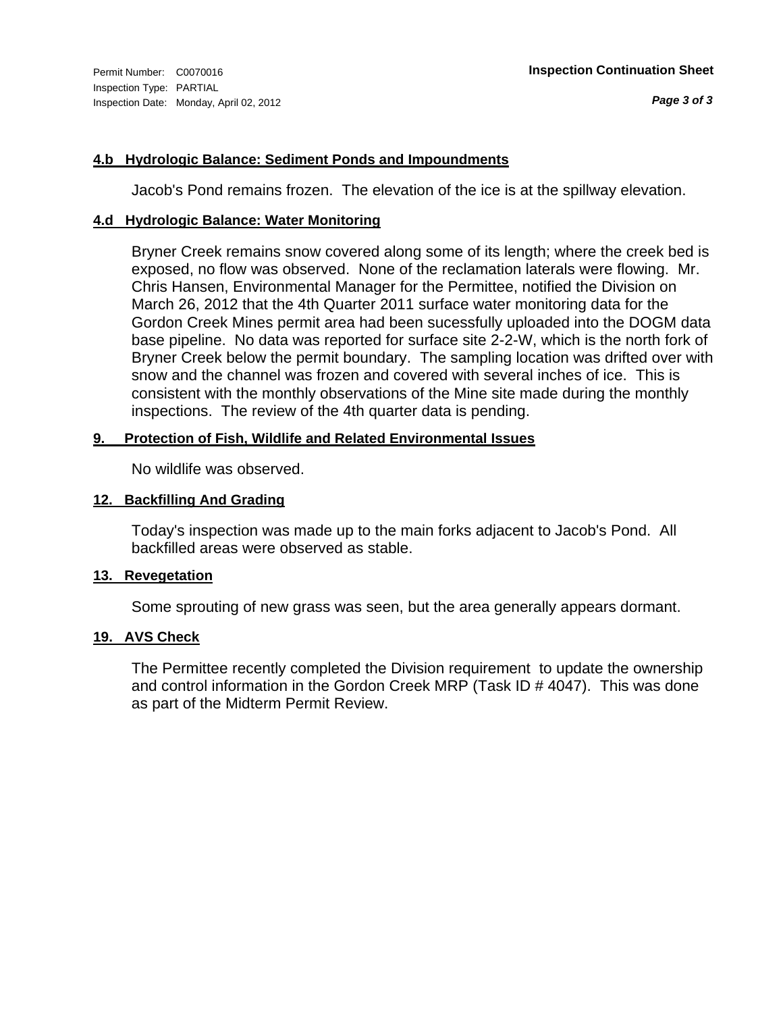# **4.b Hydrologic Balance: Sediment Ponds and Impoundments**

Jacob's Pond remains frozen. The elevation of the ice is at the spillway elevation.

# **4.d Hydrologic Balance: Water Monitoring**

Bryner Creek remains snow covered along some of its length; where the creek bed is exposed, no flow was observed. None of the reclamation laterals were flowing. Mr. Chris Hansen, Environmental Manager for the Permittee, notified the Division on March 26, 2012 that the 4th Quarter 2011 surface water monitoring data for the Gordon Creek Mines permit area had been sucessfully uploaded into the DOGM data base pipeline. No data was reported for surface site 2-2-W, which is the north fork of Bryner Creek below the permit boundary. The sampling location was drifted over with snow and the channel was frozen and covered with several inches of ice. This is consistent with the monthly observations of the Mine site made during the monthly inspections. The review of the 4th quarter data is pending.

# **9. Protection of Fish, Wildlife and Related Environmental Issues**

No wildlife was observed.

# **12. Backfilling And Grading**

Today's inspection was made up to the main forks adjacent to Jacob's Pond. All backfilled areas were observed as stable.

# **13. Revegetation**

Some sprouting of new grass was seen, but the area generally appears dormant.

# **19. AVS Check**

The Permittee recently completed the Division requirement to update the ownership and control information in the Gordon Creek MRP (Task ID # 4047). This was done as part of the Midterm Permit Review.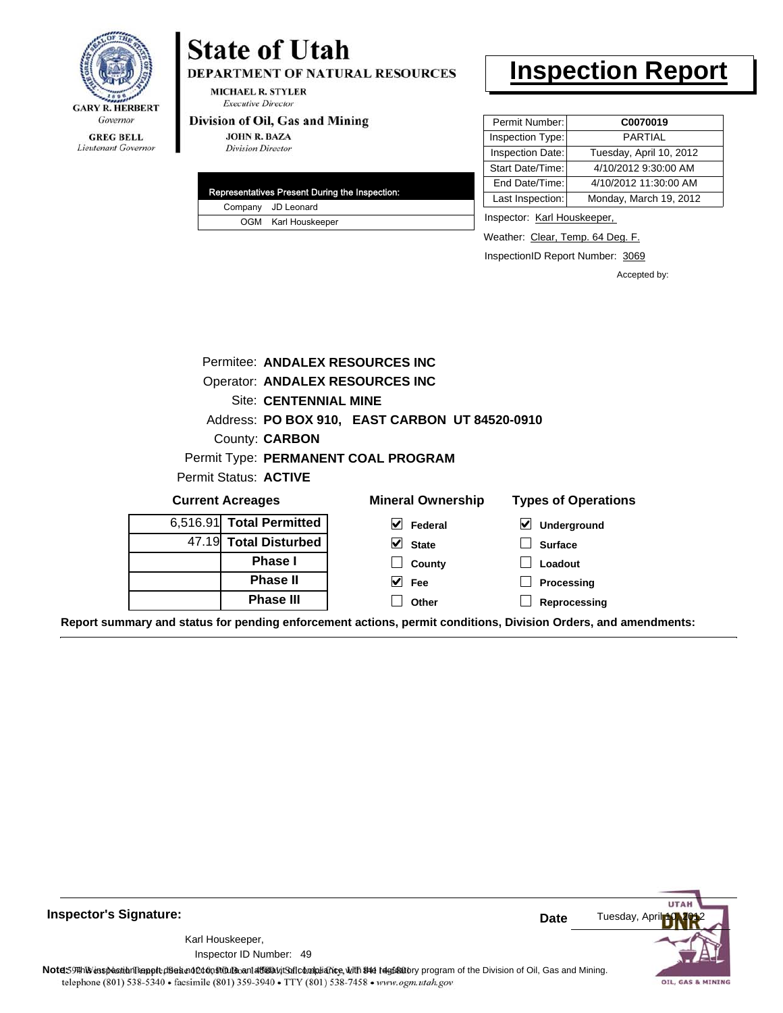

Lieutenant Governor

# **State of Utah**

DEPARTMENT OF NATURAL RESOURCES

**MICHAEL R. STYLER Executive Director** 

# Division of Oil, Gas and Mining

**Phase III**

**JOHN R. BAZA Division Director** 

| Representatives Present During the Inspection: |
|------------------------------------------------|
| Company JD Leonard                             |
| OGM Karl Houskeeper                            |

# **Inspection Report**

| Permit Number:   | C0070019                |
|------------------|-------------------------|
| Inspection Type: | PARTIAL                 |
| Inspection Date: | Tuesday, April 10, 2012 |
| Start Date/Time: | 4/10/2012 9:30:00 AM    |
| End Date/Time:   | 4/10/2012 11:30:00 AM   |
| Last Inspection: | Monday, March 19, 2012  |
|                  |                         |

Inspector: Karl Houskeeper,

Weather: Clear, Temp. 64 Deg. F.

**Reprocessing**

InspectionID Report Number: 3069

Accepted by:

|          |                                                | Permitee: ANDALEX RESOURCES INC        |                                     |  |
|----------|------------------------------------------------|----------------------------------------|-------------------------------------|--|
|          |                                                | <b>Operator: ANDALEX RESOURCES INC</b> |                                     |  |
|          | <b>Site: CENTENNIAL MINE</b>                   |                                        |                                     |  |
|          | Address: PO BOX 910, EAST CARBON UT 84520-0910 |                                        |                                     |  |
|          | <b>County: CARBON</b>                          |                                        |                                     |  |
|          |                                                | Permit Type: PERMANENT COAL PROGRAM    |                                     |  |
|          | Permit Status: ACTIVE                          |                                        |                                     |  |
|          | <b>Current Acreages</b>                        | <b>Mineral Ownership</b>               | <b>Types of Operations</b>          |  |
| 6.516.91 | <b>Total Permitted</b>                         | M<br>Federal                           | $\blacktriangledown$<br>Underground |  |
|          | 47.19 Total Disturbed                          | M<br><b>State</b>                      | <b>Surface</b>                      |  |
|          | Phase I                                        | County                                 | Loadout                             |  |
|          | <b>Phase II</b>                                | Fee                                    | Processing                          |  |

**Other**

**Report summary and status for pending enforcement actions, permit conditions, Division Orders, and amendments:**

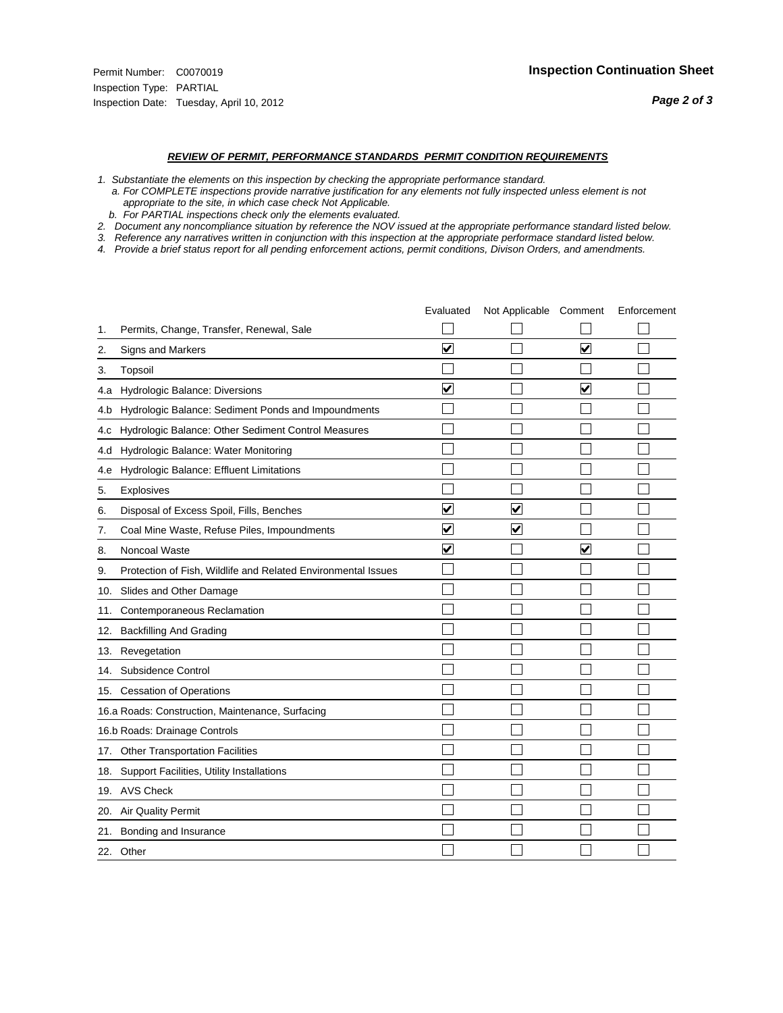- *1. Substantiate the elements on this inspection by checking the appropriate performance standard.*
- *a. For COMPLETE inspections provide narrative justification for any elements not fully inspected unless element is not appropriate to the site, in which case check Not Applicable.*
- *b. For PARTIAL inspections check only the elements evaluated.*
- *2. Document any noncompliance situation by reference the NOV issued at the appropriate performance standard listed below.*
- *3. Reference any narratives written in conjunction with this inspection at the appropriate performace standard listed below.*
- *4. Provide a brief status report for all pending enforcement actions, permit conditions, Divison Orders, and amendments.*

|     |                                                               | Evaluated                       | Not Applicable Comment  |                         | Enforcement |
|-----|---------------------------------------------------------------|---------------------------------|-------------------------|-------------------------|-------------|
| 1.  | Permits, Change, Transfer, Renewal, Sale                      |                                 |                         |                         |             |
| 2.  | <b>Signs and Markers</b>                                      | $\overline{\mathbf{v}}$         |                         | $\overline{\mathbf{v}}$ |             |
| 3.  | Topsoil                                                       |                                 |                         |                         |             |
| 4.a | Hydrologic Balance: Diversions                                | ⊽                               |                         | $\blacktriangledown$    |             |
| 4.b | Hydrologic Balance: Sediment Ponds and Impoundments           |                                 |                         |                         |             |
| 4.C | Hydrologic Balance: Other Sediment Control Measures           |                                 |                         |                         |             |
| 4.d | Hydrologic Balance: Water Monitoring                          |                                 |                         |                         |             |
| 4.e | Hydrologic Balance: Effluent Limitations                      |                                 |                         |                         |             |
| 5.  | <b>Explosives</b>                                             |                                 |                         |                         |             |
| 6.  | Disposal of Excess Spoil, Fills, Benches                      | $\blacktriangledown$            | $\blacktriangledown$    |                         |             |
| 7.  | Coal Mine Waste, Refuse Piles, Impoundments                   | $\overline{\mathbf{v}}$         | $\overline{\mathbf{v}}$ |                         |             |
| 8.  | Noncoal Waste                                                 | $\overline{\blacktriangledown}$ |                         | $\blacktriangledown$    |             |
| 9.  | Protection of Fish, Wildlife and Related Environmental Issues |                                 |                         |                         |             |
| 10. | Slides and Other Damage                                       |                                 |                         |                         |             |
| 11. | Contemporaneous Reclamation                                   |                                 |                         |                         |             |
| 12. | <b>Backfilling And Grading</b>                                |                                 |                         |                         |             |
| 13. | Revegetation                                                  |                                 |                         |                         |             |
| 14. | Subsidence Control                                            |                                 |                         |                         |             |
|     | 15. Cessation of Operations                                   |                                 |                         |                         |             |
|     | 16.a Roads: Construction, Maintenance, Surfacing              |                                 |                         |                         |             |
|     | 16.b Roads: Drainage Controls                                 |                                 |                         |                         |             |
|     | 17. Other Transportation Facilities                           |                                 |                         |                         |             |
| 18. | Support Facilities, Utility Installations                     |                                 |                         |                         |             |
|     | 19. AVS Check                                                 |                                 |                         |                         |             |
| 20. | Air Quality Permit                                            |                                 |                         |                         |             |
|     | 21. Bonding and Insurance                                     |                                 |                         |                         |             |
|     | 22. Other                                                     |                                 |                         |                         |             |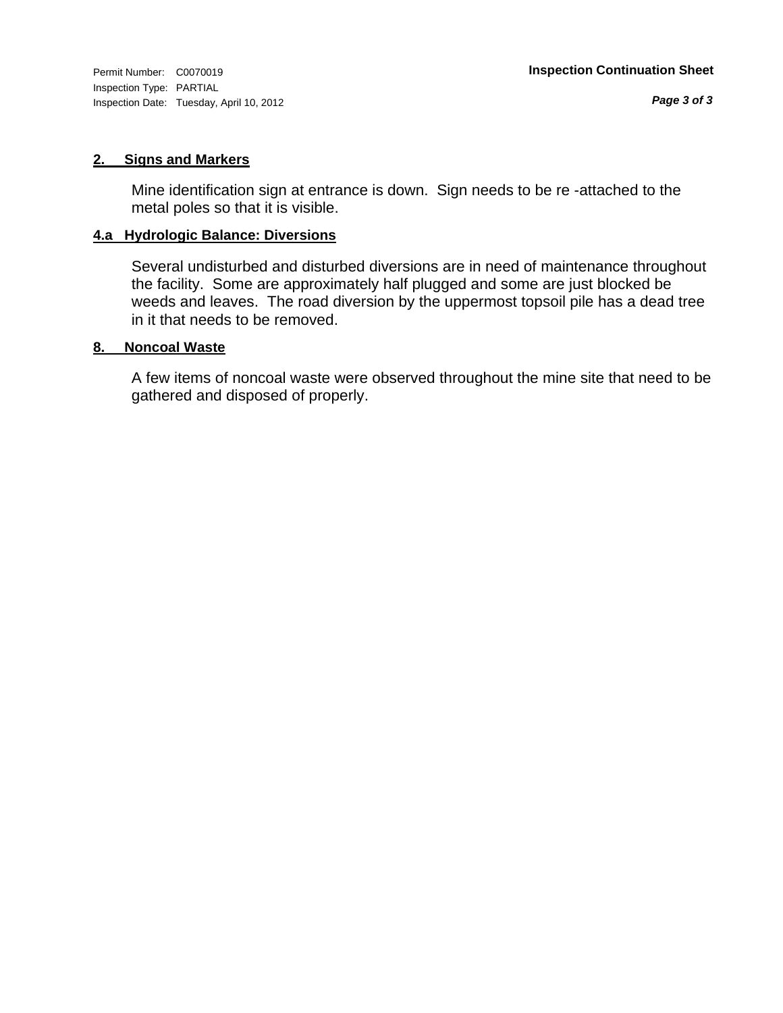Inspection Type: PARTIAL Inspection Date: Tuesday, April 10, 2012

## **2. Signs and Markers**

Mine identification sign at entrance is down. Sign needs to be re -attached to the metal poles so that it is visible.

# **4.a Hydrologic Balance: Diversions**

Several undisturbed and disturbed diversions are in need of maintenance throughout the facility. Some are approximately half plugged and some are just blocked be weeds and leaves. The road diversion by the uppermost topsoil pile has a dead tree in it that needs to be removed.

# **8. Noncoal Waste**

A few items of noncoal waste were observed throughout the mine site that need to be gathered and disposed of properly.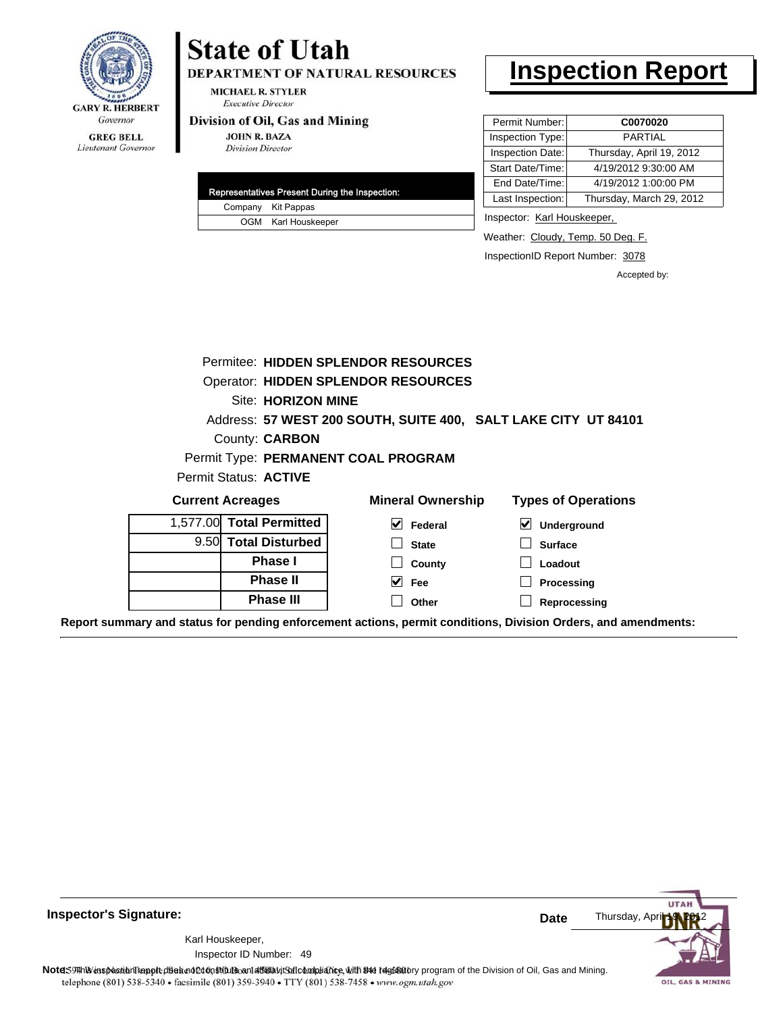

# **State of Utah**

DEPARTMENT OF NATURAL RESOURCES

**MICHAEL R. STYLER Executive Director** 

### Division of Oil, Gas and Mining

**JOHN R. BAZA Division Director** 

|  | Representatives Present During the Inspection: |
|--|------------------------------------------------|
|  | Company Kit Pappas                             |
|  | OGM Karl Houskeeper                            |

# **Inspection Report**

| Permit Number:   | C0070020                 |
|------------------|--------------------------|
| Inspection Type: | <b>PARTIAL</b>           |
| Inspection Date: | Thursday, April 19, 2012 |
| Start Date/Time: | 4/19/2012 9:30:00 AM     |
| End Date/Time:   | 4/19/2012 1:00:00 PM     |
| Last Inspection: | Thursday, March 29, 2012 |

Inspector: Karl Houskeeper,

Weather: Cloudy, Temp. 50 Deg. F.

InspectionID Report Number: 3078

Accepted by:

|                              | Permitee: HIDDEN SPLENDOR RESOURCES                            |                            |
|------------------------------|----------------------------------------------------------------|----------------------------|
|                              | <b>Operator: HIDDEN SPLENDOR RESOURCES</b>                     |                            |
| Site: HORIZON MINE           |                                                                |                            |
|                              | Address: 57 WEST 200 SOUTH, SUITE 400, SALT LAKE CITY UT 84101 |                            |
| County: <b>CARBON</b>        |                                                                |                            |
|                              | Permit Type: PERMANENT COAL PROGRAM                            |                            |
| Permit Status: <b>ACTIVE</b> |                                                                |                            |
| <b>Current Acreages</b>      | <b>Mineral Ownership</b>                                       | <b>Types of Operations</b> |
| 1,577.00 Total Permitted     | V<br>Federal                                                   | ⊻<br>Underground           |
| 9.50 Total Disturbed         | <b>State</b>                                                   | <b>Surface</b>             |
| Phase I                      | County                                                         | Loadout                    |
| <b>Phase II</b>              | V<br><b>Fee</b>                                                | Processing                 |
| <b>Phase III</b>             | Other                                                          | Reprocessing               |

**Report summary and status for pending enforcement actions, permit conditions, Division Orders, and amendments:**

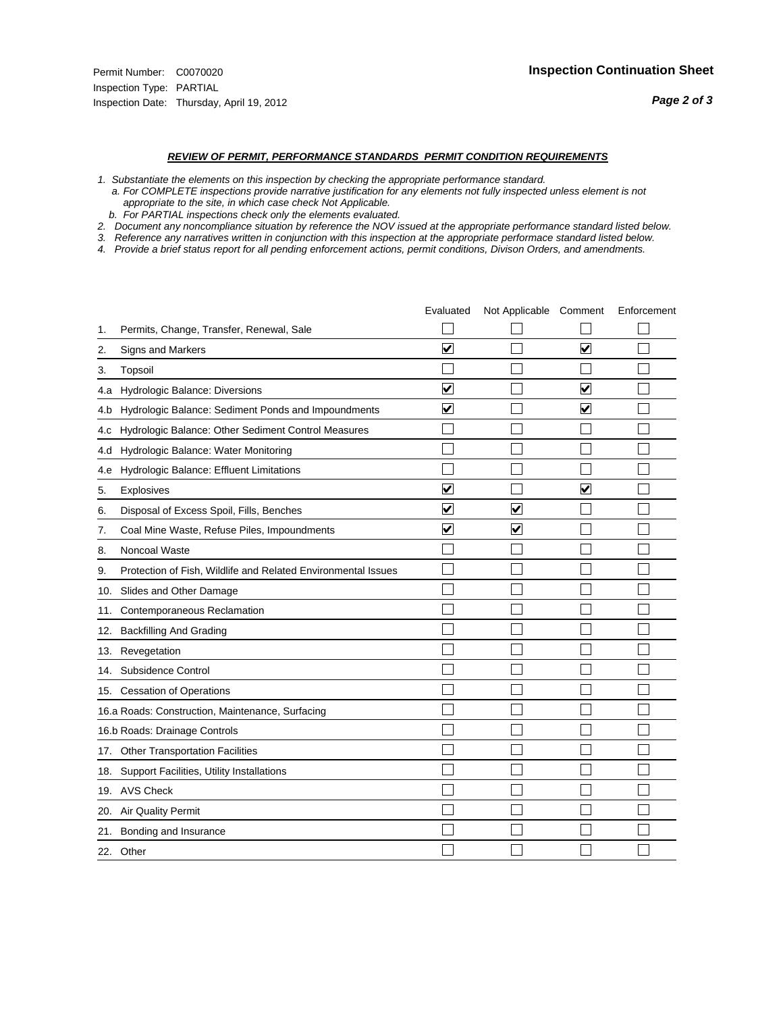- *1. Substantiate the elements on this inspection by checking the appropriate performance standard.*
- *a. For COMPLETE inspections provide narrative justification for any elements not fully inspected unless element is not appropriate to the site, in which case check Not Applicable.*
- *b. For PARTIAL inspections check only the elements evaluated.*
- *2. Document any noncompliance situation by reference the NOV issued at the appropriate performance standard listed below.*
- *3. Reference any narratives written in conjunction with this inspection at the appropriate performace standard listed below.*
- *4. Provide a brief status report for all pending enforcement actions, permit conditions, Divison Orders, and amendments.*

|     |                                                               | Evaluated               | Not Applicable Comment  |                         | Enforcement |
|-----|---------------------------------------------------------------|-------------------------|-------------------------|-------------------------|-------------|
| 1.  | Permits, Change, Transfer, Renewal, Sale                      |                         |                         |                         |             |
| 2.  | Signs and Markers                                             | $\overline{\mathbf{v}}$ |                         | $\overline{\mathbf{v}}$ |             |
| 3.  | Topsoil                                                       |                         |                         |                         |             |
| 4.a | Hydrologic Balance: Diversions                                | V                       |                         | V                       |             |
| 4.b | Hydrologic Balance: Sediment Ponds and Impoundments           | ⊻                       |                         | ⊻                       |             |
| 4.c | Hydrologic Balance: Other Sediment Control Measures           |                         |                         |                         |             |
| 4.d | Hydrologic Balance: Water Monitoring                          |                         |                         |                         |             |
| 4.e | Hydrologic Balance: Effluent Limitations                      |                         |                         |                         |             |
| 5.  | <b>Explosives</b>                                             | $\overline{\mathbf{v}}$ |                         | ☑                       |             |
| 6.  | Disposal of Excess Spoil, Fills, Benches                      | $\blacktriangledown$    | $\overline{\mathbf{v}}$ |                         |             |
| 7.  | Coal Mine Waste, Refuse Piles, Impoundments                   | ☑                       | $\overline{\mathbf{v}}$ |                         |             |
| 8.  | Noncoal Waste                                                 |                         |                         |                         |             |
| 9.  | Protection of Fish, Wildlife and Related Environmental Issues |                         |                         |                         |             |
| 10. | Slides and Other Damage                                       |                         |                         |                         |             |
| 11. | Contemporaneous Reclamation                                   |                         |                         |                         |             |
| 12. | <b>Backfilling And Grading</b>                                |                         |                         |                         |             |
| 13. | Revegetation                                                  |                         |                         |                         |             |
| 14. | Subsidence Control                                            |                         |                         |                         |             |
|     | 15. Cessation of Operations                                   |                         |                         |                         |             |
|     | 16.a Roads: Construction, Maintenance, Surfacing              |                         |                         |                         |             |
|     | 16.b Roads: Drainage Controls                                 |                         |                         |                         |             |
|     | 17. Other Transportation Facilities                           |                         |                         |                         |             |
| 18. | Support Facilities, Utility Installations                     |                         |                         |                         |             |
|     | 19. AVS Check                                                 |                         |                         |                         |             |
| 20. | Air Quality Permit                                            |                         |                         |                         |             |
|     | 21. Bonding and Insurance                                     |                         |                         |                         |             |
|     | 22. Other                                                     |                         |                         |                         |             |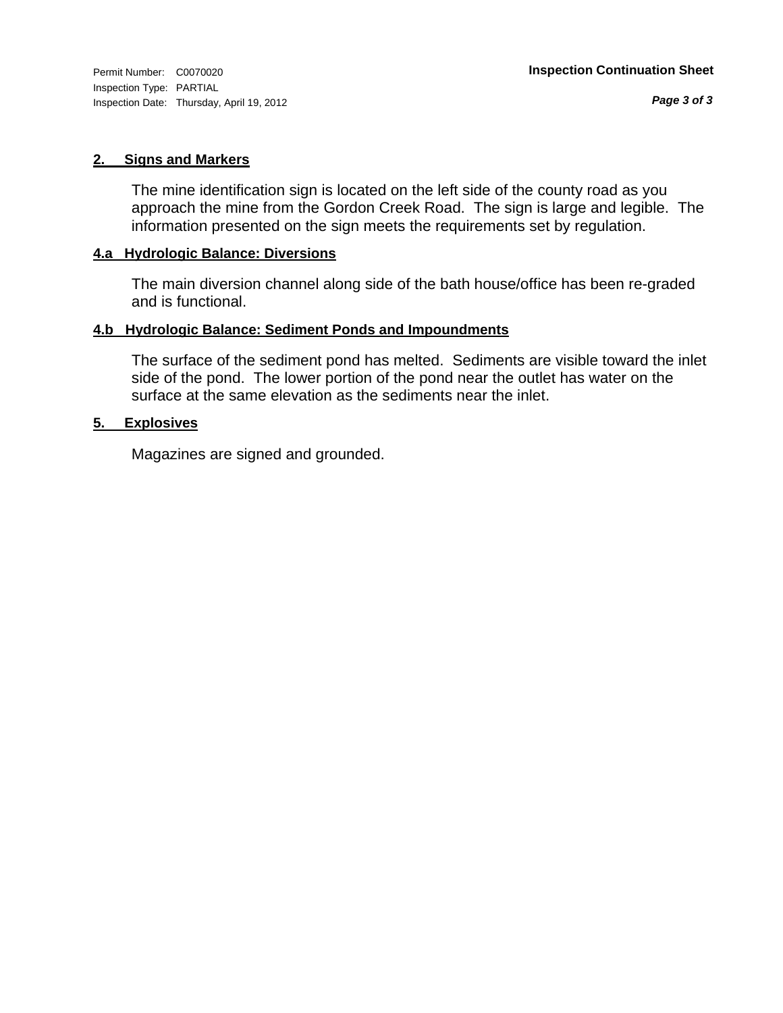Inspection Type: PARTIAL Inspection Date: Thursday, April 19, 2012

# **2. Signs and Markers**

The mine identification sign is located on the left side of the county road as you approach the mine from the Gordon Creek Road. The sign is large and legible. The information presented on the sign meets the requirements set by regulation.

# **4.a Hydrologic Balance: Diversions**

The main diversion channel along side of the bath house/office has been re-graded and is functional.

# **4.b Hydrologic Balance: Sediment Ponds and Impoundments**

The surface of the sediment pond has melted. Sediments are visible toward the inlet side of the pond. The lower portion of the pond near the outlet has water on the surface at the same elevation as the sediments near the inlet.

# **5. Explosives**

Magazines are signed and grounded.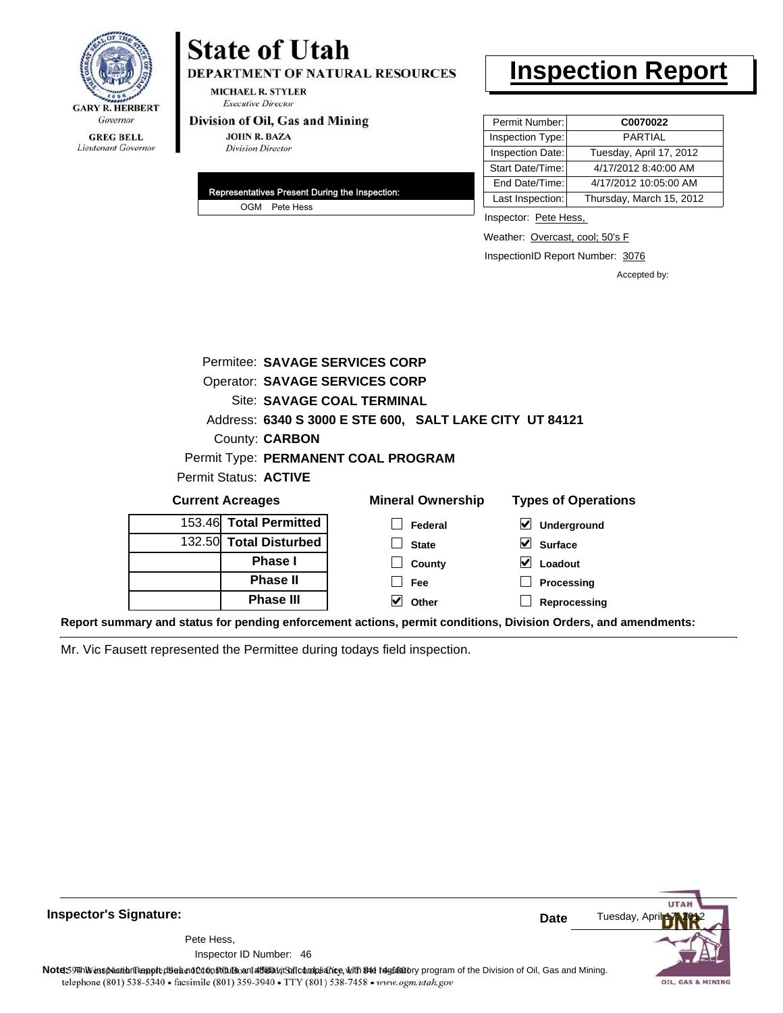

# **State of Utah**

DEPARTMENT OF NATURAL RESOURCES

**MICHAEL R. STYLER Executive Director** 

### Division of Oil, Gas and Mining

**JOHN R. BAZA Division Director** 

| Representatives Present During the Inspection: |
|------------------------------------------------|
| OGM Pete Hess                                  |

# **Inspection Report**

| Permit Number:   | C0070022                 |
|------------------|--------------------------|
| Inspection Type: | PARTIAL                  |
| Inspection Date: | Tuesday, April 17, 2012  |
| Start Date/Time: | 4/17/2012 8:40:00 AM     |
| End Date/Time:   | 4/17/2012 10:05:00 AM    |
| Last Inspection: | Thursday, March 15, 2012 |

Inspector: Pete Hess,

Weather: Overcast, cool; 50's F

InspectionID Report Number: 3076

**Reprocessing**

Accepted by:

|                              |                        | Permitee: SAVAGE SERVICES CORP                          |                                        |
|------------------------------|------------------------|---------------------------------------------------------|----------------------------------------|
|                              |                        | <b>Operator: SAVAGE SERVICES CORP</b>                   |                                        |
|                              |                        | <b>Site: SAVAGE COAL TERMINAL</b>                       |                                        |
|                              |                        | Address: 6340 S 3000 E STE 600, SALT LAKE CITY UT 84121 |                                        |
| County: <b>CARBON</b>        |                        |                                                         |                                        |
|                              |                        | Permit Type: PERMANENT COAL PROGRAM                     |                                        |
| Permit Status: <b>ACTIVE</b> |                        |                                                         |                                        |
| <b>Current Acreages</b>      |                        | <b>Mineral Ownership</b>                                | <b>Types of Operations</b>             |
|                              | 153.46 Total Permitted | Federal                                                 | $\blacktriangledown$<br>Underground    |
|                              | 132.50 Total Disturbed | <b>State</b>                                            | $\blacktriangledown$<br><b>Surface</b> |
|                              | Phase I                | County                                                  | Loadout<br>V                           |
|                              | <b>Phase II</b>        | Fee                                                     | Processing                             |

**Other**

**Report summary and status for pending enforcement actions, permit conditions, Division Orders, and amendments:**

Mr. Vic Fausett represented the Permittee during todays field inspection.

**Phase III**



**Inspector's Signature:**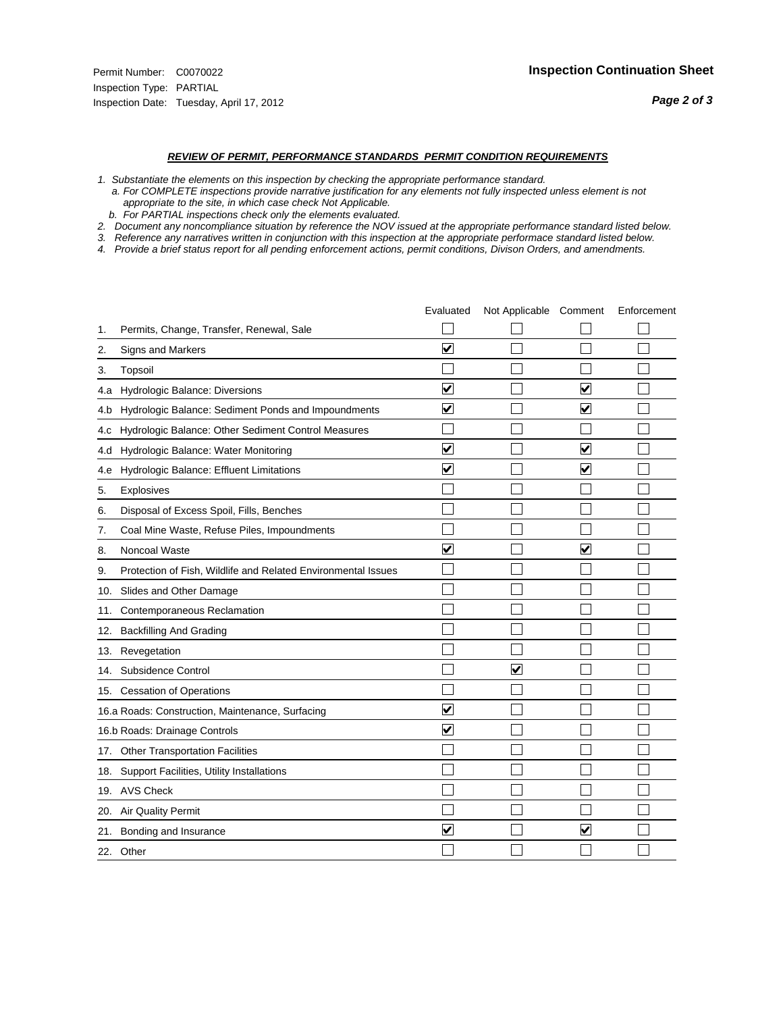- *1. Substantiate the elements on this inspection by checking the appropriate performance standard.*
- *a. For COMPLETE inspections provide narrative justification for any elements not fully inspected unless element is not appropriate to the site, in which case check Not Applicable.*
- *b. For PARTIAL inspections check only the elements evaluated.*
- *2. Document any noncompliance situation by reference the NOV issued at the appropriate performance standard listed below.*
- *3. Reference any narratives written in conjunction with this inspection at the appropriate performace standard listed below.*
- *4. Provide a brief status report for all pending enforcement actions, permit conditions, Divison Orders, and amendments.*

|     |                                                               | Evaluated               | Not Applicable Comment  |                         | Enforcement |
|-----|---------------------------------------------------------------|-------------------------|-------------------------|-------------------------|-------------|
| 1.  | Permits, Change, Transfer, Renewal, Sale                      |                         |                         |                         |             |
| 2.  | <b>Signs and Markers</b>                                      | $\overline{\mathbf{v}}$ |                         |                         |             |
| 3.  | Topsoil                                                       |                         |                         |                         |             |
| 4.a | Hydrologic Balance: Diversions                                | ⊽                       |                         | $\blacktriangledown$    |             |
| 4.b | Hydrologic Balance: Sediment Ponds and Impoundments           | $\checkmark$            |                         | ⊻                       |             |
| 4.c | Hydrologic Balance: Other Sediment Control Measures           |                         |                         |                         |             |
| 4.d | Hydrologic Balance: Water Monitoring                          | $\blacktriangledown$    |                         | $\blacktriangledown$    |             |
| 4.e | Hydrologic Balance: Effluent Limitations                      | $\overline{\mathbf{v}}$ |                         | $\blacktriangledown$    |             |
| 5.  | Explosives                                                    |                         |                         |                         |             |
| 6.  | Disposal of Excess Spoil, Fills, Benches                      |                         |                         |                         |             |
| 7.  | Coal Mine Waste, Refuse Piles, Impoundments                   |                         |                         |                         |             |
| 8.  | Noncoal Waste                                                 | $\overline{\mathsf{v}}$ |                         | $\overline{\mathbf{v}}$ |             |
| 9.  | Protection of Fish, Wildlife and Related Environmental Issues |                         |                         |                         |             |
| 10. | Slides and Other Damage                                       |                         |                         |                         |             |
| 11. | Contemporaneous Reclamation                                   |                         |                         |                         |             |
| 12. | <b>Backfilling And Grading</b>                                |                         |                         |                         |             |
| 13. | Revegetation                                                  |                         |                         |                         |             |
| 14. | Subsidence Control                                            |                         | $\overline{\mathbf{v}}$ |                         |             |
|     | 15. Cessation of Operations                                   |                         |                         |                         |             |
|     | 16.a Roads: Construction, Maintenance, Surfacing              | $\overline{\mathbf{v}}$ |                         |                         |             |
|     | 16.b Roads: Drainage Controls                                 | $\overline{\mathbf{v}}$ |                         |                         |             |
| 17. | <b>Other Transportation Facilities</b>                        |                         |                         |                         |             |
| 18. | Support Facilities, Utility Installations                     |                         |                         |                         |             |
|     | 19. AVS Check                                                 |                         |                         |                         |             |
| 20. | <b>Air Quality Permit</b>                                     |                         |                         |                         |             |
| 21. | Bonding and Insurance                                         | $\blacktriangledown$    |                         | $\blacktriangledown$    |             |
|     | 22. Other                                                     |                         |                         |                         |             |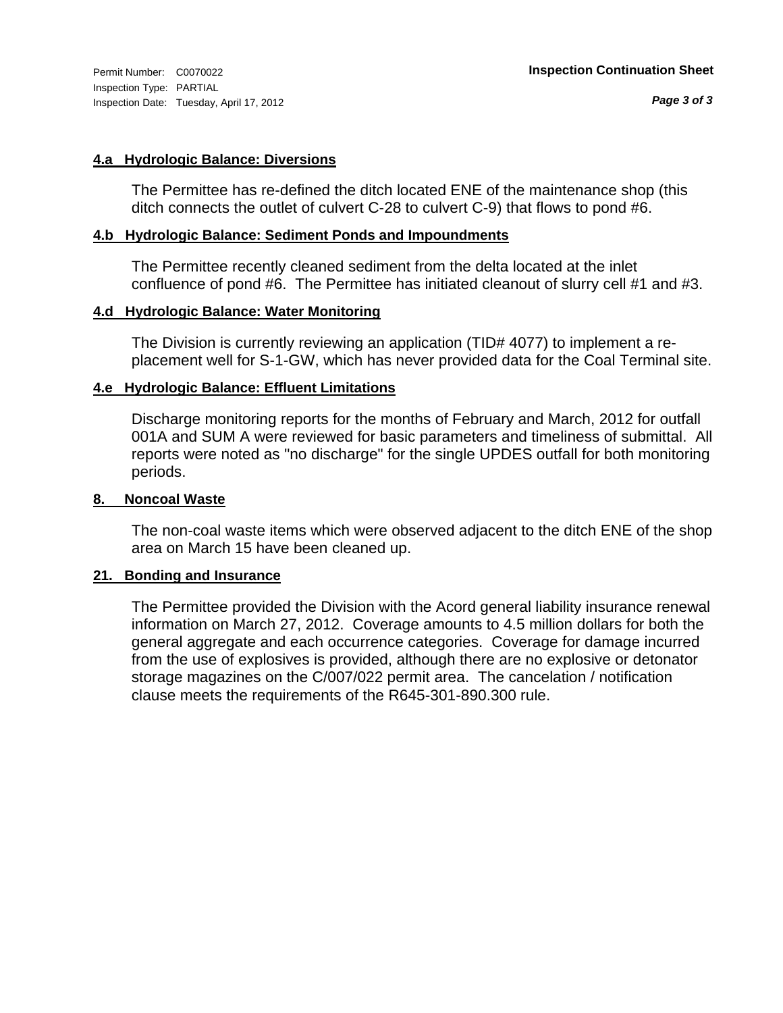Inspection Type: PARTIAL Inspection Date: Tuesday, April 17, 2012

# **4.a Hydrologic Balance: Diversions**

The Permittee has re-defined the ditch located ENE of the maintenance shop (this ditch connects the outlet of culvert C-28 to culvert C-9) that flows to pond #6.

# **4.b Hydrologic Balance: Sediment Ponds and Impoundments**

The Permittee recently cleaned sediment from the delta located at the inlet confluence of pond #6. The Permittee has initiated cleanout of slurry cell #1 and #3.

# **4.d Hydrologic Balance: Water Monitoring**

The Division is currently reviewing an application (TID# 4077) to implement a replacement well for S-1-GW, which has never provided data for the Coal Terminal site.

# **4.e Hydrologic Balance: Effluent Limitations**

Discharge monitoring reports for the months of February and March, 2012 for outfall 001A and SUM A were reviewed for basic parameters and timeliness of submittal. All reports were noted as "no discharge" for the single UPDES outfall for both monitoring periods.

## **8. Noncoal Waste**

The non-coal waste items which were observed adjacent to the ditch ENE of the shop area on March 15 have been cleaned up.

## **21. Bonding and Insurance**

The Permittee provided the Division with the Acord general liability insurance renewal information on March 27, 2012. Coverage amounts to 4.5 million dollars for both the general aggregate and each occurrence categories. Coverage for damage incurred from the use of explosives is provided, although there are no explosive or detonator storage magazines on the C/007/022 permit area. The cancelation / notification clause meets the requirements of the R645-301-890.300 rule.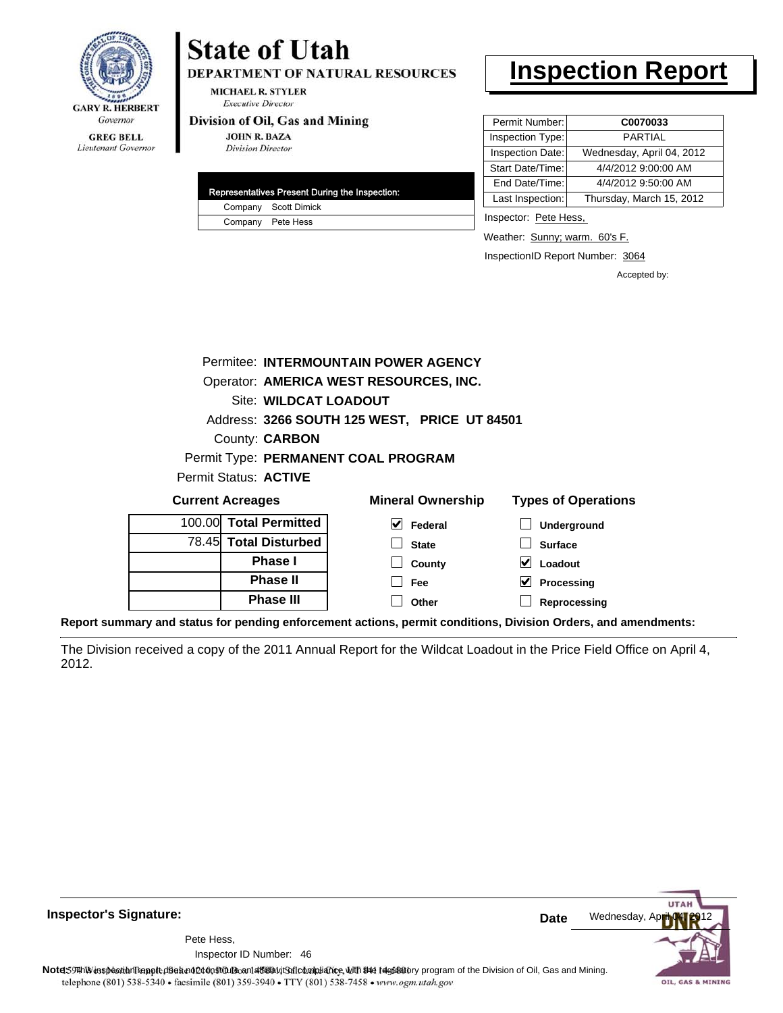

# **State of Utah**

**DEPARTMENT OF NATURAL RESOURCES** 

**MICHAEL R. STYLER Executive Director** 

### Division of Oil, Gas and Mining

**JOHN R. BAZA Division Director** 

|  | Representatives Present During the Inspection: |
|--|------------------------------------------------|
|  | Company Scott Dimick                           |
|  | Company Pete Hess                              |

# **Inspection Report**

| Permit Number:   | C0070033                  |
|------------------|---------------------------|
| Inspection Type: | <b>PARTIAL</b>            |
| Inspection Date: | Wednesday, April 04, 2012 |
| Start Date/Time: | 4/4/2012 9:00:00 AM       |
| End Date/Time:   | 4/4/2012 9:50:00 AM       |
| Last Inspection: | Thursday, March 15, 2012  |

Inspector: Pete Hess,

Weather: Sunny; warm. 60's F.

InspectionID Report Number: 3064

Accepted by:

|                                     |                                        |                              | Permitee: INTERMOUNTAIN POWER AGENCY         |                            |
|-------------------------------------|----------------------------------------|------------------------------|----------------------------------------------|----------------------------|
|                                     | Operator: AMERICA WEST RESOURCES, INC. |                              |                                              |                            |
|                                     | Site: WILDCAT LOADOUT                  |                              |                                              |                            |
|                                     |                                        |                              | Address: 3266 SOUTH 125 WEST, PRICE UT 84501 |                            |
| County: <b>CARBON</b>               |                                        |                              |                                              |                            |
| Permit Type: PERMANENT COAL PROGRAM |                                        |                              |                                              |                            |
|                                     |                                        | Permit Status: <b>ACTIVE</b> |                                              |                            |
| <b>Current Acreages</b>             |                                        |                              | <b>Mineral Ownership</b>                     | <b>Types of Operations</b> |
|                                     |                                        | 100.00 Total Permitted       | M<br>Federal                                 | <b>Underground</b>         |
|                                     |                                        | 78.45 Total Disturbed        | <b>State</b>                                 | <b>Surface</b>             |
|                                     |                                        | <b>Phase I</b>               | County                                       | Loadout                    |

**Fee Other**

| $100.001$ TULAI FUITINGU |  |
|--------------------------|--|
| 78.45 Total Disturbed    |  |
| <b>Phase I</b>           |  |
| <b>Phase II</b>          |  |
| <b>Phase III</b>         |  |

**Loadout Processing**

**Reprocessing**

**Report summary and status for pending enforcement actions, permit conditions, Division Orders, and amendments:**

The Division received a copy of the 2011 Annual Report for the Wildcat Loadout in the Price Field Office on April 4, 2012.



**Inspector's Signature:**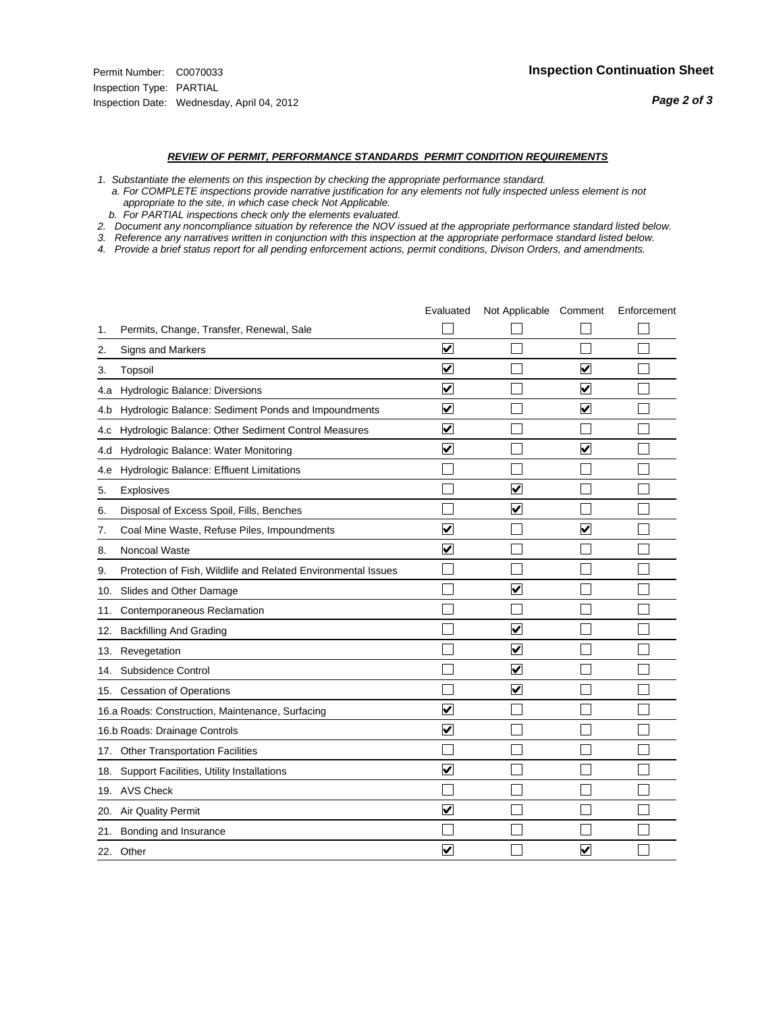- *1. Substantiate the elements on this inspection by checking the appropriate performance standard.*
- *a. For COMPLETE inspections provide narrative justification for any elements not fully inspected unless element is not appropriate to the site, in which case check Not Applicable.*
- *b. For PARTIAL inspections check only the elements evaluated.*
- *2. Document any noncompliance situation by reference the NOV issued at the appropriate performance standard listed below.*
- *3. Reference any narratives written in conjunction with this inspection at the appropriate performace standard listed below.*
- *4. Provide a brief status report for all pending enforcement actions, permit conditions, Divison Orders, and amendments.*

|     |                                                               | Evaluated               | Not Applicable Comment          |                         | Enforcement |
|-----|---------------------------------------------------------------|-------------------------|---------------------------------|-------------------------|-------------|
| 1.  | Permits, Change, Transfer, Renewal, Sale                      |                         |                                 |                         |             |
| 2.  | <b>Signs and Markers</b>                                      | $\overline{\mathbf{v}}$ |                                 |                         |             |
| 3.  | Topsoil                                                       | $\overline{\mathbf{v}}$ |                                 | $\overline{\mathbf{v}}$ |             |
| 4.a | <b>Hydrologic Balance: Diversions</b>                         | ⊻                       |                                 | $\blacktriangledown$    |             |
| 4.b | Hydrologic Balance: Sediment Ponds and Impoundments           | ⊻                       |                                 | ⊻                       |             |
| 4.C | Hydrologic Balance: Other Sediment Control Measures           | $\overline{\mathbf{v}}$ |                                 |                         |             |
| 4.d | Hydrologic Balance: Water Monitoring                          | $\overline{\mathbf{v}}$ |                                 | $\overline{\mathbf{v}}$ |             |
| 4.e | Hydrologic Balance: Effluent Limitations                      |                         |                                 |                         |             |
| 5.  | Explosives                                                    |                         | $\overline{\mathbf{v}}$         |                         |             |
| 6.  | Disposal of Excess Spoil, Fills, Benches                      |                         | $\overline{\mathbf{v}}$         |                         |             |
| 7.  | Coal Mine Waste, Refuse Piles, Impoundments                   | $\overline{\mathbf{v}}$ |                                 | $\overline{\mathbf{v}}$ |             |
| 8.  | Noncoal Waste                                                 | $\overline{\mathbf{v}}$ |                                 |                         |             |
| 9.  | Protection of Fish, Wildlife and Related Environmental Issues |                         |                                 |                         |             |
| 10. | Slides and Other Damage                                       |                         | $\overline{\mathbf{v}}$         |                         |             |
| 11. | Contemporaneous Reclamation                                   |                         |                                 |                         |             |
| 12. | <b>Backfilling And Grading</b>                                |                         | $\overline{\mathbf{v}}$         |                         |             |
| 13. | Revegetation                                                  |                         | $\overline{\mathbf{v}}$         |                         |             |
| 14. | Subsidence Control                                            |                         | ✓                               |                         |             |
| 15. | <b>Cessation of Operations</b>                                |                         | $\overline{\blacktriangledown}$ |                         |             |
|     | 16.a Roads: Construction, Maintenance, Surfacing              | ⊽                       |                                 |                         |             |
|     | 16.b Roads: Drainage Controls                                 | $\overline{\mathsf{v}}$ |                                 |                         |             |
| 17. | <b>Other Transportation Facilities</b>                        |                         |                                 |                         |             |
| 18. | Support Facilities, Utility Installations                     | $\overline{\mathbf{v}}$ |                                 |                         |             |
|     | 19. AVS Check                                                 |                         |                                 |                         |             |
| 20. | Air Quality Permit                                            | $\blacktriangledown$    |                                 |                         |             |
|     | 21. Bonding and Insurance                                     |                         |                                 |                         |             |
|     | 22. Other                                                     | $\overline{\mathbf{v}}$ |                                 | $\overline{\mathbf{v}}$ |             |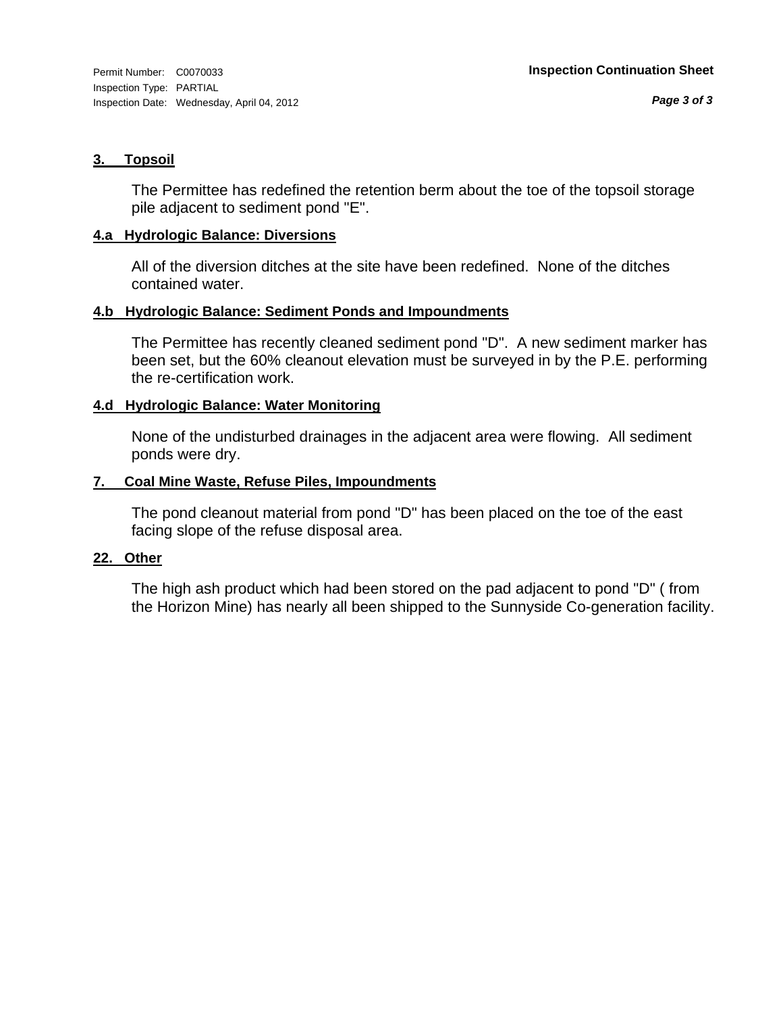# **3. Topsoil**

The Permittee has redefined the retention berm about the toe of the topsoil storage pile adjacent to sediment pond "E".

# **4.a Hydrologic Balance: Diversions**

All of the diversion ditches at the site have been redefined. None of the ditches contained water.

# **4.b Hydrologic Balance: Sediment Ponds and Impoundments**

The Permittee has recently cleaned sediment pond "D". A new sediment marker has been set, but the 60% cleanout elevation must be surveyed in by the P.E. performing the re-certification work.

# **4.d Hydrologic Balance: Water Monitoring**

None of the undisturbed drainages in the adjacent area were flowing. All sediment ponds were dry.

# **7. Coal Mine Waste, Refuse Piles, Impoundments**

The pond cleanout material from pond "D" has been placed on the toe of the east facing slope of the refuse disposal area.

## **22. Other**

The high ash product which had been stored on the pad adjacent to pond "D" ( from the Horizon Mine) has nearly all been shipped to the Sunnyside Co-generation facility.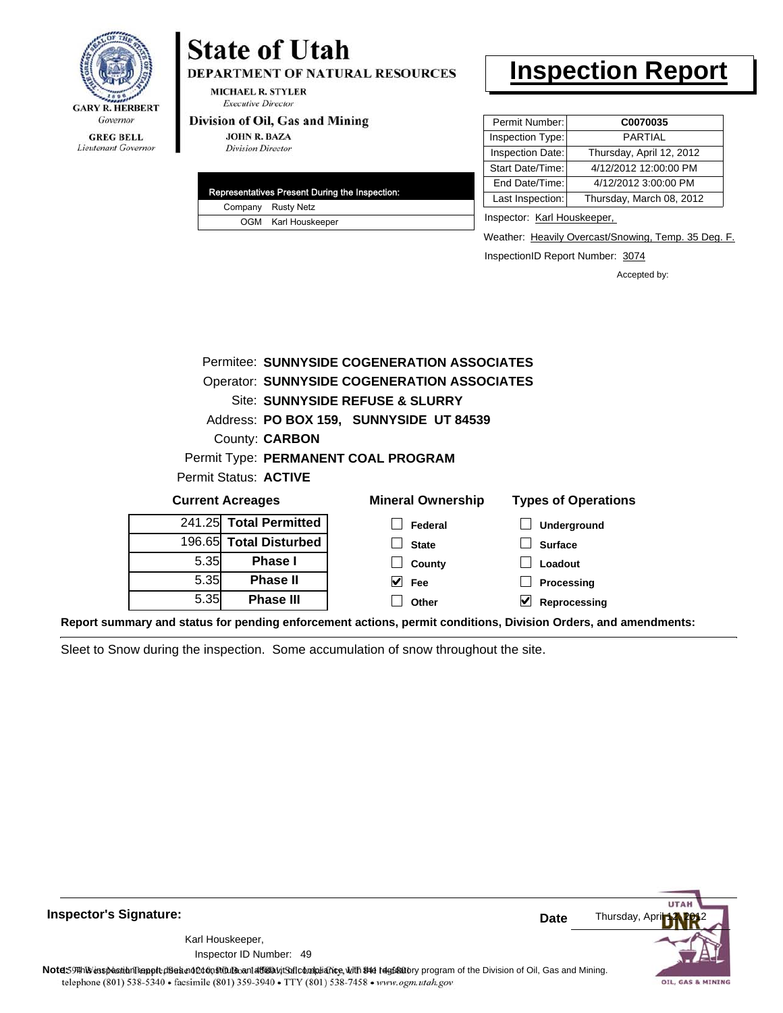

Lieutenant Governor

# **State of Utah**

**DEPARTMENT OF NATURAL RESOURCES** 

**MICHAEL R. STYLER Executive Director** 

### Division of Oil, Gas and Mining

**JOHN R. BAZA Division Director** 

| Representatives Present During the Inspection: |
|------------------------------------------------|
| Company Rusty Netz                             |
| OGM Karl Houskeeper                            |

# **Inspection Report**

| Permit Number:   | C0070035                 |
|------------------|--------------------------|
| Inspection Type: | <b>PARTIAL</b>           |
| Inspection Date: | Thursday, April 12, 2012 |
| Start Date/Time: | 4/12/2012 12:00:00 PM    |
| End Date/Time:   | 4/12/2012 3:00:00 PM     |
| Last Inspection: | Thursday, March 08, 2012 |
|                  |                          |

Inspector: Karl Houskeeper,

Weather: Heavily Overcast/Snowing, Temp. 35 Deg. F.

InspectionID Report Number: 3074

**Processing Reprocessing** Accepted by:

|                         | Permitee: SUNNYSIDE COGENERATION ASSOCIATES        |                        |                                         |                            |
|-------------------------|----------------------------------------------------|------------------------|-----------------------------------------|----------------------------|
|                         | <b>Operator: SUNNYSIDE COGENERATION ASSOCIATES</b> |                        |                                         |                            |
|                         |                                                    |                        | Site: SUNNYSIDE REFUSE & SLURRY         |                            |
|                         |                                                    |                        | Address: PO BOX 159, SUNNYSIDE UT 84539 |                            |
|                         |                                                    | <b>County: CARBON</b>  |                                         |                            |
|                         |                                                    |                        | Permit Type: PERMANENT COAL PROGRAM     |                            |
|                         |                                                    | Permit Status: ACTIVE  |                                         |                            |
| <b>Current Acreages</b> |                                                    |                        | <b>Mineral Ownership</b>                | <b>Types of Operations</b> |
|                         |                                                    | 241.25 Total Permitted | Federal                                 | <b>Underground</b>         |
|                         |                                                    | 196.65 Total Disturbed | <b>State</b>                            | <b>Surface</b>             |
| 5.35                    |                                                    | <b>Phase I</b>         | County                                  | Loadout                    |

**Fee Other**

**Report summary and status for pending enforcement actions, permit conditions, Division Orders, and amendments:**

Sleet to Snow during the inspection. Some accumulation of snow throughout the site.

**Phase II Phase III**

5.35 5.35

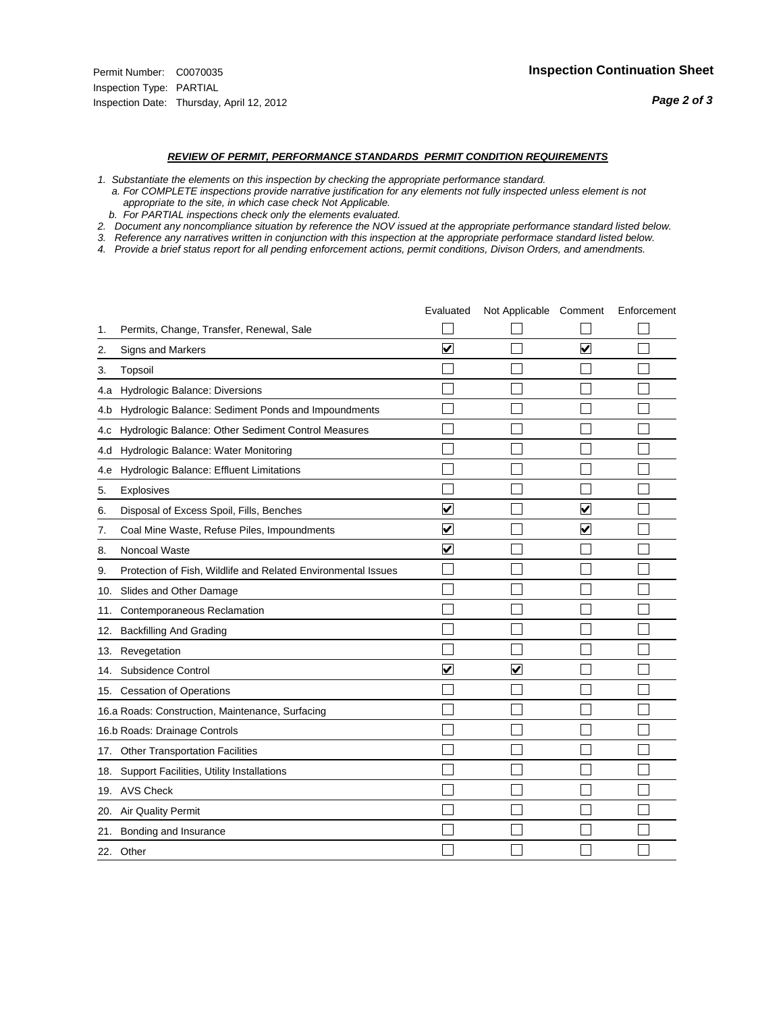- *1. Substantiate the elements on this inspection by checking the appropriate performance standard.*
- *a. For COMPLETE inspections provide narrative justification for any elements not fully inspected unless element is not appropriate to the site, in which case check Not Applicable.*
- *b. For PARTIAL inspections check only the elements evaluated.*
- *2. Document any noncompliance situation by reference the NOV issued at the appropriate performance standard listed below.*
- *3. Reference any narratives written in conjunction with this inspection at the appropriate performace standard listed below.*
- *4. Provide a brief status report for all pending enforcement actions, permit conditions, Divison Orders, and amendments.*

|     |                                                               | Evaluated                       | Not Applicable Comment  |                         | Enforcement |
|-----|---------------------------------------------------------------|---------------------------------|-------------------------|-------------------------|-------------|
| 1.  | Permits, Change, Transfer, Renewal, Sale                      |                                 |                         |                         |             |
| 2.  | <b>Signs and Markers</b>                                      | $\overline{\mathbf{v}}$         |                         | $\overline{\mathbf{v}}$ |             |
| 3.  | Topsoil                                                       |                                 |                         |                         |             |
| 4.a | Hydrologic Balance: Diversions                                |                                 |                         |                         |             |
| 4.b | Hydrologic Balance: Sediment Ponds and Impoundments           |                                 |                         |                         |             |
| 4.C | Hydrologic Balance: Other Sediment Control Measures           |                                 |                         |                         |             |
| 4.d | Hydrologic Balance: Water Monitoring                          |                                 |                         |                         |             |
| 4.e | Hydrologic Balance: Effluent Limitations                      |                                 |                         |                         |             |
| 5.  | <b>Explosives</b>                                             |                                 |                         |                         |             |
| 6.  | Disposal of Excess Spoil, Fills, Benches                      | $\blacktriangledown$            |                         | ⊻                       |             |
| 7.  | Coal Mine Waste, Refuse Piles, Impoundments                   | $\overline{\mathbf{v}}$         |                         | $\overline{\mathbf{v}}$ |             |
| 8.  | Noncoal Waste                                                 | $\overline{\blacktriangledown}$ |                         |                         |             |
| 9.  | Protection of Fish, Wildlife and Related Environmental Issues |                                 |                         |                         |             |
| 10. | Slides and Other Damage                                       |                                 |                         |                         |             |
| 11. | Contemporaneous Reclamation                                   |                                 |                         |                         |             |
| 12. | <b>Backfilling And Grading</b>                                |                                 |                         |                         |             |
| 13. | Revegetation                                                  |                                 |                         |                         |             |
| 14. | Subsidence Control                                            | $\overline{\mathbf{v}}$         | $\overline{\mathbf{v}}$ |                         |             |
|     | 15. Cessation of Operations                                   |                                 |                         |                         |             |
|     | 16.a Roads: Construction, Maintenance, Surfacing              |                                 |                         |                         |             |
|     | 16.b Roads: Drainage Controls                                 |                                 |                         |                         |             |
|     | 17. Other Transportation Facilities                           |                                 |                         |                         |             |
| 18. | Support Facilities, Utility Installations                     |                                 |                         |                         |             |
|     | 19. AVS Check                                                 |                                 |                         |                         |             |
| 20. | Air Quality Permit                                            |                                 |                         |                         |             |
|     | 21. Bonding and Insurance                                     |                                 |                         |                         |             |
|     | 22. Other                                                     |                                 |                         |                         |             |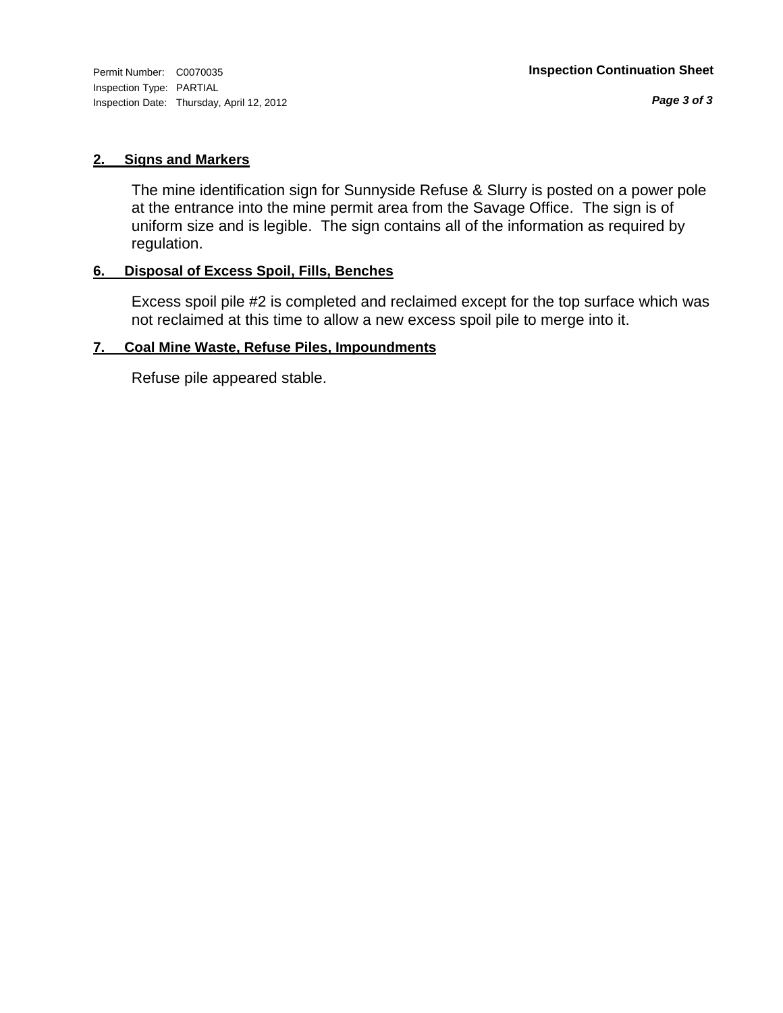Inspection Type: PARTIAL Inspection Date: Thursday, April 12, 2012

*Page 3 of 3*

# **2. Signs and Markers**

The mine identification sign for Sunnyside Refuse & Slurry is posted on a power pole at the entrance into the mine permit area from the Savage Office. The sign is of uniform size and is legible. The sign contains all of the information as required by regulation.

# **6. Disposal of Excess Spoil, Fills, Benches**

Excess spoil pile #2 is completed and reclaimed except for the top surface which was not reclaimed at this time to allow a new excess spoil pile to merge into it.

# **7. Coal Mine Waste, Refuse Piles, Impoundments**

Refuse pile appeared stable.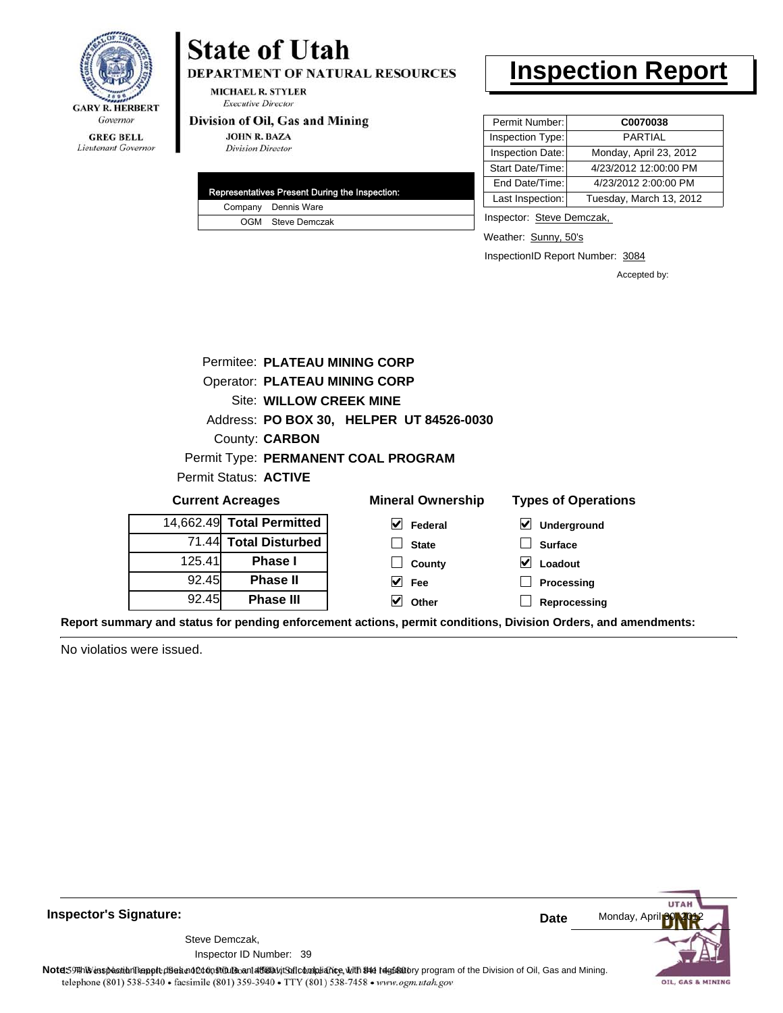

# **GREG BELL** Lieutenant Governor

# **State of Utah**

DEPARTMENT OF NATURAL RESOURCES

**MICHAEL R. STYLER Executive Director** 

### Division of Oil, Gas and Mining

**JOHN R. BAZA Division Director** 

| Representatives Present During the Inspection: |
|------------------------------------------------|
| Company Dennis Ware                            |
| OGM Steve Demczak                              |

# **Inspection Report**

| Permit Number:   | C0070038                |
|------------------|-------------------------|
| Inspection Type: | <b>PARTIAL</b>          |
| Inspection Date: | Monday, April 23, 2012  |
| Start Date/Time: | 4/23/2012 12:00:00 PM   |
| End Date/Time:   | 4/23/2012 2:00:00 PM    |
| Last Inspection: | Tuesday, March 13, 2012 |

Inspector: Steve Demczak,

Weather: Sunny, 50's

InspectionID Report Number: 3084

**Reprocessing**

Accepted by:

|        | Permitee: PLATEAU MINING CORP        |                                          |                            |  |
|--------|--------------------------------------|------------------------------------------|----------------------------|--|
|        | <b>Operator: PLATEAU MINING CORP</b> |                                          |                            |  |
|        | Site: WILLOW CREEK MINE              |                                          |                            |  |
|        |                                      | Address: PO BOX 30, HELPER UT 84526-0030 |                            |  |
|        | County: <b>CARBON</b>                |                                          |                            |  |
|        |                                      | Permit Type: PERMANENT COAL PROGRAM      |                            |  |
|        | Permit Status: ACTIVE                |                                          |                            |  |
|        | <b>Current Acreages</b>              | <b>Mineral Ownership</b>                 | <b>Types of Operations</b> |  |
|        | 14,662.49 Total Permitted            | $\vert \mathbf{v} \vert$ Federal         | V<br>Underground           |  |
|        | 71.44 Total Disturbed                | <b>State</b>                             | <b>Surface</b>             |  |
| 125.41 | <b>Phase I</b>                       | County                                   | Loadout<br>M               |  |
| 92.45  | <b>Phase II</b>                      | Fee                                      | Processing                 |  |

**Other**

**Report summary and status for pending enforcement actions, permit conditions, Division Orders, and amendments:**

No violatios were issued.

92.45

**Phase III**



**Inspector's Signature:**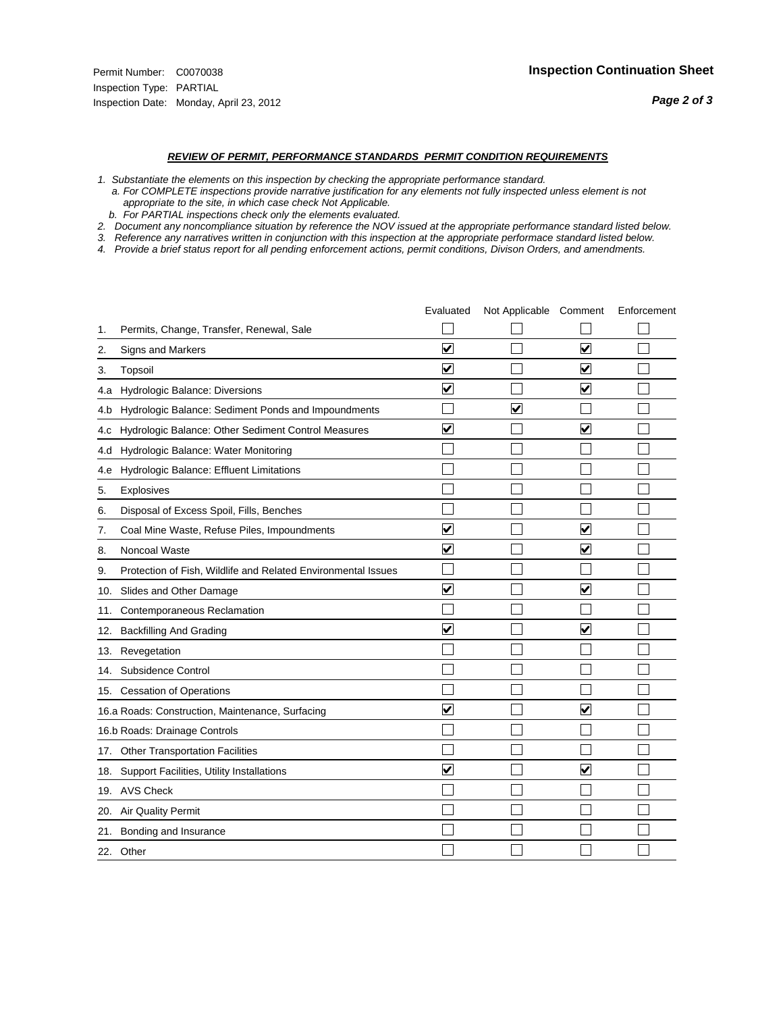- *1. Substantiate the elements on this inspection by checking the appropriate performance standard.*
- *a. For COMPLETE inspections provide narrative justification for any elements not fully inspected unless element is not appropriate to the site, in which case check Not Applicable.*
- *b. For PARTIAL inspections check only the elements evaluated.*
- *2. Document any noncompliance situation by reference the NOV issued at the appropriate performance standard listed below.*
- *3. Reference any narratives written in conjunction with this inspection at the appropriate performace standard listed below.*
- *4. Provide a brief status report for all pending enforcement actions, permit conditions, Divison Orders, and amendments.*

|     |                                                               | Evaluated               | Not Applicable Comment |                         | Enforcement |
|-----|---------------------------------------------------------------|-------------------------|------------------------|-------------------------|-------------|
| 1.  | Permits, Change, Transfer, Renewal, Sale                      |                         |                        |                         |             |
| 2.  | <b>Signs and Markers</b>                                      | $\overline{\mathbf{v}}$ |                        | $\blacktriangledown$    |             |
| 3.  | Topsoil                                                       | $\overline{\mathbf{v}}$ |                        | $\overline{\mathsf{v}}$ |             |
| 4.a | Hydrologic Balance: Diversions                                | $\blacktriangledown$    |                        | $\blacktriangledown$    |             |
| 4.b | Hydrologic Balance: Sediment Ponds and Impoundments           |                         | V                      |                         |             |
| 4.c | Hydrologic Balance: Other Sediment Control Measures           | $\overline{\mathbf{v}}$ |                        | $\blacktriangledown$    |             |
| 4.d | Hydrologic Balance: Water Monitoring                          |                         |                        |                         |             |
| 4.e | Hydrologic Balance: Effluent Limitations                      |                         |                        |                         |             |
| 5.  | <b>Explosives</b>                                             |                         |                        |                         |             |
| 6.  | Disposal of Excess Spoil, Fills, Benches                      |                         |                        |                         |             |
| 7.  | Coal Mine Waste, Refuse Piles, Impoundments                   | $\overline{\mathbf{v}}$ |                        | $\overline{\mathbf{v}}$ |             |
| 8.  | Noncoal Waste                                                 | $\overline{\mathsf{v}}$ |                        | $\overline{\mathbf{v}}$ |             |
| 9.  | Protection of Fish, Wildlife and Related Environmental Issues |                         |                        |                         |             |
|     | 10. Slides and Other Damage                                   | ⊽                       |                        | ☑                       |             |
| 11. | Contemporaneous Reclamation                                   |                         |                        |                         |             |
| 12. | <b>Backfilling And Grading</b>                                | $\blacktriangledown$    |                        | $\blacktriangledown$    |             |
| 13. | Revegetation                                                  |                         |                        |                         |             |
| 14. | Subsidence Control                                            |                         |                        |                         |             |
|     | 15. Cessation of Operations                                   |                         |                        |                         |             |
|     | 16.a Roads: Construction, Maintenance, Surfacing              | ⊽                       |                        | $\blacktriangledown$    |             |
|     | 16.b Roads: Drainage Controls                                 |                         |                        |                         |             |
| 17. | <b>Other Transportation Facilities</b>                        |                         |                        |                         |             |
| 18. | Support Facilities, Utility Installations                     | $\overline{\mathbf{v}}$ |                        | $\blacktriangledown$    |             |
|     | 19. AVS Check                                                 |                         |                        |                         |             |
| 20. | Air Quality Permit                                            |                         |                        |                         |             |
|     | 21. Bonding and Insurance                                     |                         |                        |                         |             |
|     | 22. Other                                                     |                         |                        |                         |             |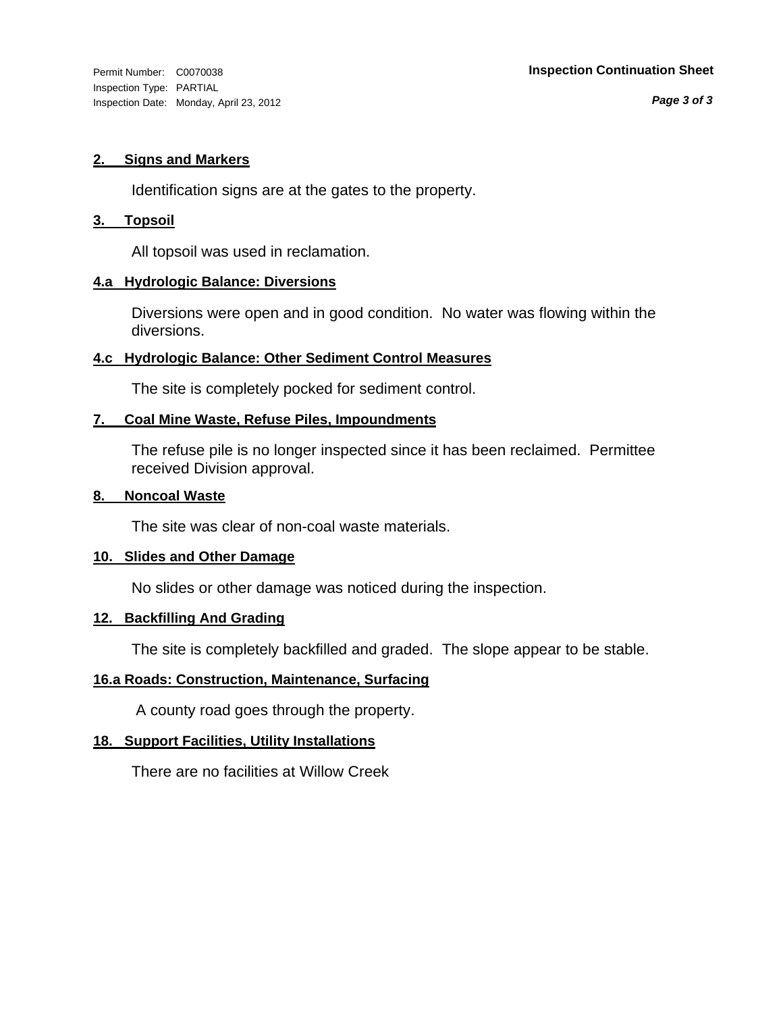Inspection Type: PARTIAL Inspection Date: Monday, April 23, 2012

*Page 3 of 3*

# **2. Signs and Markers**

Identification signs are at the gates to the property.

# **3. Topsoil**

All topsoil was used in reclamation.

# **4.a Hydrologic Balance: Diversions**

Diversions were open and in good condition. No water was flowing within the diversions.

# **4.c Hydrologic Balance: Other Sediment Control Measures**

The site is completely pocked for sediment control.

# **7. Coal Mine Waste, Refuse Piles, Impoundments**

The refuse pile is no longer inspected since it has been reclaimed. Permittee received Division approval.

## **8. Noncoal Waste**

The site was clear of non-coal waste materials.

## **10. Slides and Other Damage**

No slides or other damage was noticed during the inspection.

## **12. Backfilling And Grading**

The site is completely backfilled and graded. The slope appear to be stable.

# **16.a Roads: Construction, Maintenance, Surfacing**

A county road goes through the property.

# **18. Support Facilities, Utility Installations**

There are no facilities at Willow Creek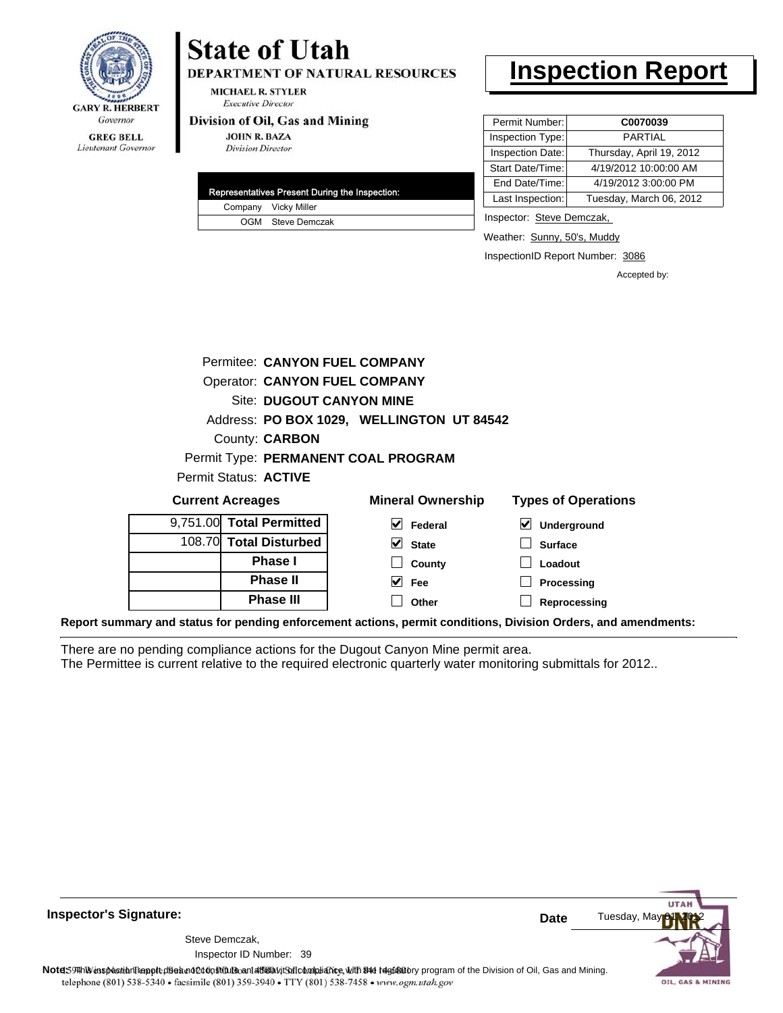

# **GREG BELL** Lieutenant Governor

# **State of Utah**

**DEPARTMENT OF NATURAL RESOURCES** 

**MICHAEL R. STYLER Executive Director** 

### Division of Oil, Gas and Mining

**JOHN R. BAZA Division Director** 

|  |  | Representatives Present During the Inspection: |
|--|--|------------------------------------------------|
|  |  | Company Vicky Miller                           |
|  |  | OGM Steve Demczak                              |

# **Inspection Report**

| Permit Number:   | C0070039                 |
|------------------|--------------------------|
| Inspection Type: | <b>PARTIAL</b>           |
| Inspection Date: | Thursday, April 19, 2012 |
| Start Date/Time: | 4/19/2012 10:00:00 AM    |
| End Date/Time:   | 4/19/2012 3:00:00 PM     |
| Last Inspection: | Tuesday, March 06, 2012  |
|                  |                          |

Inspector: Steve Demczak,

Weather: Sunny, 50's, Muddy

**Processing Reprocessing**

InspectionID Report Number: 3086

Accepted by:

|                          |                              | Permitee: CANYON FUEL COMPANY        |                                           |                            |  |
|--------------------------|------------------------------|--------------------------------------|-------------------------------------------|----------------------------|--|
|                          |                              | <b>Operator: CANYON FUEL COMPANY</b> |                                           |                            |  |
|                          |                              | <b>Site: DUGOUT CANYON MINE</b>      |                                           |                            |  |
|                          |                              |                                      | Address: PO BOX 1029, WELLINGTON UT 84542 |                            |  |
|                          |                              | County: <b>CARBON</b>                |                                           |                            |  |
|                          |                              |                                      | Permit Type: PERMANENT COAL PROGRAM       |                            |  |
|                          | <b>Permit Status: ACTIVE</b> |                                      |                                           |                            |  |
| <b>Current Acreages</b>  |                              |                                      | <b>Mineral Ownership</b>                  | <b>Types of Operations</b> |  |
| 9,751.00 Total Permitted |                              |                                      | M<br>Federal                              | ⊻<br>Underground           |  |
|                          |                              | 108.70 Total Disturbed               | <b>State</b>                              | <b>Surface</b>             |  |
|                          |                              | <b>Phase I</b>                       | County                                    | Loadout                    |  |

**Fee Other**

**Report summary and status for pending enforcement actions, permit conditions, Division Orders, and amendments:**

There are no pending compliance actions for the Dugout Canyon Mine permit area. The Permittee is current relative to the required electronic quarterly water monitoring submittals for 2012..

**Phase II Phase III**

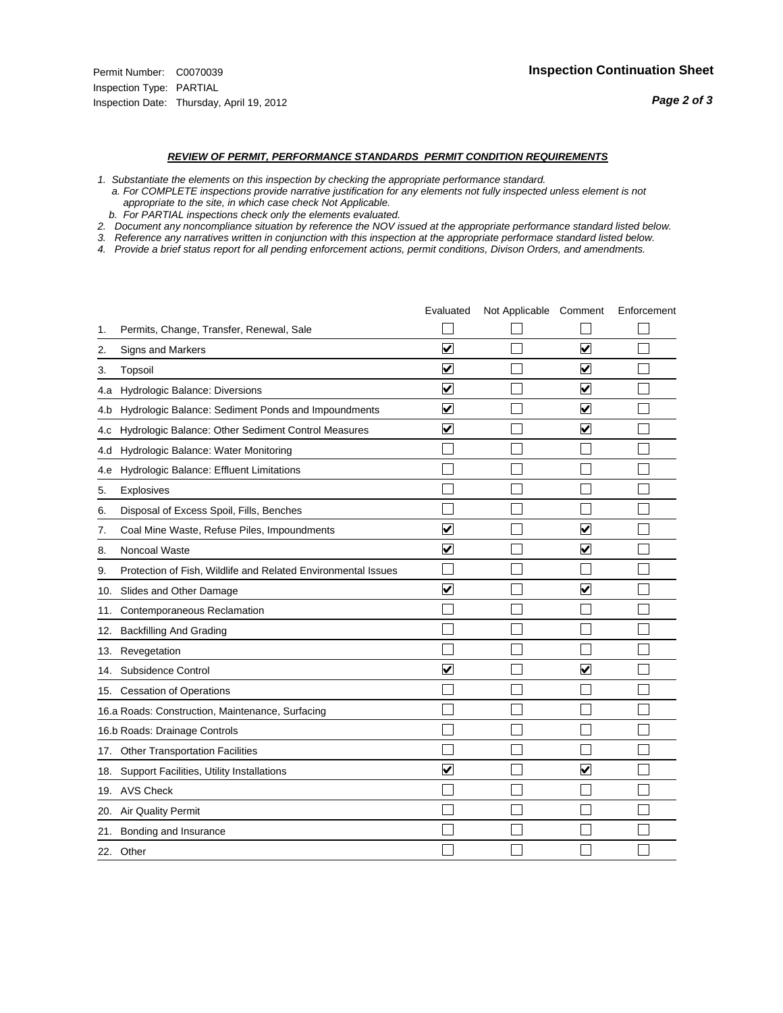- *1. Substantiate the elements on this inspection by checking the appropriate performance standard.*
- *a. For COMPLETE inspections provide narrative justification for any elements not fully inspected unless element is not appropriate to the site, in which case check Not Applicable.*
- *b. For PARTIAL inspections check only the elements evaluated.*
- *2. Document any noncompliance situation by reference the NOV issued at the appropriate performance standard listed below.*
- *3. Reference any narratives written in conjunction with this inspection at the appropriate performace standard listed below.*
- *4. Provide a brief status report for all pending enforcement actions, permit conditions, Divison Orders, and amendments.*

|     |                                                               | Evaluated               | Not Applicable Comment |                         | Enforcement |
|-----|---------------------------------------------------------------|-------------------------|------------------------|-------------------------|-------------|
| 1.  | Permits, Change, Transfer, Renewal, Sale                      |                         |                        |                         |             |
| 2.  | <b>Signs and Markers</b>                                      | $\overline{\mathbf{v}}$ |                        | $\blacktriangledown$    |             |
| 3.  | Topsoil                                                       | $\overline{\mathbf{v}}$ |                        | $\overline{\mathsf{v}}$ |             |
| 4.a | Hydrologic Balance: Diversions                                | $\blacktriangledown$    |                        | $\blacktriangledown$    |             |
| 4.b | Hydrologic Balance: Sediment Ponds and Impoundments           | $\blacktriangledown$    |                        | V                       |             |
| 4.c | Hydrologic Balance: Other Sediment Control Measures           | $\overline{\mathbf{v}}$ |                        | $\blacktriangledown$    |             |
| 4.d | Hydrologic Balance: Water Monitoring                          |                         |                        |                         |             |
| 4.e | Hydrologic Balance: Effluent Limitations                      |                         |                        |                         |             |
| 5.  | <b>Explosives</b>                                             |                         |                        |                         |             |
| 6.  | Disposal of Excess Spoil, Fills, Benches                      |                         |                        |                         |             |
| 7.  | Coal Mine Waste, Refuse Piles, Impoundments                   | $\overline{\mathbf{v}}$ |                        | $\overline{\mathbf{v}}$ |             |
| 8.  | Noncoal Waste                                                 | $\overline{\mathsf{v}}$ |                        | $\overline{\mathbf{v}}$ |             |
| 9.  | Protection of Fish, Wildlife and Related Environmental Issues |                         |                        |                         |             |
|     | 10. Slides and Other Damage                                   | ⊽                       |                        | ⊽                       |             |
| 11. | Contemporaneous Reclamation                                   |                         |                        |                         |             |
| 12. | <b>Backfilling And Grading</b>                                |                         |                        |                         |             |
| 13. | Revegetation                                                  |                         |                        |                         |             |
| 14. | Subsidence Control                                            | $\overline{\mathbf{v}}$ |                        | $\overline{\mathbf{v}}$ |             |
|     | 15. Cessation of Operations                                   |                         |                        |                         |             |
|     | 16.a Roads: Construction, Maintenance, Surfacing              |                         |                        |                         |             |
|     | 16.b Roads: Drainage Controls                                 |                         |                        |                         |             |
| 17. | <b>Other Transportation Facilities</b>                        |                         |                        |                         |             |
| 18. | Support Facilities, Utility Installations                     | $\overline{\mathbf{v}}$ |                        | $\blacktriangledown$    |             |
|     | 19. AVS Check                                                 |                         |                        |                         |             |
| 20. | Air Quality Permit                                            |                         |                        |                         |             |
| 21. | Bonding and Insurance                                         |                         |                        |                         |             |
|     | 22. Other                                                     |                         |                        |                         |             |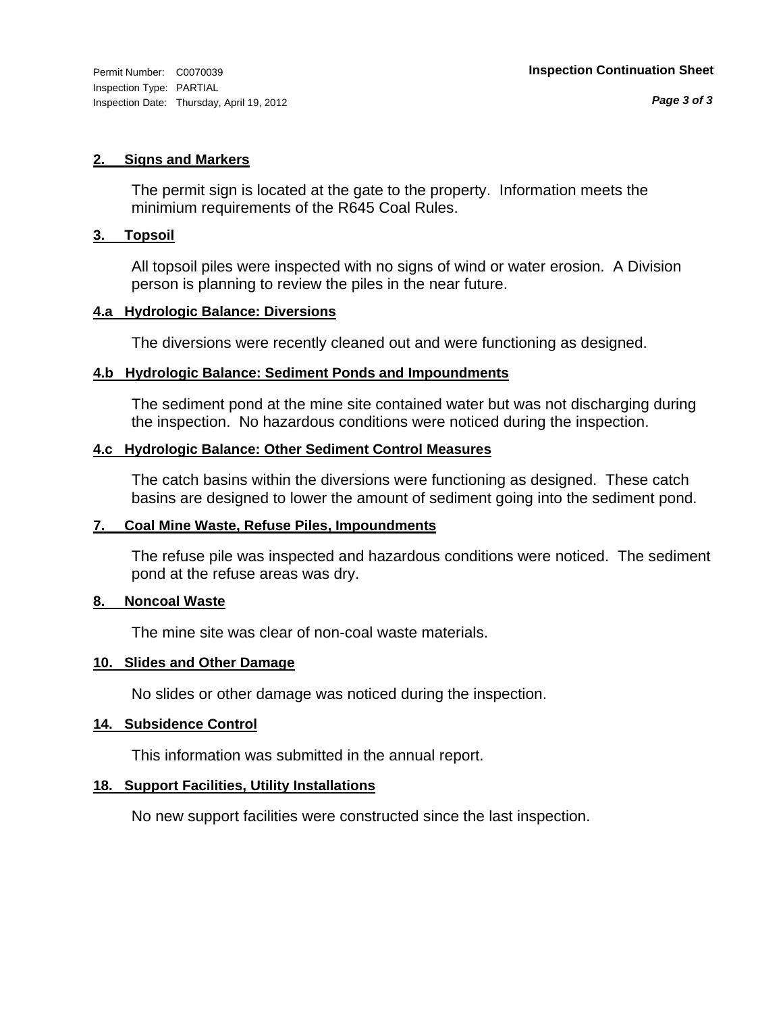#### **2. Signs and Markers**

The permit sign is located at the gate to the property. Information meets the minimium requirements of the R645 Coal Rules.

#### **3. Topsoil**

All topsoil piles were inspected with no signs of wind or water erosion. A Division person is planning to review the piles in the near future.

#### **4.a Hydrologic Balance: Diversions**

The diversions were recently cleaned out and were functioning as designed.

#### **4.b Hydrologic Balance: Sediment Ponds and Impoundments**

The sediment pond at the mine site contained water but was not discharging during the inspection. No hazardous conditions were noticed during the inspection.

#### **4.c Hydrologic Balance: Other Sediment Control Measures**

The catch basins within the diversions were functioning as designed. These catch basins are designed to lower the amount of sediment going into the sediment pond.

#### **7. Coal Mine Waste, Refuse Piles, Impoundments**

The refuse pile was inspected and hazardous conditions were noticed. The sediment pond at the refuse areas was dry.

#### **8. Noncoal Waste**

The mine site was clear of non-coal waste materials.

#### **10. Slides and Other Damage**

No slides or other damage was noticed during the inspection.

#### **14. Subsidence Control**

This information was submitted in the annual report.

#### **18. Support Facilities, Utility Installations**

No new support facilities were constructed since the last inspection.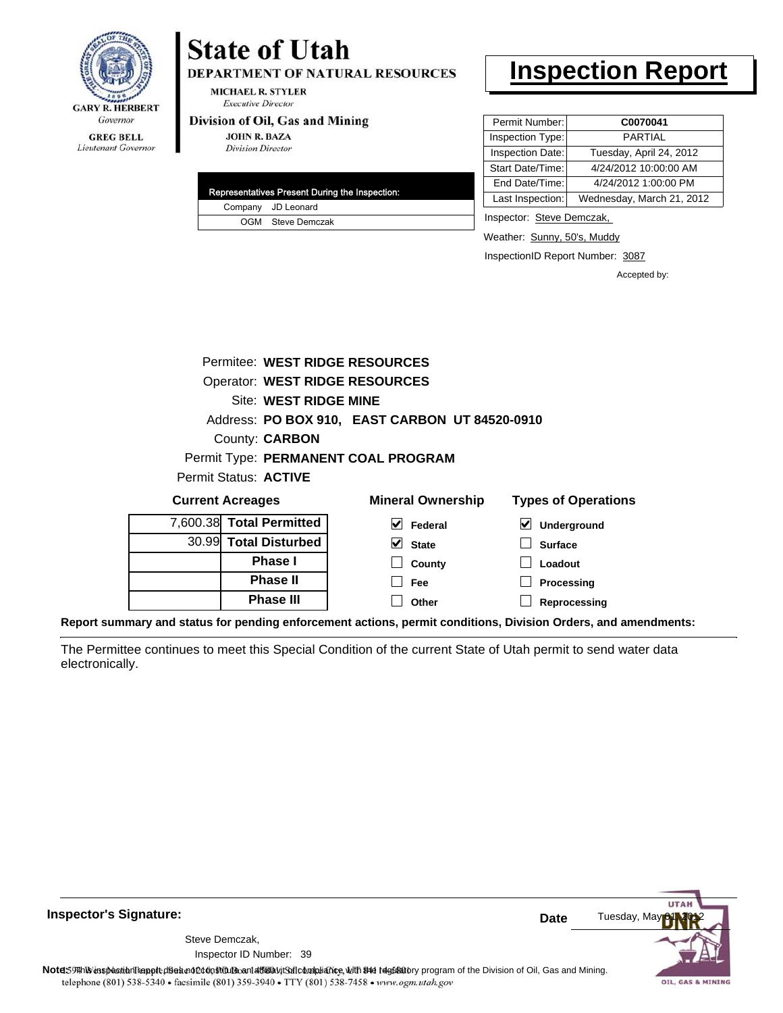

## **State of Utah**

**DEPARTMENT OF NATURAL RESOURCES** 

**MICHAEL R. STYLER Executive Director** 

#### Division of Oil, Gas and Mining

**Phase II Phase III**

**JOHN R. BAZA Division Director** 

|  | <b>Representatives Present During the Inspection:</b> |
|--|-------------------------------------------------------|
|  | Company JD Leonard                                    |
|  | OGM Steve Demczak                                     |

### **Inspection Report**

| Permit Number:   | C0070041                  |
|------------------|---------------------------|
| Inspection Type: | PARTIAL                   |
| Inspection Date: | Tuesday, April 24, 2012   |
| Start Date/Time: | 4/24/2012 10:00:00 AM     |
| End Date/Time:   | 4/24/2012 1:00:00 PM      |
| Last Inspection: | Wednesday, March 21, 2012 |

Inspector: Steve Demczak,

Weather: Sunny, 50's, Muddy

**Processing Reprocessing**

InspectionID Report Number: 3087

Accepted by:

| Permitee: WEST RIDGE RESOURCES |  |                              |                                                |                            |
|--------------------------------|--|------------------------------|------------------------------------------------|----------------------------|
|                                |  |                              | <b>Operator: WEST RIDGE RESOURCES</b>          |                            |
|                                |  | Site: WEST RIDGE MINE        |                                                |                            |
|                                |  |                              | Address: PO BOX 910, EAST CARBON UT 84520-0910 |                            |
|                                |  | County: <b>CARBON</b>        |                                                |                            |
|                                |  |                              | Permit Type: PERMANENT COAL PROGRAM            |                            |
|                                |  | Permit Status: <b>ACTIVE</b> |                                                |                            |
| <b>Current Acreages</b>        |  |                              | <b>Mineral Ownership</b>                       | <b>Types of Operations</b> |
|                                |  | 7,600.38 Total Permitted     | V<br>Federal                                   | ⊻<br>Underground           |
|                                |  | 30.99 Total Disturbed        | <b>State</b>                                   | <b>Surface</b>             |
|                                |  | <b>Phase I</b>               | County                                         | Loadout                    |

**Fee Other**

**Report summary and status for pending enforcement actions, permit conditions, Division Orders, and amendments:**

The Permittee continues to meet this Special Condition of the current State of Utah permit to send water data electronically.



**Inspector's Signature:**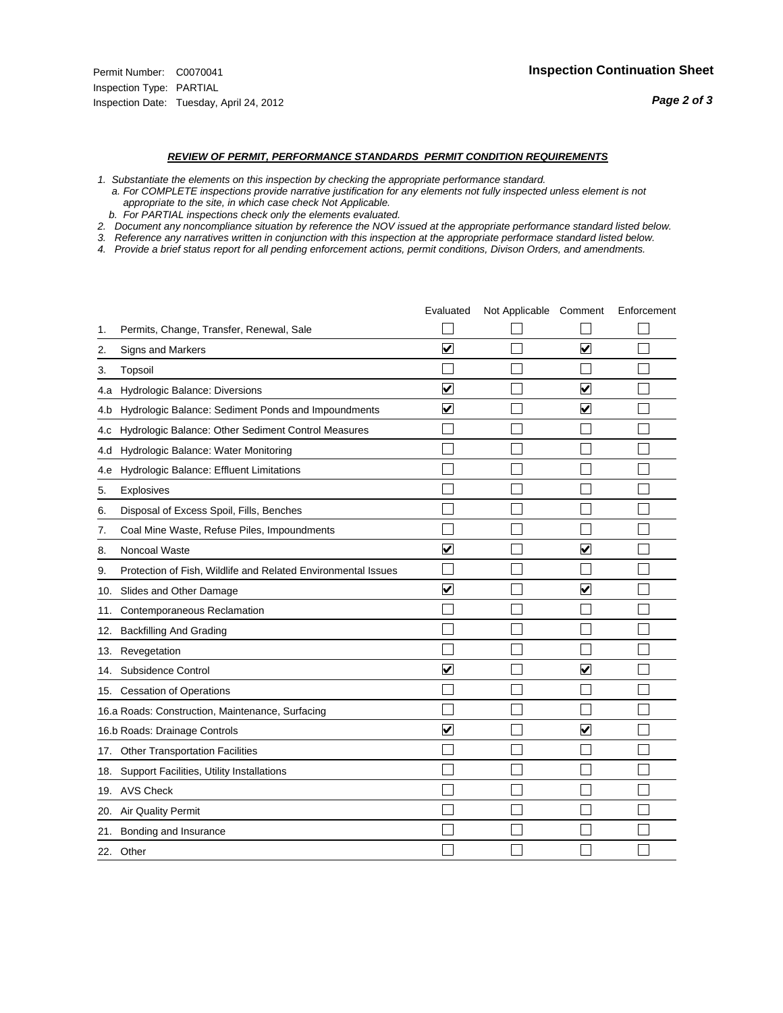- *1. Substantiate the elements on this inspection by checking the appropriate performance standard.*
- *a. For COMPLETE inspections provide narrative justification for any elements not fully inspected unless element is not appropriate to the site, in which case check Not Applicable.*
- *b. For PARTIAL inspections check only the elements evaluated.*
- *2. Document any noncompliance situation by reference the NOV issued at the appropriate performance standard listed below.*
- *3. Reference any narratives written in conjunction with this inspection at the appropriate performace standard listed below.*
- *4. Provide a brief status report for all pending enforcement actions, permit conditions, Divison Orders, and amendments.*

|     |                                                               | Evaluated               | Not Applicable Comment |                      | Enforcement |
|-----|---------------------------------------------------------------|-------------------------|------------------------|----------------------|-------------|
| 1.  | Permits, Change, Transfer, Renewal, Sale                      |                         |                        |                      |             |
| 2.  | Signs and Markers                                             | $\overline{\mathbf{v}}$ |                        | ☑                    |             |
| 3.  | Topsoil                                                       |                         |                        |                      |             |
| 4.a | Hydrologic Balance: Diversions                                | $\blacktriangledown$    |                        | V                    |             |
| 4.b | Hydrologic Balance: Sediment Ponds and Impoundments           | ⊻                       |                        | V                    |             |
| 4.c | Hydrologic Balance: Other Sediment Control Measures           |                         |                        |                      |             |
| 4.d | Hydrologic Balance: Water Monitoring                          |                         |                        |                      |             |
| 4.e | Hydrologic Balance: Effluent Limitations                      |                         |                        |                      |             |
| 5.  | <b>Explosives</b>                                             |                         |                        |                      |             |
| 6.  | Disposal of Excess Spoil, Fills, Benches                      |                         |                        |                      |             |
| 7.  | Coal Mine Waste, Refuse Piles, Impoundments                   |                         |                        |                      |             |
| 8.  | Noncoal Waste                                                 | $\overline{\mathsf{v}}$ |                        | V                    |             |
| 9.  | Protection of Fish, Wildlife and Related Environmental Issues |                         |                        |                      |             |
| 10. | Slides and Other Damage                                       | $\overline{\mathbf{v}}$ |                        | ☑                    |             |
| 11. | Contemporaneous Reclamation                                   |                         |                        |                      |             |
| 12. | <b>Backfilling And Grading</b>                                |                         |                        |                      |             |
| 13. | Revegetation                                                  |                         |                        |                      |             |
| 14. | Subsidence Control                                            | ⊽                       |                        | $\blacktriangledown$ |             |
|     | 15. Cessation of Operations                                   |                         |                        |                      |             |
|     | 16.a Roads: Construction, Maintenance, Surfacing              |                         |                        |                      |             |
|     | 16.b Roads: Drainage Controls                                 | $\blacktriangledown$    |                        | $\blacktriangledown$ |             |
| 17. | Other Transportation Facilities                               |                         |                        |                      |             |
| 18. | Support Facilities, Utility Installations                     |                         |                        |                      |             |
|     | 19. AVS Check                                                 |                         |                        |                      |             |
| 20. | Air Quality Permit                                            |                         |                        |                      |             |
| 21. | Bonding and Insurance                                         |                         |                        |                      |             |
|     | 22. Other                                                     |                         |                        |                      |             |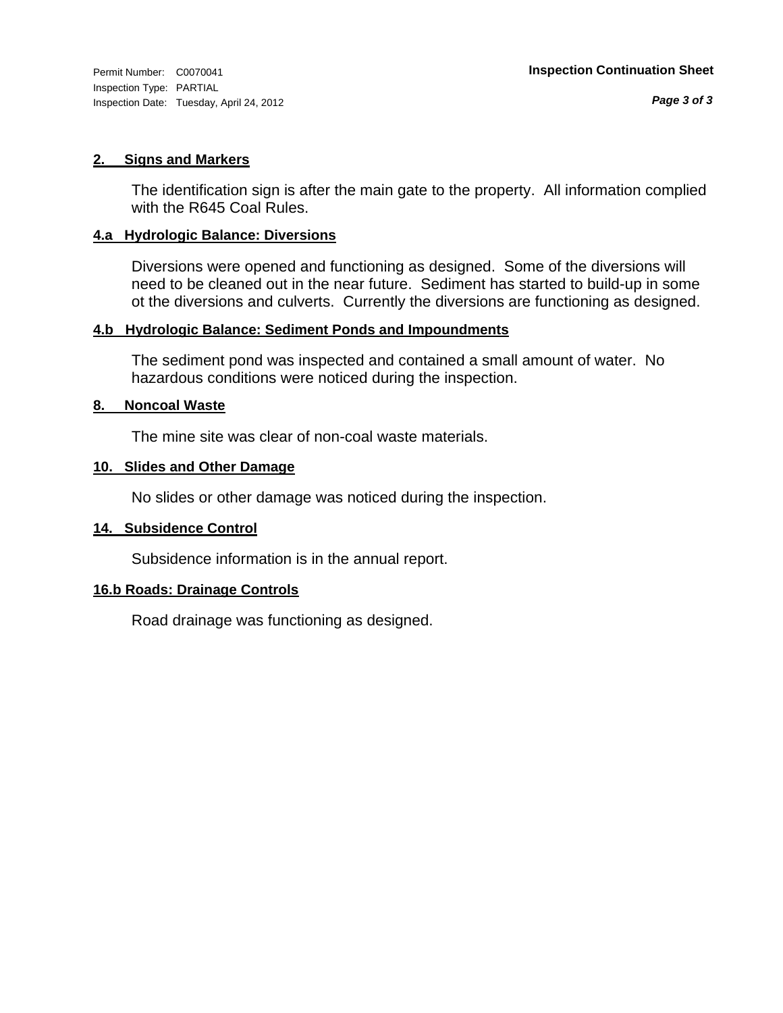Inspection Type: PARTIAL Inspection Date: Tuesday, April 24, 2012

#### **2. Signs and Markers**

The identification sign is after the main gate to the property. All information complied with the R645 Coal Rules.

#### **4.a Hydrologic Balance: Diversions**

Diversions were opened and functioning as designed. Some of the diversions will need to be cleaned out in the near future. Sediment has started to build-up in some ot the diversions and culverts. Currently the diversions are functioning as designed.

#### **4.b Hydrologic Balance: Sediment Ponds and Impoundments**

The sediment pond was inspected and contained a small amount of water. No hazardous conditions were noticed during the inspection.

#### **8. Noncoal Waste**

The mine site was clear of non-coal waste materials.

#### **10. Slides and Other Damage**

No slides or other damage was noticed during the inspection.

#### **14. Subsidence Control**

Subsidence information is in the annual report.

#### **16.b Roads: Drainage Controls**

Road drainage was functioning as designed.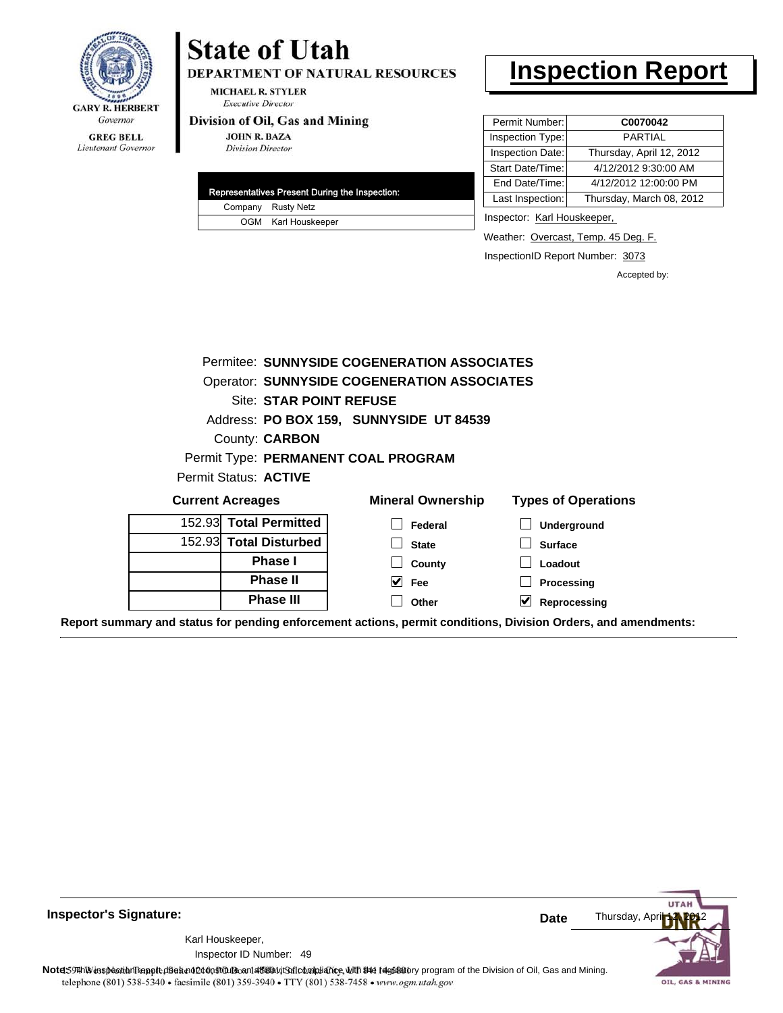

## **State of Utah**

DEPARTMENT OF NATURAL RESOURCES

**MICHAEL R. STYLER Executive Director** 

#### Division of Oil, Gas and Mining

**JOHN R. BAZA Division Director** 

|  | Representatives Present During the Inspection: |
|--|------------------------------------------------|
|  | Company Rusty Netz                             |
|  | OGM Karl Houskeeper                            |

## **Inspection Report**

| Permit Number:   | C0070042                 |
|------------------|--------------------------|
| Inspection Type: | PARTIAL                  |
| Inspection Date: | Thursday, April 12, 2012 |
| Start Date/Time: | 4/12/2012 9:30:00 AM     |
| End Date/Time:   | 4/12/2012 12:00:00 PM    |
| Last Inspection: | Thursday, March 08, 2012 |

Inspector: Karl Houskeeper,

Weather: Overcast, Temp. 45 Deg. F.

InspectionID Report Number: 3073

Accepted by:

|                              | Permitee: SUNNYSIDE COGENERATION ASSOCIATES |                            |
|------------------------------|---------------------------------------------|----------------------------|
|                              | Operator: SUNNYSIDE COGENERATION ASSOCIATES |                            |
| Site: STAR POINT REFUSE      |                                             |                            |
|                              | Address: PO BOX 159, SUNNYSIDE UT 84539     |                            |
| County: <b>CARBON</b>        |                                             |                            |
|                              | Permit Type: PERMANENT COAL PROGRAM         |                            |
| Permit Status: <b>ACTIVE</b> |                                             |                            |
| <b>Current Acreages</b>      | <b>Mineral Ownership</b>                    | <b>Types of Operations</b> |
| 152.93 Total Permitted       | Federal                                     | Underground                |
| 152.93 Total Disturbed       | <b>State</b>                                | <b>Surface</b>             |
| <b>Phase I</b>               | County                                      | Loadout                    |
| <b>Phase II</b>              | V<br><b>Fee</b>                             | Processing                 |
| <b>Phase III</b>             | Other                                       | V<br>Reprocessing          |

**Report summary and status for pending enforcement actions, permit conditions, Division Orders, and amendments:**

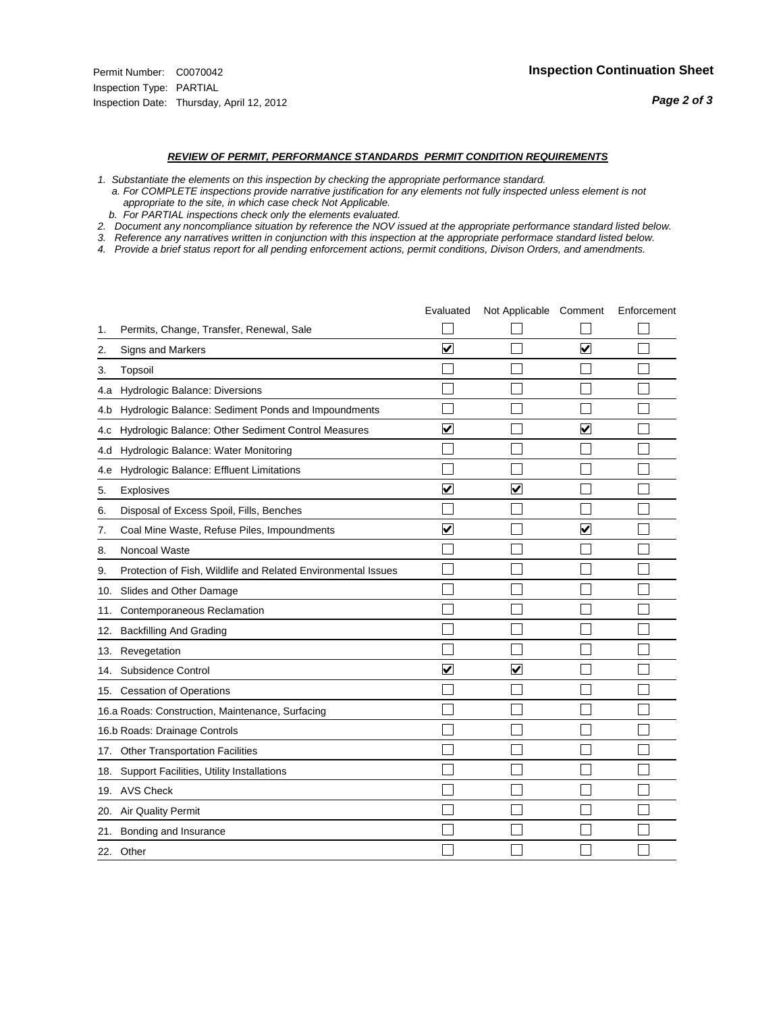- *1. Substantiate the elements on this inspection by checking the appropriate performance standard.*
- *a. For COMPLETE inspections provide narrative justification for any elements not fully inspected unless element is not appropriate to the site, in which case check Not Applicable.*
- *b. For PARTIAL inspections check only the elements evaluated.*
- *2. Document any noncompliance situation by reference the NOV issued at the appropriate performance standard listed below.*
- *3. Reference any narratives written in conjunction with this inspection at the appropriate performace standard listed below.*
- *4. Provide a brief status report for all pending enforcement actions, permit conditions, Divison Orders, and amendments.*

|     |                                                               | Evaluated               | Not Applicable Comment  |                         | Enforcement |
|-----|---------------------------------------------------------------|-------------------------|-------------------------|-------------------------|-------------|
| 1.  | Permits, Change, Transfer, Renewal, Sale                      |                         |                         |                         |             |
| 2.  | Signs and Markers                                             | $\overline{\mathbf{v}}$ |                         | $\blacktriangledown$    |             |
| 3.  | Topsoil                                                       |                         |                         |                         |             |
| 4.a | Hydrologic Balance: Diversions                                |                         |                         |                         |             |
| 4.b | Hydrologic Balance: Sediment Ponds and Impoundments           |                         |                         |                         |             |
| 4.c | Hydrologic Balance: Other Sediment Control Measures           | $\overline{\mathbf{v}}$ |                         | $\blacktriangledown$    |             |
| 4.d | Hydrologic Balance: Water Monitoring                          |                         |                         |                         |             |
| 4.e | Hydrologic Balance: Effluent Limitations                      |                         |                         |                         |             |
| 5.  | Explosives                                                    | $\overline{\mathbf{v}}$ | $\overline{\mathbf{v}}$ |                         |             |
| 6.  | Disposal of Excess Spoil, Fills, Benches                      |                         |                         |                         |             |
| 7.  | Coal Mine Waste, Refuse Piles, Impoundments                   | $\overline{\mathbf{v}}$ |                         | $\overline{\mathbf{v}}$ |             |
| 8.  | Noncoal Waste                                                 |                         |                         |                         |             |
| 9.  | Protection of Fish, Wildlife and Related Environmental Issues |                         |                         |                         |             |
|     | 10. Slides and Other Damage                                   |                         |                         |                         |             |
| 11. | Contemporaneous Reclamation                                   |                         |                         |                         |             |
| 12. | <b>Backfilling And Grading</b>                                |                         |                         |                         |             |
| 13. | Revegetation                                                  |                         |                         |                         |             |
| 14. | Subsidence Control                                            | $\overline{\mathbf{v}}$ | $\overline{\mathbf{v}}$ |                         |             |
|     | 15. Cessation of Operations                                   |                         |                         |                         |             |
|     | 16.a Roads: Construction, Maintenance, Surfacing              |                         |                         |                         |             |
|     | 16.b Roads: Drainage Controls                                 |                         |                         |                         |             |
|     | 17. Other Transportation Facilities                           |                         |                         |                         |             |
| 18. | Support Facilities, Utility Installations                     |                         |                         |                         |             |
|     | 19. AVS Check                                                 |                         |                         |                         |             |
| 20. | Air Quality Permit                                            |                         |                         |                         |             |
| 21. | Bonding and Insurance                                         |                         |                         |                         |             |
|     | 22. Other                                                     |                         |                         |                         |             |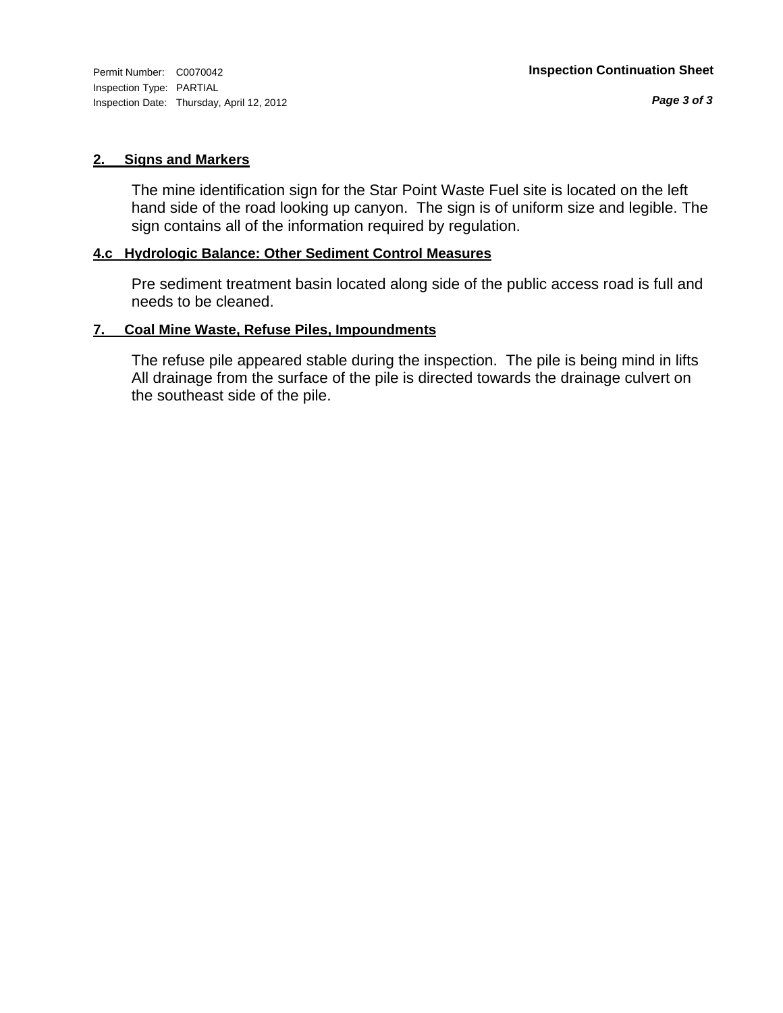Inspection Type: PARTIAL Inspection Date: Thursday, April 12, 2012

#### **2. Signs and Markers**

The mine identification sign for the Star Point Waste Fuel site is located on the left hand side of the road looking up canyon. The sign is of uniform size and legible. The sign contains all of the information required by regulation.

#### **4.c Hydrologic Balance: Other Sediment Control Measures**

Pre sediment treatment basin located along side of the public access road is full and needs to be cleaned.

#### **7. Coal Mine Waste, Refuse Piles, Impoundments**

The refuse pile appeared stable during the inspection. The pile is being mind in lifts All drainage from the surface of the pile is directed towards the drainage culvert on the southeast side of the pile.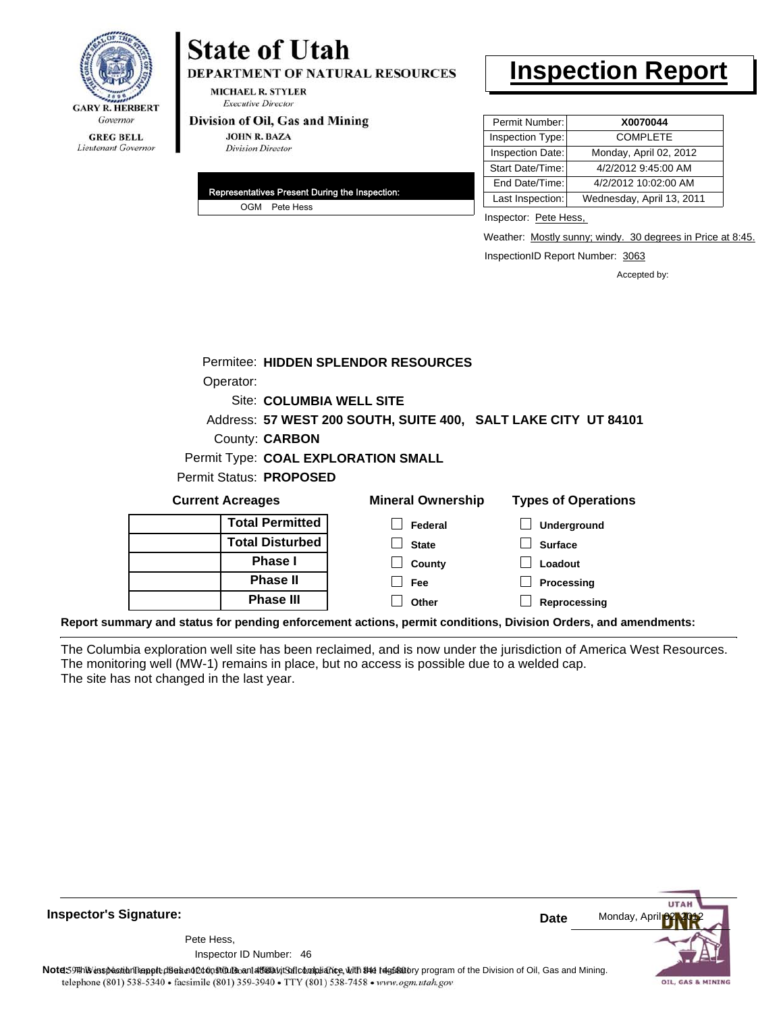

## **State of Utah**

**DEPARTMENT OF NATURAL RESOURCES** 

**MICHAEL R. STYLER Executive Director** 

#### Division of Oil, Gas and Mining

**JOHN R. BAZA Division Director** 

| Representatives Present During the Inspection: |               |  |
|------------------------------------------------|---------------|--|
|                                                | OGM Pete Hess |  |

## **Inspection Report**

| Permit Number:   | X0070044                  |
|------------------|---------------------------|
| Inspection Type: | <b>COMPLETE</b>           |
| Inspection Date: | Monday, April 02, 2012    |
| Start Date/Time: | 4/2/2012 9:45:00 AM       |
| End Date/Time:   | 4/2/2012 10:02:00 AM      |
| Last Inspection: | Wednesday, April 13, 2011 |

Inspector: Pete Hess,

Weather: Mostly sunny; windy. 30 degrees in Price at 8:45.

InspectionID Report Number: 3063

Accepted by:

| Permitee: HIDDEN SPLENDOR RESOURCES |                                                                |                            |  |  |
|-------------------------------------|----------------------------------------------------------------|----------------------------|--|--|
| Operator:                           |                                                                |                            |  |  |
| Site: COLUMBIA WELL SITE            |                                                                |                            |  |  |
|                                     | Address: 57 WEST 200 SOUTH, SUITE 400, SALT LAKE CITY UT 84101 |                            |  |  |
| County: <b>CARBON</b>               |                                                                |                            |  |  |
|                                     | Permit Type: COAL EXPLORATION SMALL                            |                            |  |  |
| Permit Status: PROPOSED             |                                                                |                            |  |  |
| <b>Current Acreages</b>             | <b>Mineral Ownership</b>                                       | <b>Types of Operations</b> |  |  |
| <b>Total Permitted</b>              | Federal                                                        | Underground                |  |  |
| <b>Total Disturbed</b>              | <b>State</b>                                                   | <b>Surface</b>             |  |  |
| <b>Phase I</b>                      | County                                                         | Loadout                    |  |  |
| <b>Phase II</b>                     | Fee                                                            | Processing                 |  |  |
| <b>Phase III</b>                    | Other                                                          | Reprocessing               |  |  |
|                                     |                                                                |                            |  |  |

**Report summary and status for pending enforcement actions, permit conditions, Division Orders, and amendments:**

The Columbia exploration well site has been reclaimed, and is now under the jurisdiction of America West Resources. The monitoring well (MW-1) remains in place, but no access is possible due to a welded cap. The site has not changed in the last year.

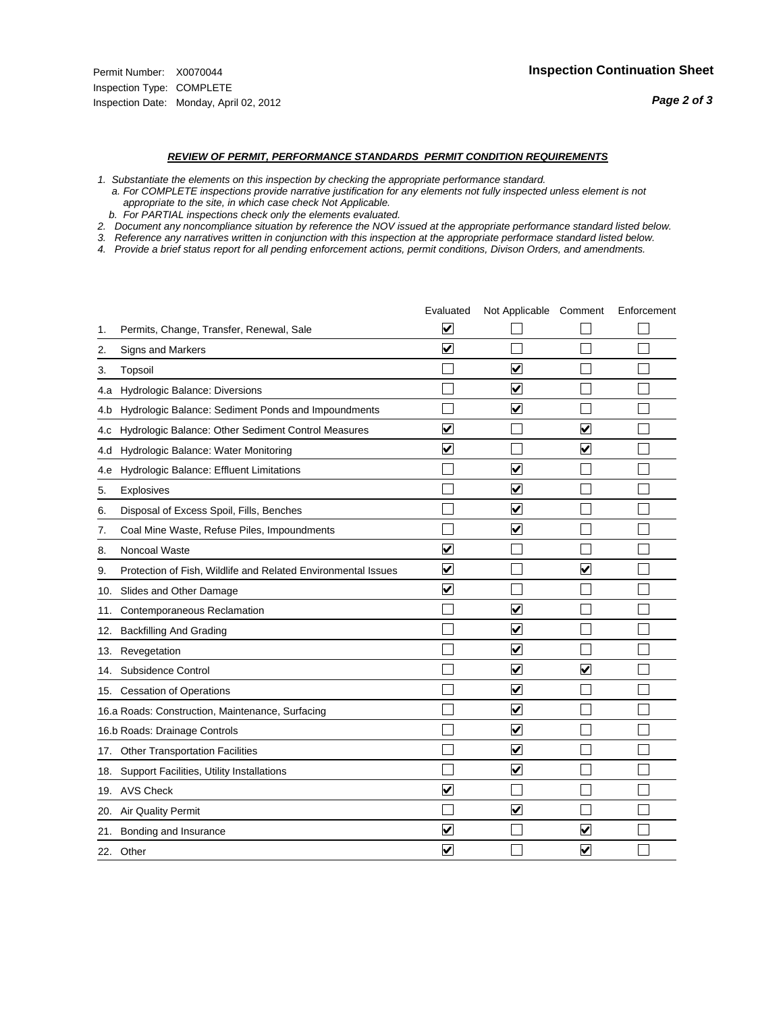- *1. Substantiate the elements on this inspection by checking the appropriate performance standard.*
- *a. For COMPLETE inspections provide narrative justification for any elements not fully inspected unless element is not appropriate to the site, in which case check Not Applicable.*
- *b. For PARTIAL inspections check only the elements evaluated.*
- *2. Document any noncompliance situation by reference the NOV issued at the appropriate performance standard listed below.*
- *3. Reference any narratives written in conjunction with this inspection at the appropriate performace standard listed below.*
- *4. Provide a brief status report for all pending enforcement actions, permit conditions, Divison Orders, and amendments.*

|     |                                                               | Evaluated               | Not Applicable Comment          |                      | Enforcement |
|-----|---------------------------------------------------------------|-------------------------|---------------------------------|----------------------|-------------|
| 1.  | Permits, Change, Transfer, Renewal, Sale                      | $\overline{\mathbf{v}}$ |                                 |                      |             |
| 2.  | Signs and Markers                                             | $\overline{\mathbf{v}}$ |                                 |                      |             |
| 3.  | Topsoil                                                       |                         | $\overline{\mathbf{v}}$         |                      |             |
| 4.a | Hydrologic Balance: Diversions                                |                         | $\blacktriangledown$            |                      |             |
| 4.b | Hydrologic Balance: Sediment Ponds and Impoundments           |                         | $\bm{\mathsf{v}}$               |                      |             |
| 4.c | Hydrologic Balance: Other Sediment Control Measures           | $\overline{\mathbf{v}}$ |                                 | $\blacktriangledown$ |             |
| 4.d | Hydrologic Balance: Water Monitoring                          | $\overline{\mathbf{v}}$ |                                 | $\blacktriangledown$ |             |
| 4.e | Hydrologic Balance: Effluent Limitations                      |                         | $\overline{\mathbf{v}}$         |                      |             |
| 5.  | <b>Explosives</b>                                             |                         | $\overline{\mathsf{v}}$         |                      |             |
| 6.  | Disposal of Excess Spoil, Fills, Benches                      |                         | $\bm{\vee}$                     |                      |             |
| 7.  | Coal Mine Waste, Refuse Piles, Impoundments                   |                         | $\overline{\mathbf{v}}$         |                      |             |
| 8.  | Noncoal Waste                                                 | $\overline{\mathsf{v}}$ |                                 |                      |             |
| 9.  | Protection of Fish, Wildlife and Related Environmental Issues | $\overline{\mathbf{v}}$ |                                 | $\blacktriangledown$ |             |
| 10. | Slides and Other Damage                                       | $\overline{\mathbf{v}}$ |                                 |                      |             |
| 11. | Contemporaneous Reclamation                                   |                         | ⊽                               |                      |             |
| 12. | <b>Backfilling And Grading</b>                                |                         | $\blacktriangledown$            |                      |             |
| 13. | Revegetation                                                  |                         | $\overline{\blacktriangledown}$ |                      |             |
| 14. | Subsidence Control                                            |                         | ☑                               | $\blacktriangledown$ |             |
|     | 15. Cessation of Operations                                   |                         | $\blacktriangledown$            |                      |             |
|     | 16.a Roads: Construction, Maintenance, Surfacing              |                         | $\blacktriangledown$            |                      |             |
|     | 16.b Roads: Drainage Controls                                 |                         | $\blacktriangledown$            |                      |             |
| 17. | Other Transportation Facilities                               |                         | $\blacktriangledown$            |                      |             |
| 18. | Support Facilities, Utility Installations                     |                         | $\overline{\blacktriangledown}$ |                      |             |
|     | 19. AVS Check                                                 | $\overline{\mathbf{v}}$ |                                 |                      |             |
| 20. | <b>Air Quality Permit</b>                                     |                         | $\overline{\mathsf{v}}$         |                      |             |
|     | 21. Bonding and Insurance                                     | ⊻                       |                                 | V                    |             |
|     | 22. Other                                                     | $\overline{\mathbf{v}}$ |                                 | $\blacktriangledown$ |             |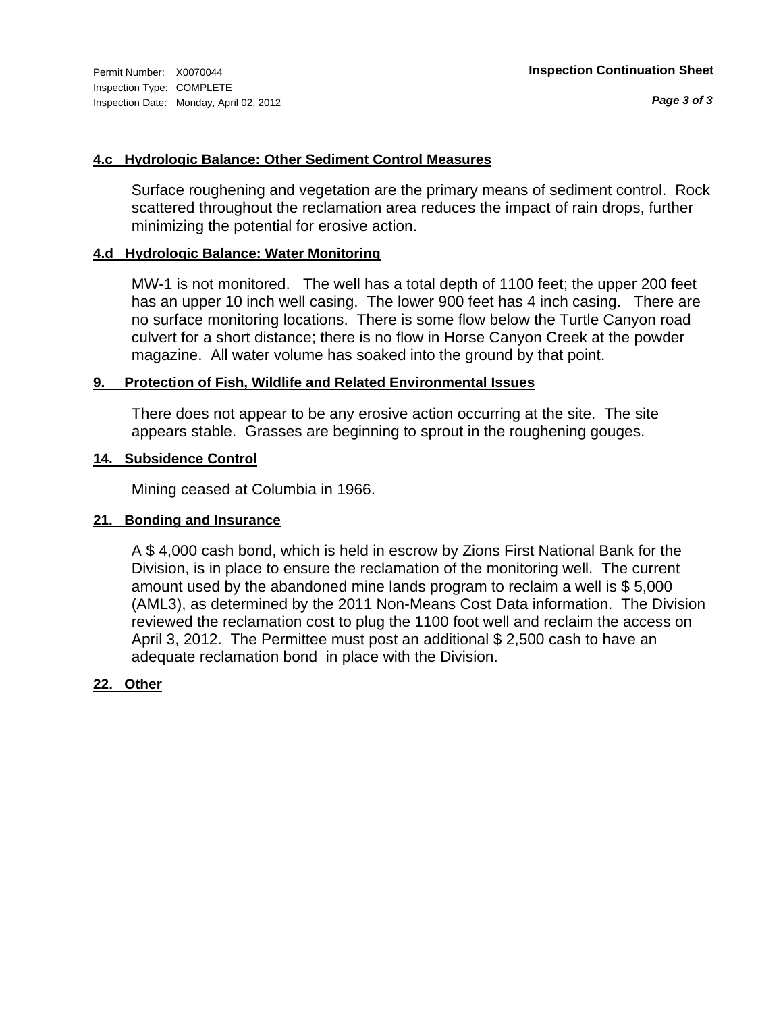#### **4.c Hydrologic Balance: Other Sediment Control Measures**

Surface roughening and vegetation are the primary means of sediment control. Rock scattered throughout the reclamation area reduces the impact of rain drops, further minimizing the potential for erosive action.

#### **4.d Hydrologic Balance: Water Monitoring**

MW-1 is not monitored. The well has a total depth of 1100 feet; the upper 200 feet has an upper 10 inch well casing. The lower 900 feet has 4 inch casing. There are no surface monitoring locations. There is some flow below the Turtle Canyon road culvert for a short distance; there is no flow in Horse Canyon Creek at the powder magazine. All water volume has soaked into the ground by that point.

#### **9. Protection of Fish, Wildlife and Related Environmental Issues**

There does not appear to be any erosive action occurring at the site. The site appears stable. Grasses are beginning to sprout in the roughening gouges.

#### **14. Subsidence Control**

Mining ceased at Columbia in 1966.

#### **21. Bonding and Insurance**

A \$ 4,000 cash bond, which is held in escrow by Zions First National Bank for the Division, is in place to ensure the reclamation of the monitoring well. The current amount used by the abandoned mine lands program to reclaim a well is \$ 5,000 (AML3), as determined by the 2011 Non-Means Cost Data information. The Division reviewed the reclamation cost to plug the 1100 foot well and reclaim the access on April 3, 2012. The Permittee must post an additional \$ 2,500 cash to have an adequate reclamation bond in place with the Division.

#### **22. Other**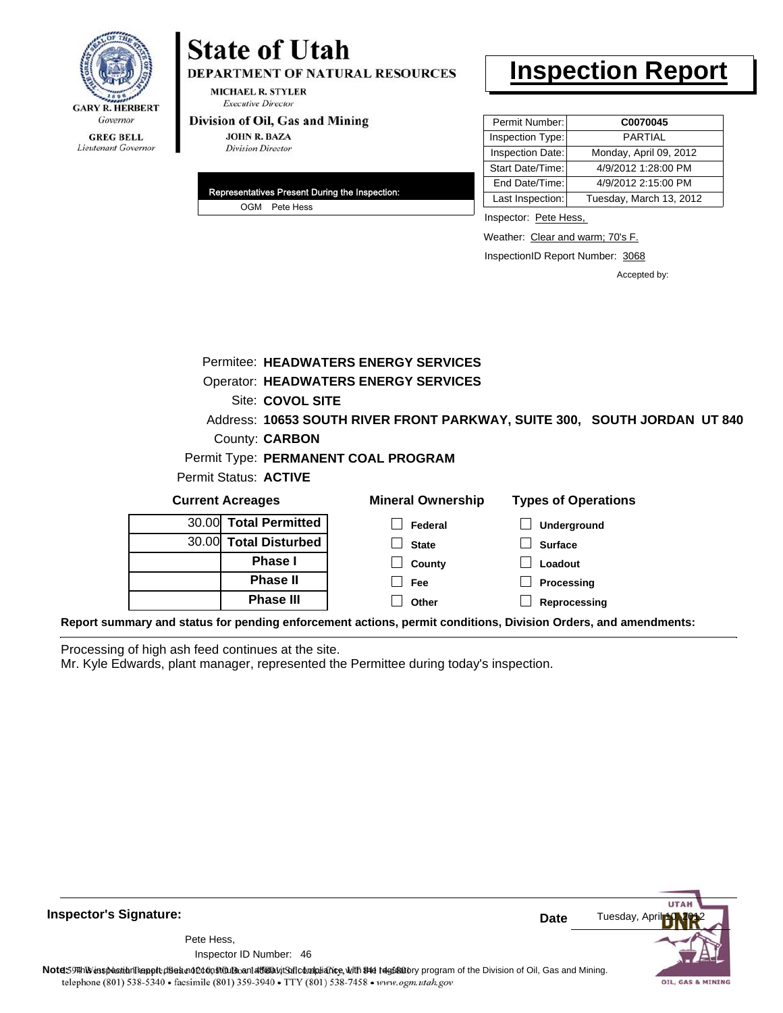

# **State of Utah**

DEPARTMENT OF NATURAL RESOURCES

**MICHAEL R. STYLER Executive Director** 

#### Division of Oil, Gas and Mining

**JOHN R. BAZA Division Director** 

| Representatives Present During the Inspection: |
|------------------------------------------------|
| OGM Pete Hess                                  |

## **Inspection Report**

| Permit Number:   | C0070045                |
|------------------|-------------------------|
| Inspection Type: | PARTIAL                 |
| Inspection Date: | Monday, April 09, 2012  |
| Start Date/Time: | 4/9/2012 1:28:00 PM     |
| End Date/Time:   | 4/9/2012 2:15:00 PM     |
| Last Inspection: | Tuesday, March 13, 2012 |

Inspector: Pete Hess,

Weather: Clear and warm; 70's F.

InspectionID Report Number: 3068

Accepted by:

|                                                                                                                | Permitee: HEADWATERS ENERGY SERVICES |                                                                          |
|----------------------------------------------------------------------------------------------------------------|--------------------------------------|--------------------------------------------------------------------------|
|                                                                                                                | Operator: HEADWATERS ENERGY SERVICES |                                                                          |
| Site: COVOL SITE                                                                                               |                                      |                                                                          |
|                                                                                                                |                                      | Address: 10653 SOUTH RIVER FRONT PARKWAY, SUITE 300, SOUTH JORDAN UT 840 |
| County: <b>CARBON</b>                                                                                          |                                      |                                                                          |
| Permit Type: PERMANENT COAL PROGRAM                                                                            |                                      |                                                                          |
| Permit Status: ACTIVE                                                                                          |                                      |                                                                          |
| <b>Current Acreages</b>                                                                                        | <b>Mineral Ownership</b>             | <b>Types of Operations</b>                                               |
| 30.00 Total Permitted                                                                                          | Federal                              | Underground                                                              |
| 30.00 Total Disturbed                                                                                          | <b>State</b>                         | <b>Surface</b>                                                           |
| Phase I                                                                                                        | County                               | Loadout                                                                  |
| <b>Phase II</b>                                                                                                | Fee                                  | Processing                                                               |
| <b>Phase III</b>                                                                                               | Other                                | Reprocessing                                                             |
| Report summary and status for pending enforcement actions, permit conditions, Division Orders, and amendments: |                                      |                                                                          |

Processing of high ash feed continues at the site.

Mr. Kyle Edwards, plant manager, represented the Permittee during today's inspection.

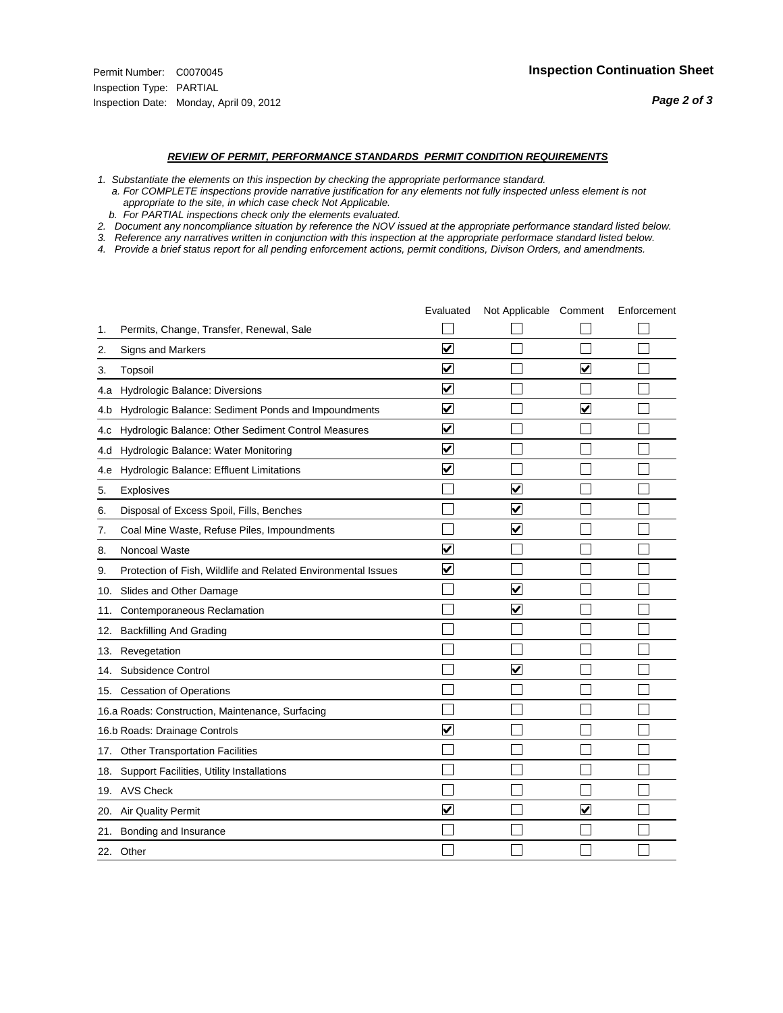- *1. Substantiate the elements on this inspection by checking the appropriate performance standard.*
- *a. For COMPLETE inspections provide narrative justification for any elements not fully inspected unless element is not appropriate to the site, in which case check Not Applicable.*
- *b. For PARTIAL inspections check only the elements evaluated.*
- *2. Document any noncompliance situation by reference the NOV issued at the appropriate performance standard listed below.*
- *3. Reference any narratives written in conjunction with this inspection at the appropriate performace standard listed below.*
- *4. Provide a brief status report for all pending enforcement actions, permit conditions, Divison Orders, and amendments.*

|     |                                                               | Evaluated               | Not Applicable Comment  |                         | Enforcement |
|-----|---------------------------------------------------------------|-------------------------|-------------------------|-------------------------|-------------|
| 1.  | Permits, Change, Transfer, Renewal, Sale                      |                         |                         |                         |             |
| 2.  | Signs and Markers                                             | $\overline{\mathbf{v}}$ |                         |                         |             |
| 3.  | Topsoil                                                       | $\overline{\mathbf{v}}$ |                         | $\overline{\mathbf{v}}$ |             |
| 4.a | Hydrologic Balance: Diversions                                | $\blacktriangledown$    |                         |                         |             |
| 4.b | Hydrologic Balance: Sediment Ponds and Impoundments           | $\blacktriangledown$    |                         | V                       |             |
| 4.C | Hydrologic Balance: Other Sediment Control Measures           | $\overline{\mathbf{v}}$ |                         |                         |             |
| 4.d | Hydrologic Balance: Water Monitoring                          | $\overline{\mathbf{v}}$ |                         |                         |             |
| 4.e | Hydrologic Balance: Effluent Limitations                      | $\overline{\mathbf{v}}$ |                         |                         |             |
| 5.  | <b>Explosives</b>                                             |                         | ⊽                       |                         |             |
| 6.  | Disposal of Excess Spoil, Fills, Benches                      |                         | $\blacktriangledown$    |                         |             |
| 7.  | Coal Mine Waste, Refuse Piles, Impoundments                   |                         | $\overline{\mathbf{v}}$ |                         |             |
| 8.  | Noncoal Waste                                                 | $\overline{\mathsf{v}}$ |                         |                         |             |
| 9.  | Protection of Fish, Wildlife and Related Environmental Issues | $\overline{\mathbf{v}}$ |                         |                         |             |
|     | 10. Slides and Other Damage                                   |                         | ⊽                       |                         |             |
| 11. | Contemporaneous Reclamation                                   |                         | ☑                       |                         |             |
| 12. | <b>Backfilling And Grading</b>                                |                         |                         |                         |             |
| 13. | Revegetation                                                  |                         |                         |                         |             |
| 14. | Subsidence Control                                            |                         | $\overline{\mathbf{v}}$ |                         |             |
|     | 15. Cessation of Operations                                   |                         |                         |                         |             |
|     | 16.a Roads: Construction, Maintenance, Surfacing              |                         |                         |                         |             |
|     | 16.b Roads: Drainage Controls                                 | $\blacktriangledown$    |                         |                         |             |
| 17. | Other Transportation Facilities                               |                         |                         |                         |             |
| 18. | Support Facilities, Utility Installations                     |                         |                         |                         |             |
|     | 19. AVS Check                                                 |                         |                         |                         |             |
| 20. | <b>Air Quality Permit</b>                                     | $\checkmark$            |                         | $\blacktriangledown$    |             |
| 21. | Bonding and Insurance                                         |                         |                         |                         |             |
|     | 22. Other                                                     |                         |                         |                         |             |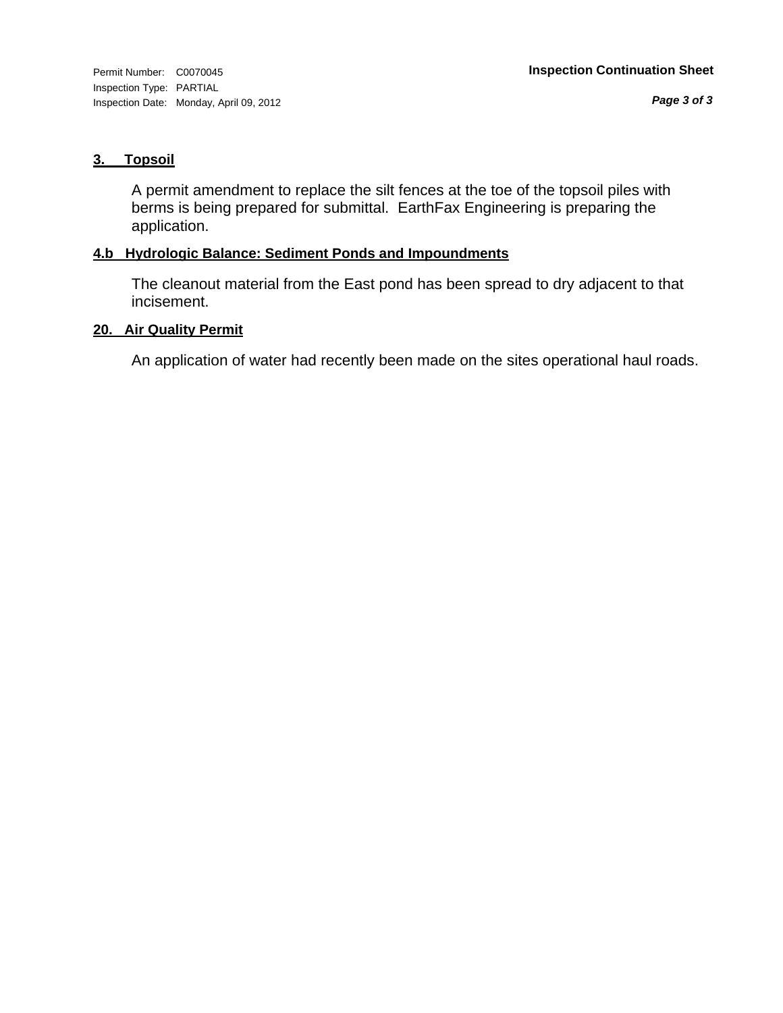*Page 3 of 3*

#### **3. Topsoil**

A permit amendment to replace the silt fences at the toe of the topsoil piles with berms is being prepared for submittal. EarthFax Engineering is preparing the application.

#### **4.b Hydrologic Balance: Sediment Ponds and Impoundments**

The cleanout material from the East pond has been spread to dry adjacent to that incisement.

#### **20. Air Quality Permit**

An application of water had recently been made on the sites operational haul roads.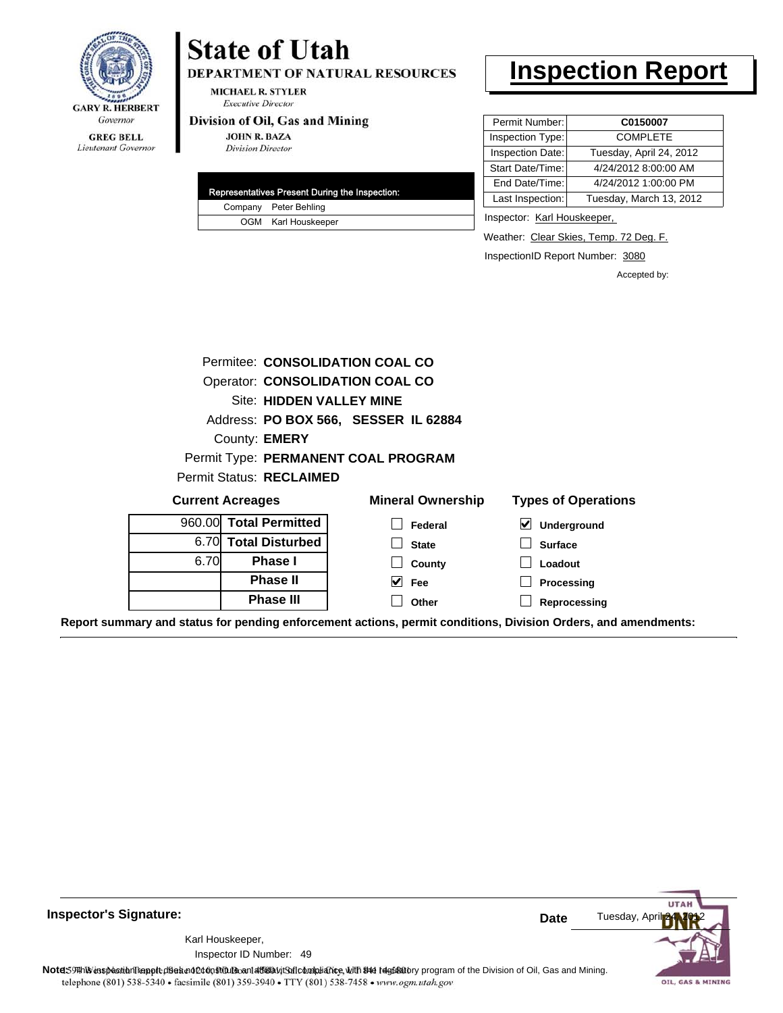

#### **GREG BELL** Lieutenant Governor

# **State of Utah**

DEPARTMENT OF NATURAL RESOURCES

**MICHAEL R. STYLER Executive Director** 

#### Division of Oil, Gas and Mining

**JOHN R. BAZA Division Director** 

|  | Representatives Present During the Inspection: |
|--|------------------------------------------------|
|  | Company Peter Behling                          |
|  | OGM Karl Houskeeper                            |

### **Inspection Report**

| Permit Number:   | C0150007                |
|------------------|-------------------------|
| Inspection Type: | <b>COMPLETE</b>         |
| Inspection Date: | Tuesday, April 24, 2012 |
| Start Date/Time: | 4/24/2012 8:00:00 AM    |
| End Date/Time:   | 4/24/2012 1:00:00 PM    |
| Last Inspection: | Tuesday, March 13, 2012 |
|                  |                         |

Inspector: Karl Houskeeper,

Weather: Clear Skies, Temp. 72 Deg. F.

InspectionID Report Number: 3080

Accepted by:

|                                             |                                 | Permitee: CONSOLIDATION COAL CO      |                            |  |  |
|---------------------------------------------|---------------------------------|--------------------------------------|----------------------------|--|--|
| Operator: CONSOLIDATION COAL CO             |                                 |                                      |                            |  |  |
|                                             | <b>Site: HIDDEN VALLEY MINE</b> |                                      |                            |  |  |
|                                             |                                 | Address: PO BOX 566, SESSER IL 62884 |                            |  |  |
|                                             | County: <b>EMERY</b>            |                                      |                            |  |  |
|                                             |                                 | Permit Type: PERMANENT COAL PROGRAM  |                            |  |  |
|                                             | <b>Permit Status: RECLAIMED</b> |                                      |                            |  |  |
|                                             | <b>Current Acreages</b>         | <b>Mineral Ownership</b>             | <b>Types of Operations</b> |  |  |
|                                             | 960.00 Total Permitted          | Federal                              | <b>Underground</b>         |  |  |
| 6.70                                        | <b>Total Disturbed</b>          | <b>State</b>                         | <b>Surface</b>             |  |  |
| 6.70<br><b>Phase I</b><br>Loadout<br>County |                                 |                                      |                            |  |  |
|                                             | <b>Phase II</b>                 | <b>Fee</b>                           | Processing                 |  |  |
|                                             | <b>Phase III</b>                | Other                                | Reprocessing               |  |  |

**Report summary and status for pending enforcement actions, permit conditions, Division Orders, and amendments:**



**Inspector's Signature:**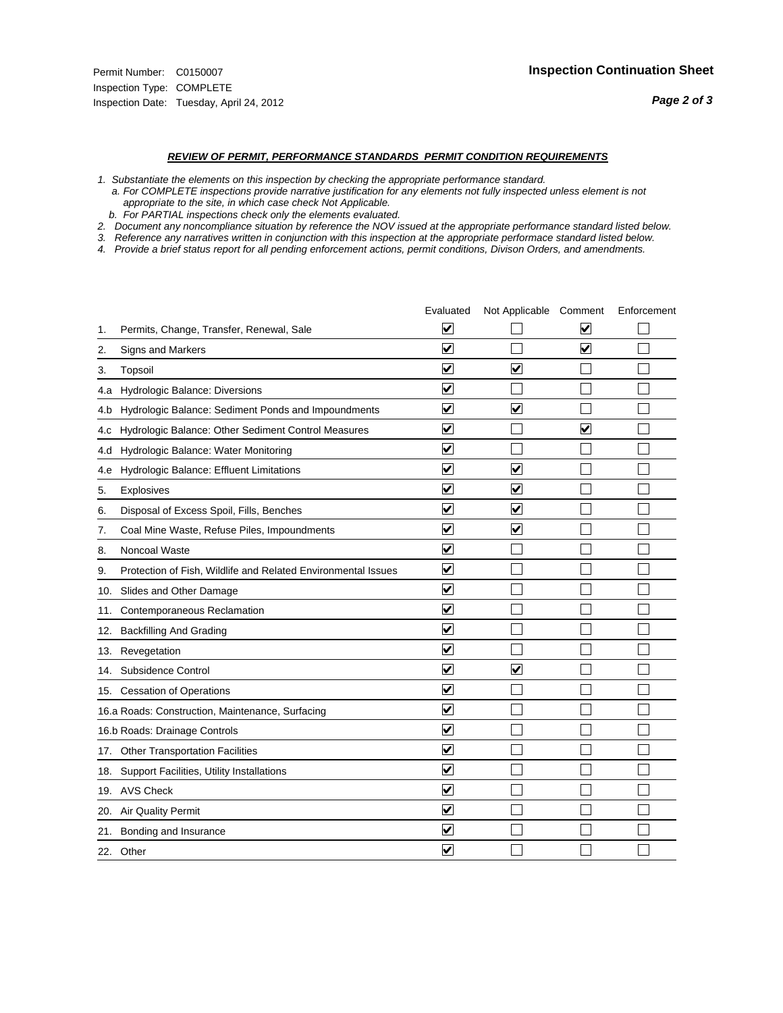#### *REVIEW OF PERMIT, PERFORMANCE STANDARDS PERMIT CONDITION REQUIREMENTS*

*1. Substantiate the elements on this inspection by checking the appropriate performance standard.*

 *a. For COMPLETE inspections provide narrative justification for any elements not fully inspected unless element is not appropriate to the site, in which case check Not Applicable.*

 *b. For PARTIAL inspections check only the elements evaluated.*

*2. Document any noncompliance situation by reference the NOV issued at the appropriate performance standard listed below.*

*3. Reference any narratives written in conjunction with this inspection at the appropriate performace standard listed below.*

*4. Provide a brief status report for all pending enforcement actions, permit conditions, Divison Orders, and amendments.*

|     |                                                               | Evaluated                       | Not Applicable Comment          |                         | Enforcement |
|-----|---------------------------------------------------------------|---------------------------------|---------------------------------|-------------------------|-------------|
| 1.  | Permits, Change, Transfer, Renewal, Sale                      | ⊻                               |                                 | V                       |             |
| 2.  | <b>Signs and Markers</b>                                      | $\overline{\mathbf{v}}$         |                                 | $\blacktriangledown$    |             |
| 3.  | Topsoil                                                       | $\overline{\mathbf{v}}$         | $\overline{\blacktriangledown}$ |                         |             |
| 4.a | Hydrologic Balance: Diversions                                | ⊽                               |                                 |                         |             |
| 4.b | Hydrologic Balance: Sediment Ponds and Impoundments           | $\blacktriangledown$            | $\blacktriangledown$            |                         |             |
| 4.C | Hydrologic Balance: Other Sediment Control Measures           | $\overline{\mathbf{v}}$         |                                 | $\overline{\mathbf{v}}$ |             |
| 4.d | Hydrologic Balance: Water Monitoring                          | $\overline{\mathbf{v}}$         |                                 |                         |             |
| 4.e | Hydrologic Balance: Effluent Limitations                      | $\overline{\mathbf{v}}$         | $\overline{\blacktriangledown}$ |                         |             |
| 5.  | Explosives                                                    | $\overline{\mathbf{v}}$         | $\blacktriangledown$            |                         |             |
| 6.  | Disposal of Excess Spoil, Fills, Benches                      | $\overline{\mathsf{v}}$         | $\blacktriangledown$            |                         |             |
| 7.  | Coal Mine Waste, Refuse Piles, Impoundments                   | $\overline{\mathbf{v}}$         | $\blacktriangledown$            |                         |             |
| 8.  | Noncoal Waste                                                 | $\overline{\mathbf{v}}$         |                                 |                         |             |
| 9.  | Protection of Fish, Wildlife and Related Environmental Issues | $\overline{\mathbf{v}}$         |                                 |                         |             |
|     | 10. Slides and Other Damage                                   | $\overline{\mathbf{v}}$         |                                 |                         |             |
| 11. | Contemporaneous Reclamation                                   | ⊽                               |                                 |                         |             |
| 12. | <b>Backfilling And Grading</b>                                | $\overline{\mathbf{v}}$         |                                 |                         |             |
| 13. | Revegetation                                                  | $\overline{\mathbf{v}}$         |                                 |                         |             |
| 14. | Subsidence Control                                            | $\overline{\mathbf{v}}$         | $\overline{\mathbf{v}}$         |                         |             |
|     | 15. Cessation of Operations                                   | $\overline{\blacktriangledown}$ |                                 |                         |             |
|     | 16.a Roads: Construction, Maintenance, Surfacing              | $\checkmark$                    |                                 |                         |             |
|     | 16.b Roads: Drainage Controls                                 | ⊽                               |                                 |                         |             |
|     | 17. Other Transportation Facilities                           | $\overline{\mathbf{v}}$         |                                 |                         |             |
| 18. | Support Facilities, Utility Installations                     | $\overline{\mathbf{v}}$         |                                 |                         |             |
|     | 19. AVS Check                                                 | $\overline{\mathbf{v}}$         |                                 |                         |             |
| 20. | Air Quality Permit                                            | $\checkmark$                    |                                 |                         |             |
|     | 21. Bonding and Insurance                                     | ⊻                               |                                 |                         |             |
|     | 22. Other                                                     | $\blacktriangledown$            |                                 |                         |             |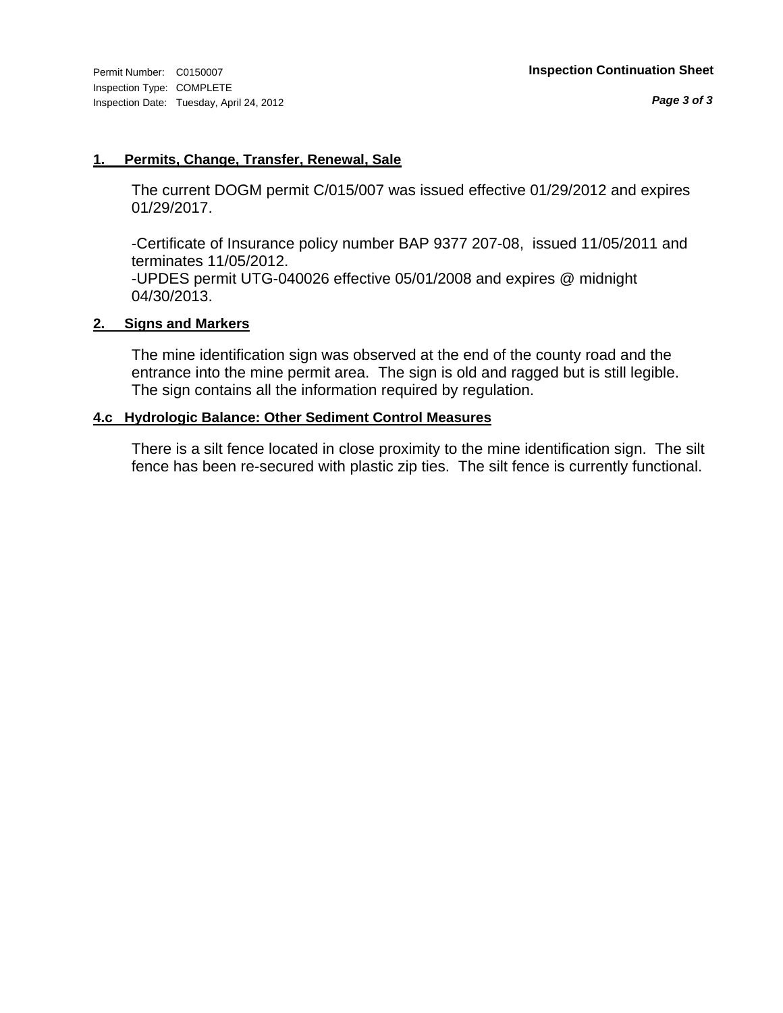#### **1. Permits, Change, Transfer, Renewal, Sale**

The current DOGM permit C/015/007 was issued effective 01/29/2012 and expires 01/29/2017.

-Certificate of Insurance policy number BAP 9377 207-08, issued 11/05/2011 and terminates 11/05/2012.

-UPDES permit UTG-040026 effective 05/01/2008 and expires @ midnight 04/30/2013.

#### **2. Signs and Markers**

The mine identification sign was observed at the end of the county road and the entrance into the mine permit area. The sign is old and ragged but is still legible. The sign contains all the information required by regulation.

#### **4.c Hydrologic Balance: Other Sediment Control Measures**

There is a silt fence located in close proximity to the mine identification sign. The silt fence has been re-secured with plastic zip ties. The silt fence is currently functional.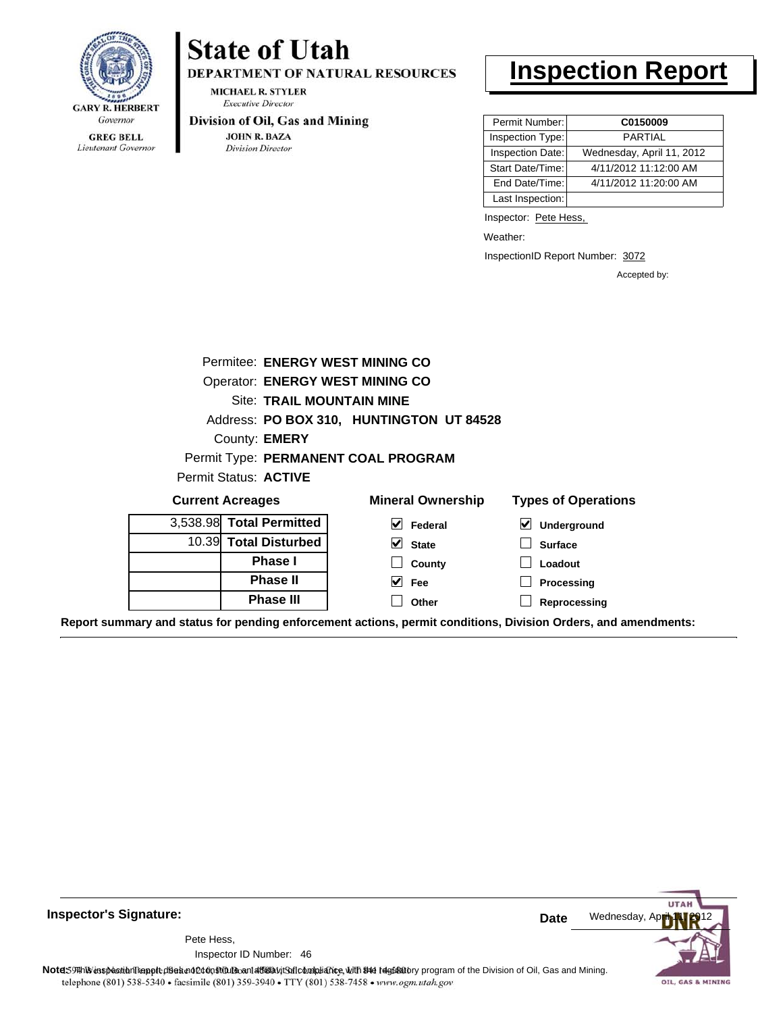

Lieutenant Governor

## **State of Utah**

DEPARTMENT OF NATURAL RESOURCES

**MICHAEL R. STYLER Executive Director** 

#### Division of Oil, Gas and Mining

**JOHN R. BAZA Division Director** 

## **Inspection Report**

| Permit Number:   | C0150009                  |
|------------------|---------------------------|
| Inspection Type: | PARTIAI                   |
| Inspection Date: | Wednesday, April 11, 2012 |
| Start Date/Time: | 4/11/2012 11:12:00 AM     |
| End Date/Time:   | 4/11/2012 11:20:00 AM     |
| Last Inspection: |                           |

Inspector: Pete Hess,

Weather:

InspectionID Report Number: 3072

**Reprocessing**

Accepted by:

|                                  | Permitee: ENERGY WEST MINING CO        |                                          |                            |  |
|----------------------------------|----------------------------------------|------------------------------------------|----------------------------|--|
|                                  | <b>Operator: ENERGY WEST MINING CO</b> |                                          |                            |  |
| <b>Site: TRAIL MOUNTAIN MINE</b> |                                        |                                          |                            |  |
|                                  |                                        | Address: PO BOX 310, HUNTINGTON UT 84528 |                            |  |
|                                  | County: <b>EMERY</b>                   |                                          |                            |  |
|                                  |                                        | Permit Type: PERMANENT COAL PROGRAM      |                            |  |
|                                  | Permit Status: <b>ACTIVE</b>           |                                          |                            |  |
|                                  | <b>Current Acreages</b>                | <b>Mineral Ownership</b>                 | <b>Types of Operations</b> |  |
|                                  | 3,538.98 Total Permitted               | V<br>Federal                             | V<br>Underground           |  |
|                                  | 10.39 Total Disturbed                  | V<br><b>State</b>                        | <b>Surface</b>             |  |
|                                  | <b>Phase I</b>                         | County                                   | Loadout                    |  |
|                                  | <b>Phase II</b>                        | Fee                                      | Processing                 |  |

**Other**

**Report summary and status for pending enforcement actions, permit conditions, Division Orders, and amendments:**

**Phase III**



**Inspector's Signature:**

Pete Hess,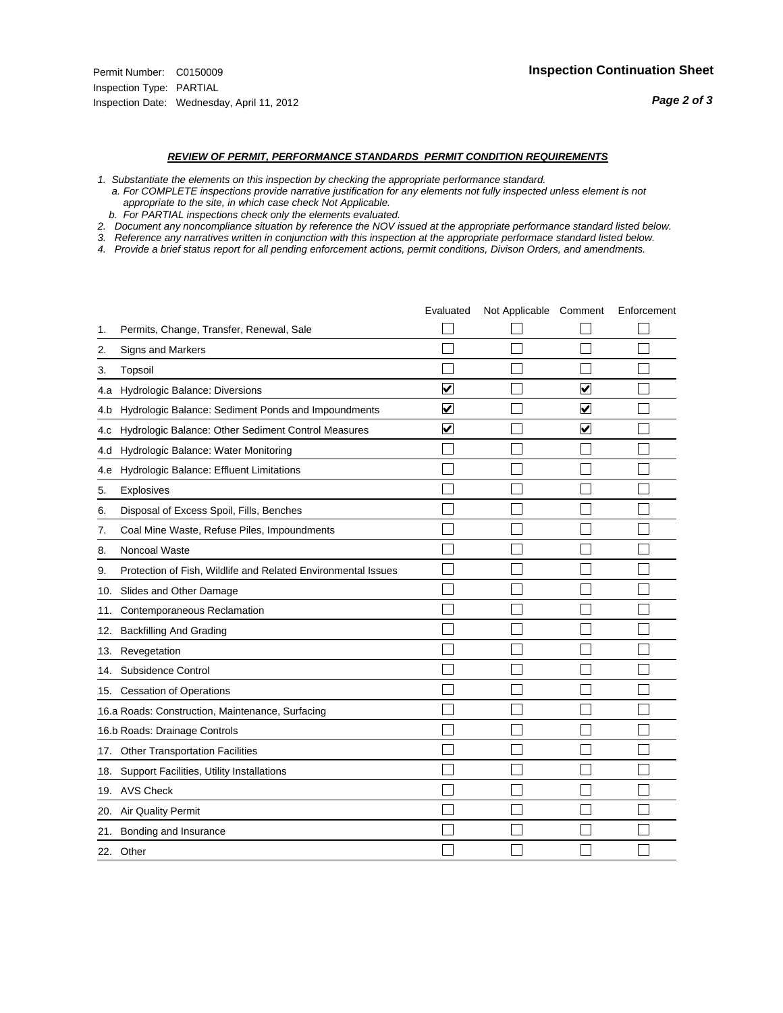- *1. Substantiate the elements on this inspection by checking the appropriate performance standard.*
- *a. For COMPLETE inspections provide narrative justification for any elements not fully inspected unless element is not appropriate to the site, in which case check Not Applicable.*
- *b. For PARTIAL inspections check only the elements evaluated.*
- *2. Document any noncompliance situation by reference the NOV issued at the appropriate performance standard listed below.*
- *3. Reference any narratives written in conjunction with this inspection at the appropriate performace standard listed below.*
- *4. Provide a brief status report for all pending enforcement actions, permit conditions, Divison Orders, and amendments.*

|     |                                                               | Evaluated               | Not Applicable Comment |                         | Enforcement |
|-----|---------------------------------------------------------------|-------------------------|------------------------|-------------------------|-------------|
| 1.  | Permits, Change, Transfer, Renewal, Sale                      |                         |                        |                         |             |
| 2.  | <b>Signs and Markers</b>                                      |                         |                        |                         |             |
| 3.  | Topsoil                                                       |                         |                        |                         |             |
| 4.a | Hydrologic Balance: Diversions                                | $\blacktriangledown$    |                        | $\overline{\mathbf{v}}$ |             |
| 4.b | Hydrologic Balance: Sediment Ponds and Impoundments           | $\blacktriangledown$    |                        | V                       |             |
| 4.c | Hydrologic Balance: Other Sediment Control Measures           | $\overline{\mathbf{v}}$ |                        | $\blacktriangledown$    |             |
| 4.d | Hydrologic Balance: Water Monitoring                          |                         |                        |                         |             |
| 4.e | Hydrologic Balance: Effluent Limitations                      |                         |                        |                         |             |
| 5.  | <b>Explosives</b>                                             |                         |                        |                         |             |
| 6.  | Disposal of Excess Spoil, Fills, Benches                      |                         |                        |                         |             |
| 7.  | Coal Mine Waste, Refuse Piles, Impoundments                   |                         |                        |                         |             |
| 8.  | Noncoal Waste                                                 |                         |                        |                         |             |
| 9.  | Protection of Fish, Wildlife and Related Environmental Issues |                         |                        |                         |             |
|     | 10. Slides and Other Damage                                   |                         |                        |                         |             |
| 11. | Contemporaneous Reclamation                                   |                         |                        |                         |             |
| 12. | <b>Backfilling And Grading</b>                                |                         |                        |                         |             |
| 13. | Revegetation                                                  |                         |                        |                         |             |
| 14. | Subsidence Control                                            |                         |                        |                         |             |
|     | 15. Cessation of Operations                                   |                         |                        |                         |             |
|     | 16.a Roads: Construction, Maintenance, Surfacing              |                         |                        |                         |             |
|     | 16.b Roads: Drainage Controls                                 |                         |                        |                         |             |
| 17. | <b>Other Transportation Facilities</b>                        |                         |                        |                         |             |
| 18. | Support Facilities, Utility Installations                     |                         |                        |                         |             |
|     | 19. AVS Check                                                 |                         |                        |                         |             |
| 20. | Air Quality Permit                                            |                         |                        |                         |             |
| 21. | Bonding and Insurance                                         |                         |                        |                         |             |
|     | 22. Other                                                     |                         |                        |                         |             |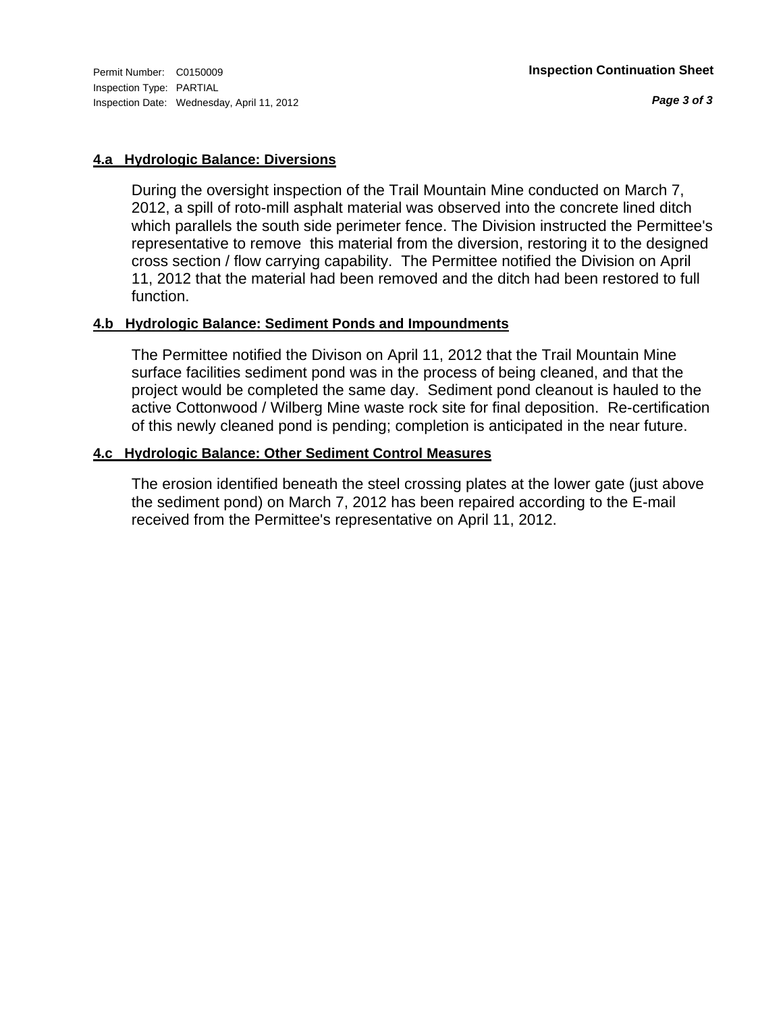Inspection Type: PARTIAL Inspection Date: Wednesday, April 11, 2012

#### **4.a Hydrologic Balance: Diversions**

During the oversight inspection of the Trail Mountain Mine conducted on March 7, 2012, a spill of roto-mill asphalt material was observed into the concrete lined ditch which parallels the south side perimeter fence. The Division instructed the Permittee's representative to remove this material from the diversion, restoring it to the designed cross section / flow carrying capability. The Permittee notified the Division on April 11, 2012 that the material had been removed and the ditch had been restored to full function.

#### **4.b Hydrologic Balance: Sediment Ponds and Impoundments**

The Permittee notified the Divison on April 11, 2012 that the Trail Mountain Mine surface facilities sediment pond was in the process of being cleaned, and that the project would be completed the same day. Sediment pond cleanout is hauled to the active Cottonwood / Wilberg Mine waste rock site for final deposition. Re-certification of this newly cleaned pond is pending; completion is anticipated in the near future.

#### **4.c Hydrologic Balance: Other Sediment Control Measures**

The erosion identified beneath the steel crossing plates at the lower gate (just above the sediment pond) on March 7, 2012 has been repaired according to the E-mail received from the Permittee's representative on April 11, 2012.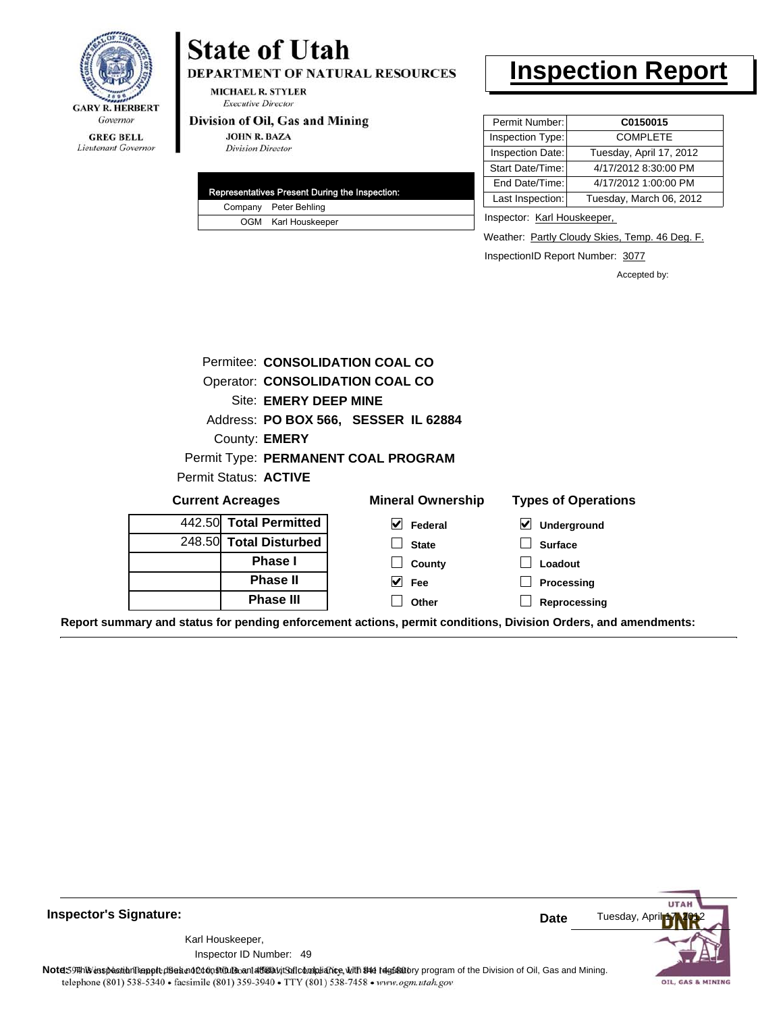

Lieutenant Governor

# **State of Utah**

DEPARTMENT OF NATURAL RESOURCES

**MICHAEL R. STYLER Executive Director** 

#### Division of Oil, Gas and Mining

**JOHN R. BAZA Division Director** 

| Representatives Present During the Inspection: |
|------------------------------------------------|
| Company Peter Behling                          |
| OGM Karl Houskeeper                            |

### **Inspection Report**

| Permit Number:   | C0150015                |
|------------------|-------------------------|
| Inspection Type: | <b>COMPLETE</b>         |
| Inspection Date: | Tuesday, April 17, 2012 |
| Start Date/Time: | 4/17/2012 8:30:00 PM    |
| End Date/Time:   | 4/17/2012 1:00:00 PM    |
| Last Inspection: | Tuesday, March 06, 2012 |
|                  |                         |

Inspector: Karl Houskeeper,

Weather: **Partly Cloudy Skies, Temp. 46 Deg. F.** 

InspectionID Report Number: 3077

Accepted by:

|                                        | Permitee: CONSOLIDATION COAL CO     |                            |  |  |
|----------------------------------------|-------------------------------------|----------------------------|--|--|
| <b>Operator: CONSOLIDATION COAL CO</b> |                                     |                            |  |  |
| Site: EMERY DEEP MINE                  |                                     |                            |  |  |
| Address: PO BOX 566, SESSER IL 62884   |                                     |                            |  |  |
| County: <b>EMERY</b>                   |                                     |                            |  |  |
|                                        | Permit Type: PERMANENT COAL PROGRAM |                            |  |  |
| Permit Status: ACTIVE                  |                                     |                            |  |  |
| <b>Current Acreages</b>                | <b>Mineral Ownership</b>            | <b>Types of Operations</b> |  |  |
| 442.50 Total Permitted                 | V<br><b>Federal</b>                 | M<br><b>Underground</b>    |  |  |
| 248.50 Total Disturbed                 | <b>State</b>                        | <b>Surface</b>             |  |  |
| <b>Phase I</b>                         | County                              | Loadout                    |  |  |
| <b>Phase II</b>                        | $ v $ Fee                           | Processing                 |  |  |
| <b>Phase III</b>                       | Other                               | Reprocessing               |  |  |

**Report summary and status for pending enforcement actions, permit conditions, Division Orders, and amendments:**

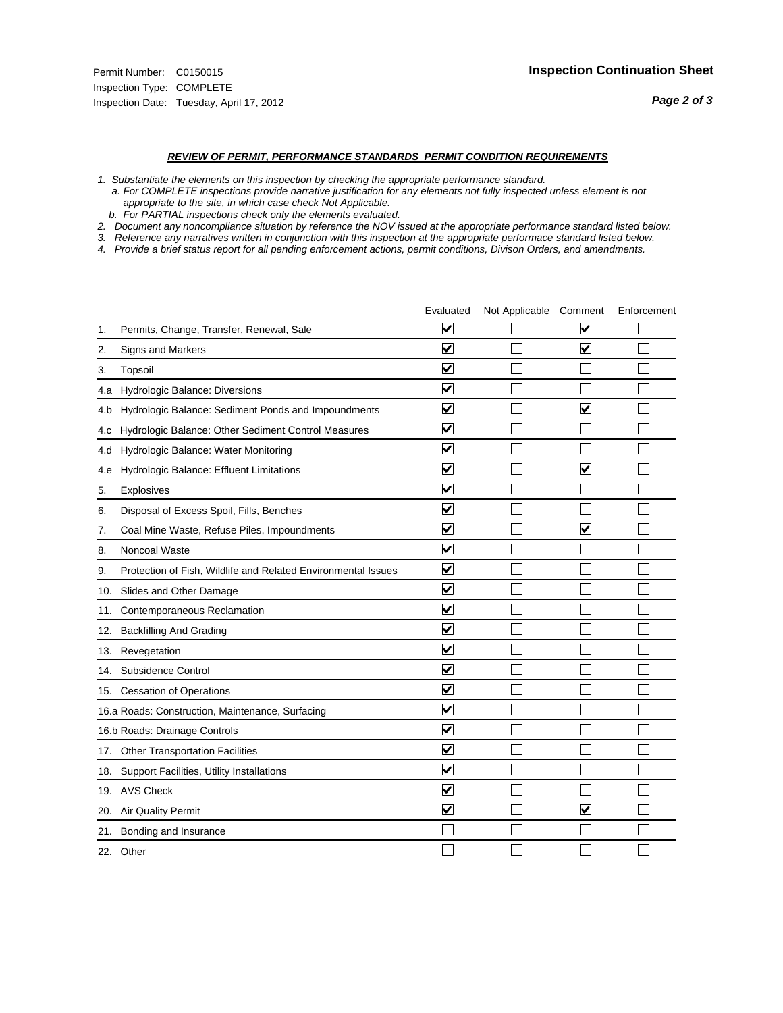#### *REVIEW OF PERMIT, PERFORMANCE STANDARDS PERMIT CONDITION REQUIREMENTS*

*1. Substantiate the elements on this inspection by checking the appropriate performance standard.*

 *a. For COMPLETE inspections provide narrative justification for any elements not fully inspected unless element is not appropriate to the site, in which case check Not Applicable.*

 *b. For PARTIAL inspections check only the elements evaluated.*

*2. Document any noncompliance situation by reference the NOV issued at the appropriate performance standard listed below.*

*3. Reference any narratives written in conjunction with this inspection at the appropriate performace standard listed below.*

*4. Provide a brief status report for all pending enforcement actions, permit conditions, Divison Orders, and amendments.*

|     |                                                               | Evaluated               | Not Applicable Comment |                         | Enforcement |
|-----|---------------------------------------------------------------|-------------------------|------------------------|-------------------------|-------------|
| 1.  | Permits, Change, Transfer, Renewal, Sale                      | $\overline{\mathbf{v}}$ |                        | V                       |             |
| 2.  | Signs and Markers                                             | $\overline{\mathbf{v}}$ |                        | $\blacktriangledown$    |             |
| 3.  | Topsoil                                                       | $\overline{\mathbf{v}}$ |                        |                         |             |
| 4.a | Hydrologic Balance: Diversions                                | $\blacktriangledown$    |                        |                         |             |
| 4.b | Hydrologic Balance: Sediment Ponds and Impoundments           | $\blacktriangledown$    |                        | V                       |             |
| 4.C | Hydrologic Balance: Other Sediment Control Measures           | $\overline{\mathbf{v}}$ |                        |                         |             |
| 4.d | Hydrologic Balance: Water Monitoring                          | $\overline{\mathbf{v}}$ |                        |                         |             |
| 4.e | Hydrologic Balance: Effluent Limitations                      | $\overline{\mathbf{v}}$ |                        | $\blacktriangledown$    |             |
| 5.  | Explosives                                                    | $\overline{\mathbf{v}}$ |                        |                         |             |
| 6.  | Disposal of Excess Spoil, Fills, Benches                      | $\blacktriangledown$    |                        |                         |             |
| 7.  | Coal Mine Waste, Refuse Piles, Impoundments                   | $\overline{\mathsf{v}}$ |                        | $\overline{\mathbf{v}}$ |             |
| 8.  | Noncoal Waste                                                 | $\overline{\mathbf{v}}$ |                        |                         |             |
| 9.  | Protection of Fish, Wildlife and Related Environmental Issues | $\overline{\mathbf{v}}$ |                        |                         |             |
|     | 10. Slides and Other Damage                                   | $\overline{\mathbf{v}}$ |                        |                         |             |
| 11. | Contemporaneous Reclamation                                   | ⊽                       |                        |                         |             |
| 12. | <b>Backfilling And Grading</b>                                | $\overline{\mathbf{v}}$ |                        |                         |             |
| 13. | Revegetation                                                  | $\overline{\mathbf{v}}$ |                        |                         |             |
| 14. | Subsidence Control                                            | $\overline{\mathbf{v}}$ |                        |                         |             |
|     | 15. Cessation of Operations                                   | $\overline{\mathbf{v}}$ |                        |                         |             |
|     | 16.a Roads: Construction, Maintenance, Surfacing              | $\blacktriangledown$    |                        |                         |             |
|     | 16.b Roads: Drainage Controls                                 | $\overline{\mathbf{v}}$ |                        |                         |             |
| 17. | <b>Other Transportation Facilities</b>                        | $\overline{\mathbf{v}}$ |                        |                         |             |
| 18. | Support Facilities, Utility Installations                     | $\overline{\mathbf{v}}$ |                        |                         |             |
|     | 19. AVS Check                                                 | $\overline{\mathbf{v}}$ |                        |                         |             |
| 20. | <b>Air Quality Permit</b>                                     | $\checkmark$            |                        | $\checkmark$            |             |
| 21. | Bonding and Insurance                                         |                         |                        |                         |             |
|     | 22. Other                                                     |                         |                        |                         |             |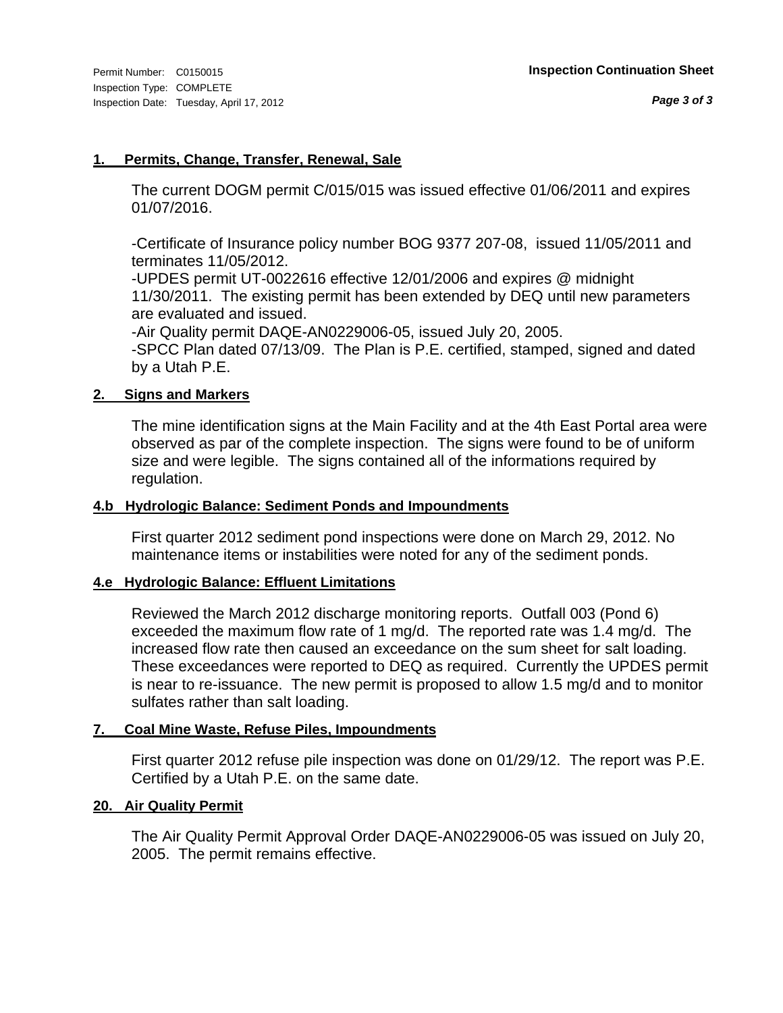#### **1. Permits, Change, Transfer, Renewal, Sale**

The current DOGM permit C/015/015 was issued effective 01/06/2011 and expires 01/07/2016.

-Certificate of Insurance policy number BOG 9377 207-08, issued 11/05/2011 and terminates 11/05/2012.

-UPDES permit UT-0022616 effective 12/01/2006 and expires @ midnight 11/30/2011. The existing permit has been extended by DEQ until new parameters are evaluated and issued.

-Air Quality permit DAQE-AN0229006-05, issued July 20, 2005.

-SPCC Plan dated 07/13/09. The Plan is P.E. certified, stamped, signed and dated by a Utah P.E.

#### **2. Signs and Markers**

The mine identification signs at the Main Facility and at the 4th East Portal area were observed as par of the complete inspection. The signs were found to be of uniform size and were legible. The signs contained all of the informations required by regulation.

#### **4.b Hydrologic Balance: Sediment Ponds and Impoundments**

First quarter 2012 sediment pond inspections were done on March 29, 2012. No maintenance items or instabilities were noted for any of the sediment ponds.

#### **4.e Hydrologic Balance: Effluent Limitations**

Reviewed the March 2012 discharge monitoring reports. Outfall 003 (Pond 6) exceeded the maximum flow rate of 1 mg/d. The reported rate was 1.4 mg/d. The increased flow rate then caused an exceedance on the sum sheet for salt loading. These exceedances were reported to DEQ as required. Currently the UPDES permit is near to re-issuance. The new permit is proposed to allow 1.5 mg/d and to monitor sulfates rather than salt loading.

### **7. Coal Mine Waste, Refuse Piles, Impoundments**

First quarter 2012 refuse pile inspection was done on 01/29/12. The report was P.E. Certified by a Utah P.E. on the same date.

#### **20. Air Quality Permit**

The Air Quality Permit Approval Order DAQE-AN0229006-05 was issued on July 20, 2005. The permit remains effective.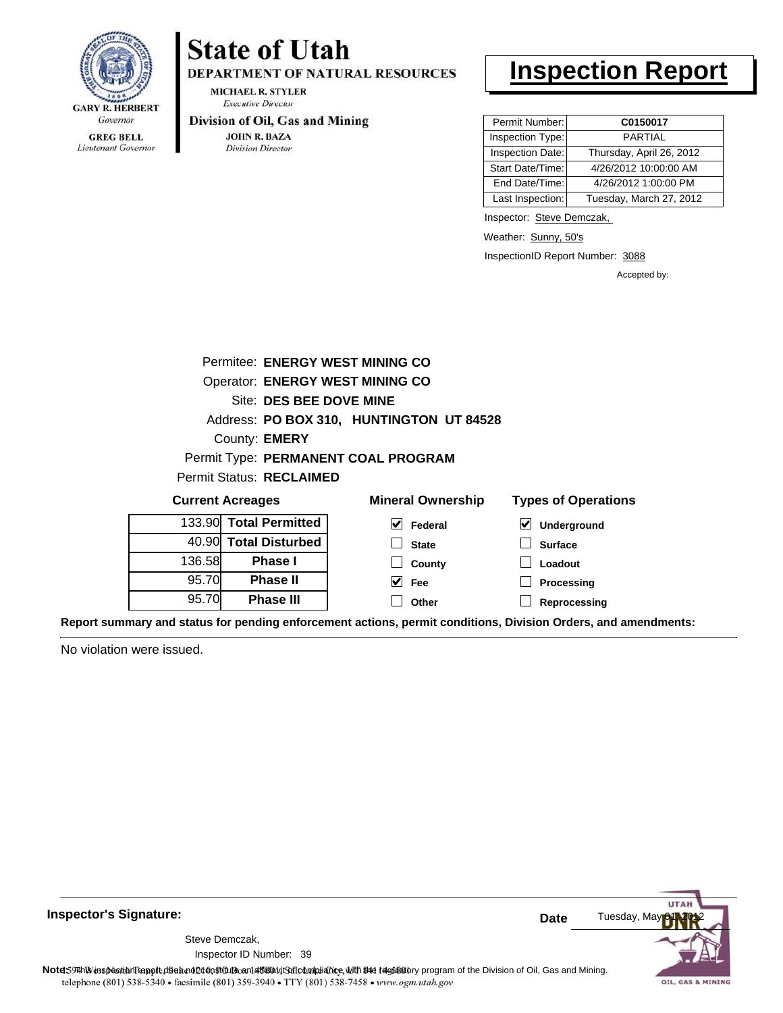

Lieutenant Governor

## **State of Utah**

DEPARTMENT OF NATURAL RESOURCES

**MICHAEL R. STYLER Executive Director** 

#### Division of Oil, Gas and Mining

**JOHN R. BAZA** Division Director

## **Inspection Report**

| Permit Number:   | C0150017                 |
|------------------|--------------------------|
| Inspection Type: | <b>PARTIAL</b>           |
| Inspection Date: | Thursday, April 26, 2012 |
| Start Date/Time: | 4/26/2012 10:00:00 AM    |
| End Date/Time:   | 4/26/2012 1:00:00 PM     |
| Last Inspection: | Tuesday, March 27, 2012  |

Inspector: Steve Demczak,

Weather: Sunny, 50's

InspectionID Report Number: 3088

**Processing Reprocessing** Accepted by:

|        | Permitee: ENERGY WEST MINING CO |                                          |                            |  |  |  |
|--------|---------------------------------|------------------------------------------|----------------------------|--|--|--|
|        | Operator: ENERGY WEST MINING CO |                                          |                            |  |  |  |
|        | Site: DES BEE DOVE MINE         |                                          |                            |  |  |  |
|        |                                 | Address: PO BOX 310, HUNTINGTON UT 84528 |                            |  |  |  |
|        | County: <b>EMERY</b>            |                                          |                            |  |  |  |
|        |                                 | Permit Type: PERMANENT COAL PROGRAM      |                            |  |  |  |
|        | <b>Permit Status: RECLAIMED</b> |                                          |                            |  |  |  |
|        | <b>Current Acreages</b>         | <b>Mineral Ownership</b>                 | <b>Types of Operations</b> |  |  |  |
|        | 133.90 Total Permitted          | V<br>Federal                             | M<br>Underground           |  |  |  |
|        | 40.90 Total Disturbed           | <b>State</b>                             | <b>Surface</b>             |  |  |  |
| 136.58 | Phase I                         | County                                   | Loadout                    |  |  |  |
| 95.70  | <b>Phase II</b>                 | M<br>Fee                                 | <b>Processing</b>          |  |  |  |

**Fee Other**

**Report summary and status for pending enforcement actions, permit conditions, Division Orders, and amendments:**

No violation were issued.

95.70

**Phase II Phase III**



**Inspector's Signature:**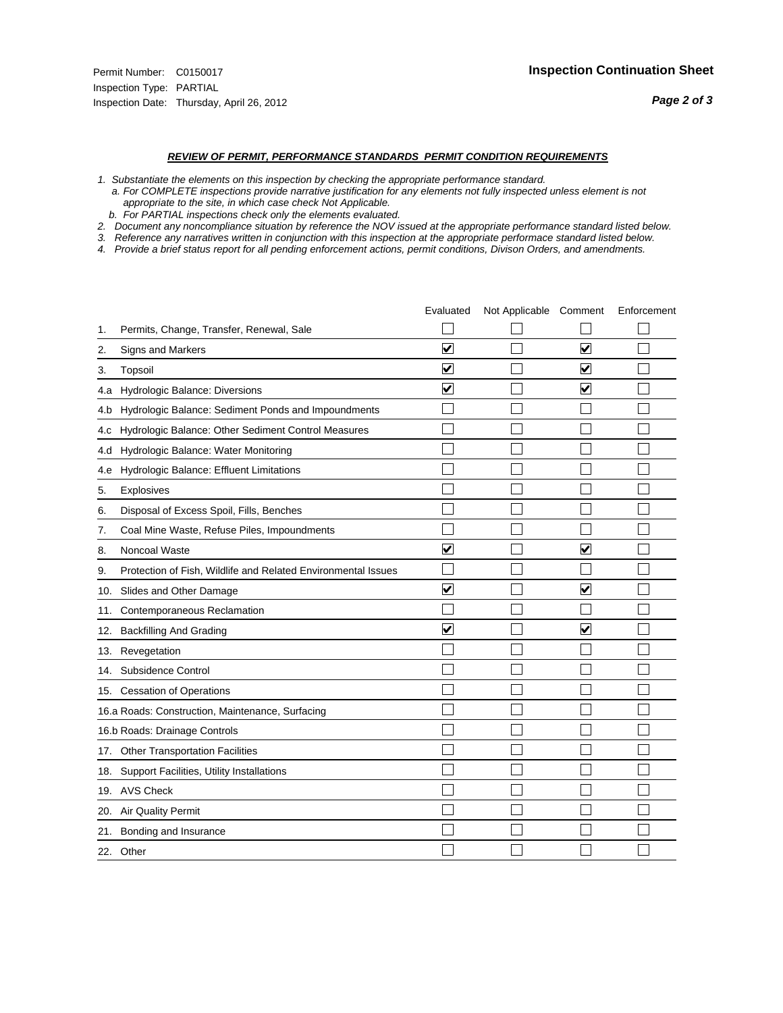- *1. Substantiate the elements on this inspection by checking the appropriate performance standard.*
- *a. For COMPLETE inspections provide narrative justification for any elements not fully inspected unless element is not appropriate to the site, in which case check Not Applicable.*
- *b. For PARTIAL inspections check only the elements evaluated.*
- *2. Document any noncompliance situation by reference the NOV issued at the appropriate performance standard listed below.*
- *3. Reference any narratives written in conjunction with this inspection at the appropriate performace standard listed below.*
- *4. Provide a brief status report for all pending enforcement actions, permit conditions, Divison Orders, and amendments.*

|     |                                                               | Evaluated               | Not Applicable Comment |                         | Enforcement |
|-----|---------------------------------------------------------------|-------------------------|------------------------|-------------------------|-------------|
| 1.  | Permits, Change, Transfer, Renewal, Sale                      |                         |                        |                         |             |
| 2.  | <b>Signs and Markers</b>                                      | $\overline{\mathbf{v}}$ |                        | $\overline{\mathbf{v}}$ |             |
| 3.  | Topsoil                                                       | $\overline{\mathbf{v}}$ |                        | $\overline{\mathbf{v}}$ |             |
| 4.a | Hydrologic Balance: Diversions                                | ⊽                       |                        | $\blacktriangledown$    |             |
| 4.b | Hydrologic Balance: Sediment Ponds and Impoundments           |                         |                        |                         |             |
| 4.C | Hydrologic Balance: Other Sediment Control Measures           |                         |                        |                         |             |
| 4.d | Hydrologic Balance: Water Monitoring                          |                         |                        |                         |             |
| 4.e | Hydrologic Balance: Effluent Limitations                      |                         |                        |                         |             |
| 5.  | <b>Explosives</b>                                             |                         |                        |                         |             |
| 6.  | Disposal of Excess Spoil, Fills, Benches                      |                         |                        |                         |             |
| 7.  | Coal Mine Waste, Refuse Piles, Impoundments                   |                         |                        |                         |             |
| 8.  | Noncoal Waste                                                 | $\overline{\mathbf{v}}$ |                        | $\overline{\mathbf{v}}$ |             |
| 9.  | Protection of Fish, Wildlife and Related Environmental Issues |                         |                        |                         |             |
| 10. | Slides and Other Damage                                       | ⊽                       |                        | ⊽                       |             |
| 11. | Contemporaneous Reclamation                                   |                         |                        |                         |             |
| 12. | <b>Backfilling And Grading</b>                                | $\overline{\mathbf{v}}$ |                        | $\blacktriangledown$    |             |
| 13. | Revegetation                                                  |                         |                        |                         |             |
| 14. | Subsidence Control                                            |                         |                        |                         |             |
|     | 15. Cessation of Operations                                   |                         |                        |                         |             |
|     | 16.a Roads: Construction, Maintenance, Surfacing              |                         |                        |                         |             |
|     | 16.b Roads: Drainage Controls                                 |                         |                        |                         |             |
|     | 17. Other Transportation Facilities                           |                         |                        |                         |             |
| 18. | Support Facilities, Utility Installations                     |                         |                        |                         |             |
|     | 19. AVS Check                                                 |                         |                        |                         |             |
| 20. | Air Quality Permit                                            |                         |                        |                         |             |
|     | 21. Bonding and Insurance                                     |                         |                        |                         |             |
|     | 22. Other                                                     |                         |                        |                         |             |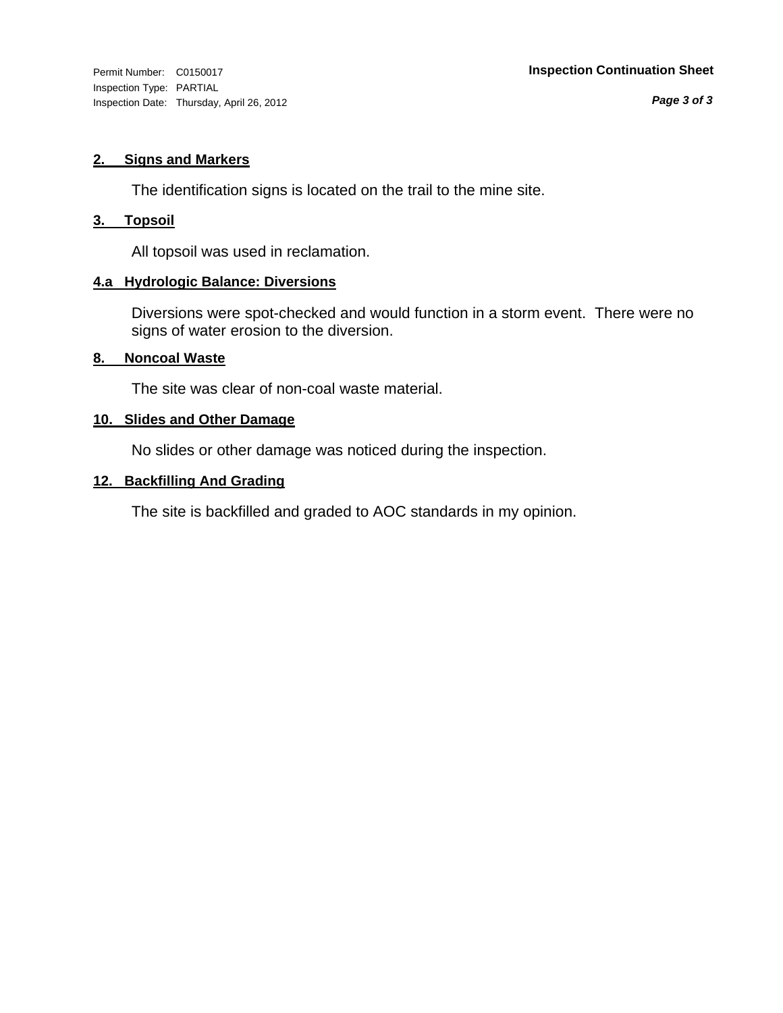Inspection Type: PARTIAL Inspection Date: Thursday, April 26, 2012

*Page 3 of 3*

#### **2. Signs and Markers**

The identification signs is located on the trail to the mine site.

#### **3. Topsoil**

All topsoil was used in reclamation.

#### **4.a Hydrologic Balance: Diversions**

Diversions were spot-checked and would function in a storm event. There were no signs of water erosion to the diversion.

#### **8. Noncoal Waste**

The site was clear of non-coal waste material.

#### **10. Slides and Other Damage**

No slides or other damage was noticed during the inspection.

#### **12. Backfilling And Grading**

The site is backfilled and graded to AOC standards in my opinion.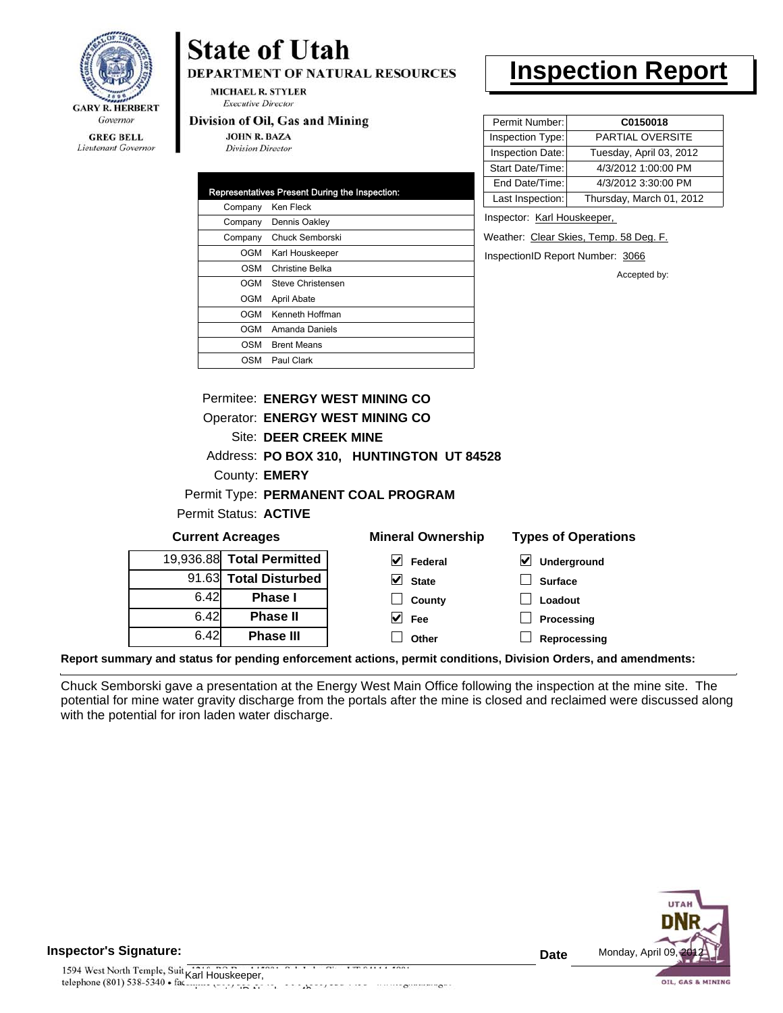

### Lieutenant Governor

## **State of Utah**

DEPARTMENT OF NATURAL RESOURCES

**MICHAEL R. STYLER Executive Director** 

#### Division of Oil, Gas and Mining

**JOHN R. BAZA Division Director** 

| Company | Representatives Present During the Inspection:<br>Ken Fleck |
|---------|-------------------------------------------------------------|
|         |                                                             |
| Company | Dennis Oakley                                               |
| Company | Chuck Semborski                                             |
| OGM     | Karl Houskeeper                                             |
| OSM     | Christine Belka                                             |
| OGM     | Steve Christensen                                           |
| OGM     | April Abate                                                 |
| OGM     | Kenneth Hoffman                                             |
| OGM     | Amanda Daniels                                              |
| OSM     | <b>Brent Means</b>                                          |
| OSM     | Paul Clark                                                  |

### **Inspection Report**

| Permit Number:   | C0150018                 |
|------------------|--------------------------|
| Inspection Type: | PARTIAL OVERSITE         |
| Inspection Date: | Tuesday, April 03, 2012  |
| Start Date/Time: | 4/3/2012 1:00:00 PM      |
| End Date/Time:   | 4/3/2012 3:30:00 PM      |
| Last Inspection: | Thursday, March 01, 2012 |

Inspector: Karl Houskeeper,

Weather: Clear Skies, Temp. 58 Deg. F.

InspectionID Report Number: 3066

Accepted by:

|      | Permitee: ENERGY WEST MINING CO                                                   |                                     |                   |  |  |
|------|-----------------------------------------------------------------------------------|-------------------------------------|-------------------|--|--|
|      | Operator: ENERGY WEST MINING CO                                                   |                                     |                   |  |  |
|      | Site: DEER CREEK MINE                                                             |                                     |                   |  |  |
|      | Address: PO BOX 310, HUNTINGTON UT 84528                                          |                                     |                   |  |  |
|      | County: <b>EMERY</b>                                                              |                                     |                   |  |  |
|      |                                                                                   | Permit Type: PERMANENT COAL PROGRAM |                   |  |  |
|      | Permit Status: ACTIVE                                                             |                                     |                   |  |  |
|      | <b>Mineral Ownership</b><br><b>Types of Operations</b><br><b>Current Acreages</b> |                                     |                   |  |  |
|      | 19,936.88 Total Permitted                                                         | $\vert \mathbf{V} \vert$ Federal    | M<br>Underground  |  |  |
|      | 91.63 Total Disturbed                                                             | $\vee$ State                        | <b>Surface</b>    |  |  |
| 6.42 | <b>Phase I</b>                                                                    | County                              | Loadout           |  |  |
| 6.42 | <b>Phase II</b>                                                                   | $\vee$ Fee                          | <b>Processing</b> |  |  |
| 6.42 | <b>Phase III</b>                                                                  | Other                               | Reprocessing      |  |  |
|      |                                                                                   |                                     |                   |  |  |

**Report summary and status for pending enforcement actions, permit conditions, Division Orders, and amendments:**

Chuck Semborski gave a presentation at the Energy West Main Office following the inspection at the mine site. The potential for mine water gravity discharge from the portals after the mine is closed and reclaimed were discussed along with the potential for iron laden water discharge.

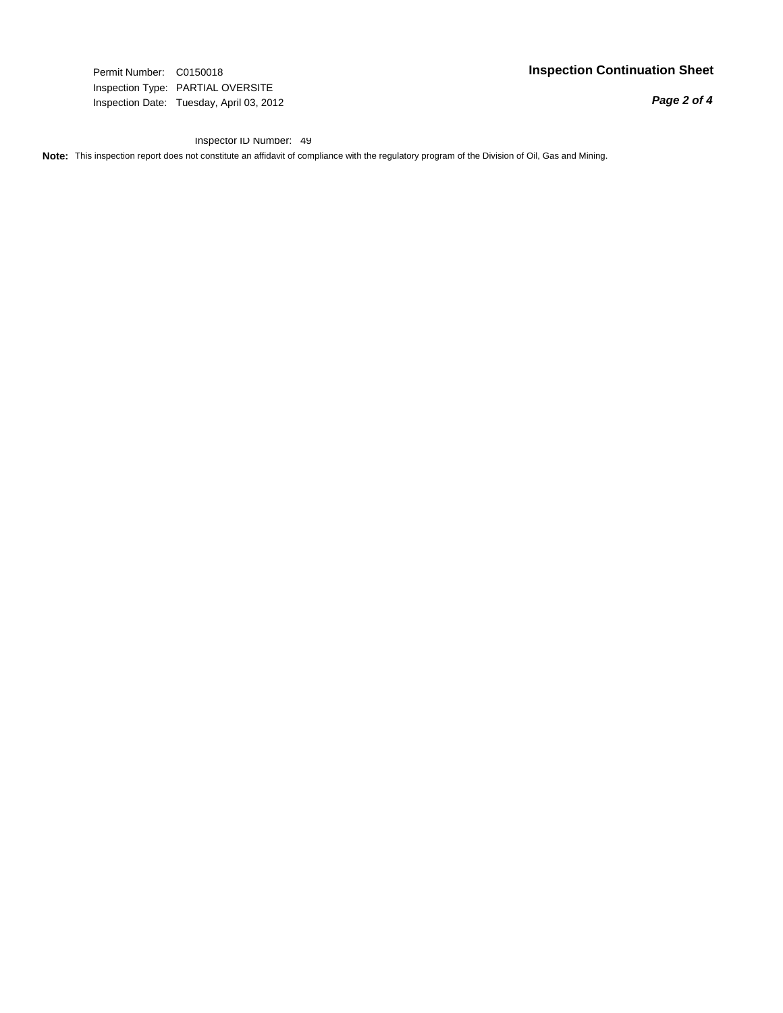Inspection Type: PARTIAL OVERSITE Inspection Date: Tuesday, April 03, 2012

*Page 2 of 4*

#### Inspector ID Number: 49

**Note:** This inspection report does not constitute an affidavit of compliance with the regulatory program of the Division of Oil, Gas and Mining.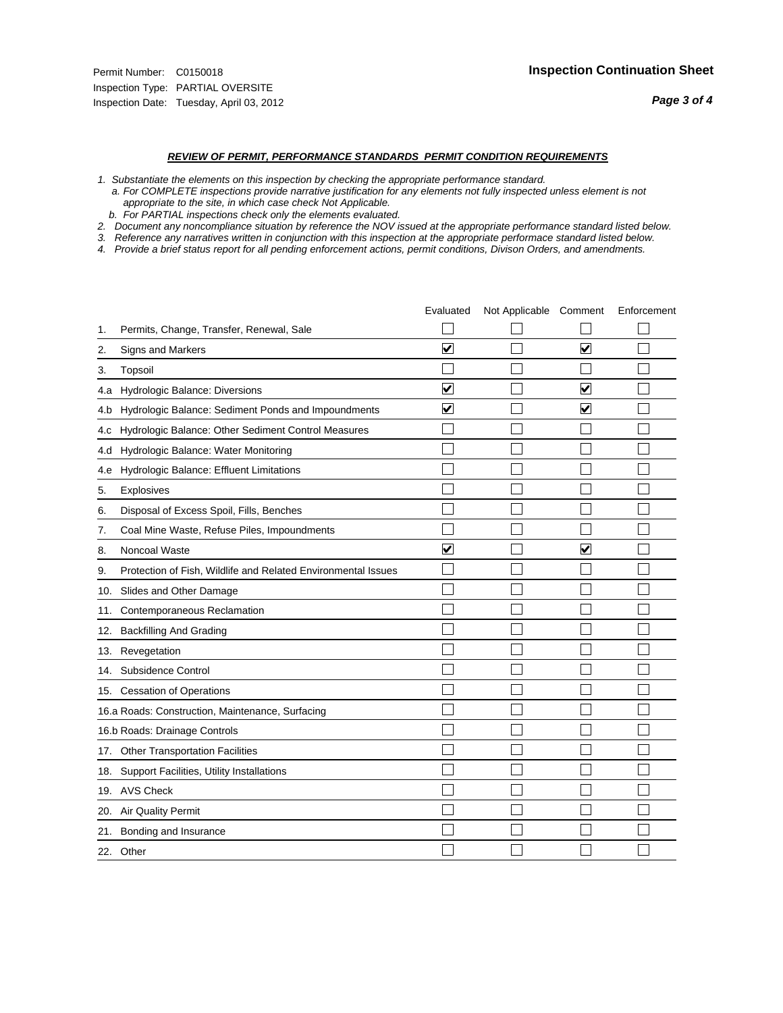*Page 3 of 4*

- *1. Substantiate the elements on this inspection by checking the appropriate performance standard.*
- *a. For COMPLETE inspections provide narrative justification for any elements not fully inspected unless element is not appropriate to the site, in which case check Not Applicable.*
- *b. For PARTIAL inspections check only the elements evaluated.*
- *2. Document any noncompliance situation by reference the NOV issued at the appropriate performance standard listed below.*
- *3. Reference any narratives written in conjunction with this inspection at the appropriate performace standard listed below.*
- *4. Provide a brief status report for all pending enforcement actions, permit conditions, Divison Orders, and amendments.*

|     |                                                               | Evaluated               | Not Applicable Comment |                         | Enforcement |
|-----|---------------------------------------------------------------|-------------------------|------------------------|-------------------------|-------------|
| 1.  | Permits, Change, Transfer, Renewal, Sale                      |                         |                        |                         |             |
| 2.  | Signs and Markers                                             | $\overline{\mathbf{v}}$ |                        | $\overline{\mathbf{v}}$ |             |
| 3.  | Topsoil                                                       |                         |                        |                         |             |
| 4.a | Hydrologic Balance: Diversions                                | $\blacktriangledown$    |                        | V                       |             |
| 4.b | Hydrologic Balance: Sediment Ponds and Impoundments           | V                       |                        | V                       |             |
| 4.c | Hydrologic Balance: Other Sediment Control Measures           |                         |                        |                         |             |
| 4.d | Hydrologic Balance: Water Monitoring                          |                         |                        |                         |             |
| 4.e | Hydrologic Balance: Effluent Limitations                      |                         |                        |                         |             |
| 5.  | <b>Explosives</b>                                             |                         |                        |                         |             |
| 6.  | Disposal of Excess Spoil, Fills, Benches                      |                         |                        |                         |             |
| 7.  | Coal Mine Waste, Refuse Piles, Impoundments                   |                         |                        |                         |             |
| 8.  | Noncoal Waste                                                 | $\overline{\mathsf{v}}$ |                        | V                       |             |
| 9.  | Protection of Fish, Wildlife and Related Environmental Issues |                         |                        |                         |             |
| 10. | Slides and Other Damage                                       |                         |                        |                         |             |
| 11. | Contemporaneous Reclamation                                   |                         |                        |                         |             |
| 12. | <b>Backfilling And Grading</b>                                |                         |                        |                         |             |
| 13. | Revegetation                                                  |                         |                        |                         |             |
| 14. | Subsidence Control                                            |                         |                        |                         |             |
|     | 15. Cessation of Operations                                   |                         |                        |                         |             |
|     | 16.a Roads: Construction, Maintenance, Surfacing              |                         |                        |                         |             |
|     | 16.b Roads: Drainage Controls                                 |                         |                        |                         |             |
| 17. | Other Transportation Facilities                               |                         |                        |                         |             |
| 18. | Support Facilities, Utility Installations                     |                         |                        |                         |             |
|     | 19. AVS Check                                                 |                         |                        |                         |             |
| 20. | Air Quality Permit                                            |                         |                        |                         |             |
| 21. | Bonding and Insurance                                         |                         |                        |                         |             |
|     | 22. Other                                                     |                         |                        |                         |             |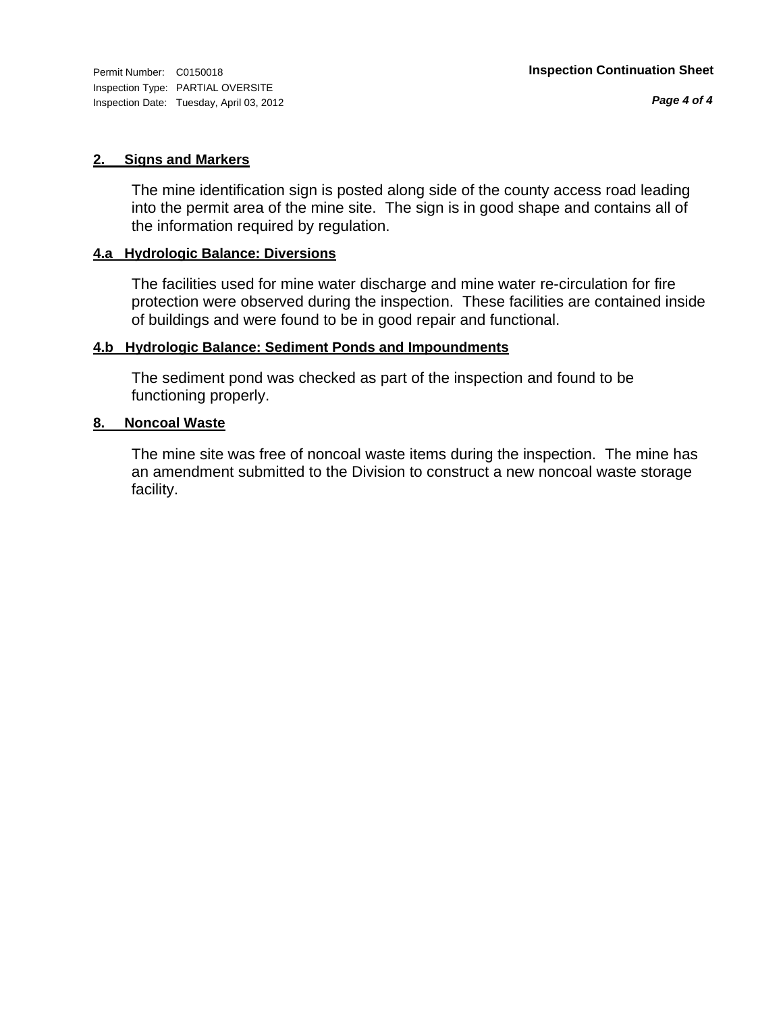Inspection Type: PARTIAL OVERSITE Inspection Date: Tuesday, April 03, 2012

#### **2. Signs and Markers**

The mine identification sign is posted along side of the county access road leading into the permit area of the mine site. The sign is in good shape and contains all of the information required by regulation.

#### **4.a Hydrologic Balance: Diversions**

The facilities used for mine water discharge and mine water re-circulation for fire protection were observed during the inspection. These facilities are contained inside of buildings and were found to be in good repair and functional.

#### **4.b Hydrologic Balance: Sediment Ponds and Impoundments**

The sediment pond was checked as part of the inspection and found to be functioning properly.

#### **8. Noncoal Waste**

The mine site was free of noncoal waste items during the inspection. The mine has an amendment submitted to the Division to construct a new noncoal waste storage facility.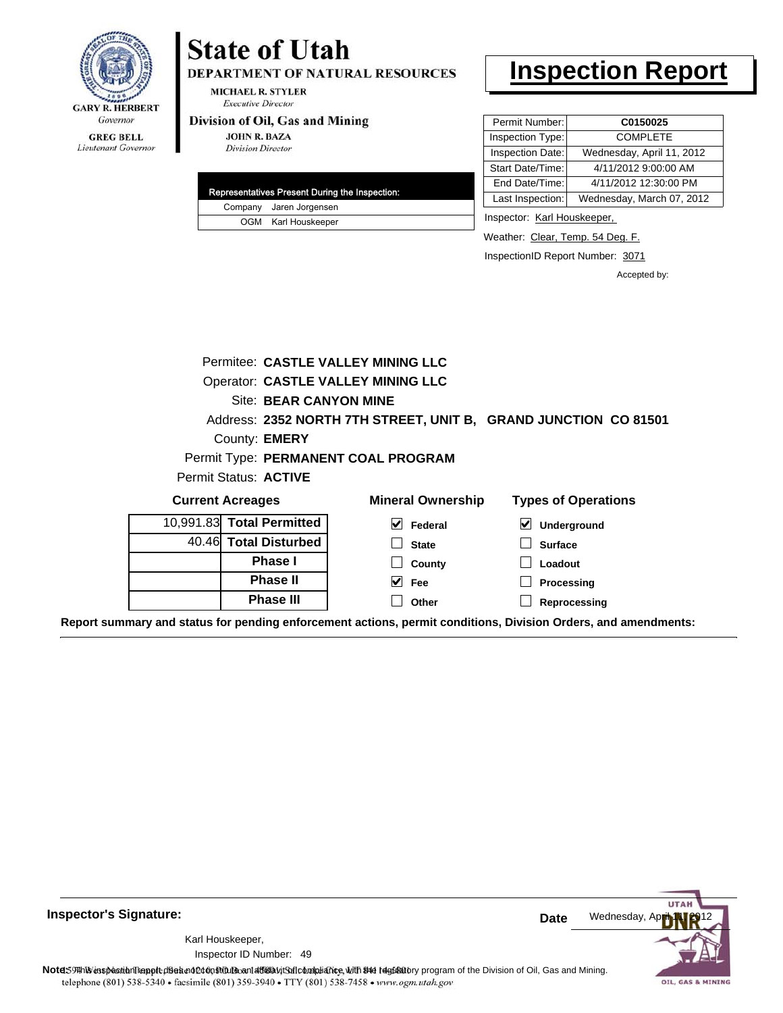

Lieutenant Governor

#### **MICHAEL R. STYLER Executive Director**

#### Division of Oil, Gas and Mining

**State of Utah** 

**JOHN R. BAZA Division Director** 

|  | Representatives Present During the Inspection: |
|--|------------------------------------------------|
|  | Company Jaren Jorgensen                        |
|  | OGM Karl Houskeeper                            |

DEPARTMENT OF NATURAL RESOURCES

### **Inspection Report**

| Permit Number:   | C0150025                  |
|------------------|---------------------------|
| Inspection Type: | <b>COMPLETE</b>           |
| Inspection Date: | Wednesday, April 11, 2012 |
| Start Date/Time: | 4/11/2012 9:00:00 AM      |
| End Date/Time:   | 4/11/2012 12:30:00 PM     |
| Last Inspection: | Wednesday, March 07, 2012 |

Inspector: Karl Houskeeper,

Weather: Clear, Temp. 54 Deg. F.

InspectionID Report Number: 3071

Accepted by:

|                           |                        | Permitee: CASTLE VALLEY MINING LLC        |                                                                                                                |
|---------------------------|------------------------|-------------------------------------------|----------------------------------------------------------------------------------------------------------------|
|                           |                        | <b>Operator: CASTLE VALLEY MINING LLC</b> |                                                                                                                |
|                           | Site: BEAR CANYON MINE |                                           |                                                                                                                |
|                           |                        |                                           | Address: 2352 NORTH 7TH STREET, UNIT B, GRAND JUNCTION CO 81501                                                |
| County: <b>EMERY</b>      |                        |                                           |                                                                                                                |
|                           |                        | Permit Type: PERMANENT COAL PROGRAM       |                                                                                                                |
| Permit Status: ACTIVE     |                        |                                           |                                                                                                                |
| <b>Current Acreages</b>   |                        | <b>Mineral Ownership</b>                  | <b>Types of Operations</b>                                                                                     |
| 10,991.83 Total Permitted |                        | V<br>Federal                              | $\vert\mathbf{v}\vert$<br><b>Underground</b>                                                                   |
| 40.46 Total Disturbed     |                        | <b>State</b>                              | <b>Surface</b>                                                                                                 |
|                           | <b>Phase I</b>         | County                                    | Loadout                                                                                                        |
|                           | <b>Phase II</b>        | $\vee$ Fee                                | Processing                                                                                                     |
|                           | <b>Phase III</b>       | Other                                     | Reprocessing                                                                                                   |
|                           |                        |                                           | Report summary and status for pending enforcement actions, permit conditions, Division Orders, and amendments: |

**UTAF** Wednesday, Ap **Date** Karl Houskeeper, 49 Inspector ID Number:**Note**: **59HhV** inspection report does not 260n Studio and affidavit Suite and suith the deptatory program of the Division of Oil, Gas and Mining.<br>telephone (801) 538-5340 • facsimile (801) 359-3940 • TTY (801) 538-7458 • OIL, GAS & MINING

**Inspector's Signature:**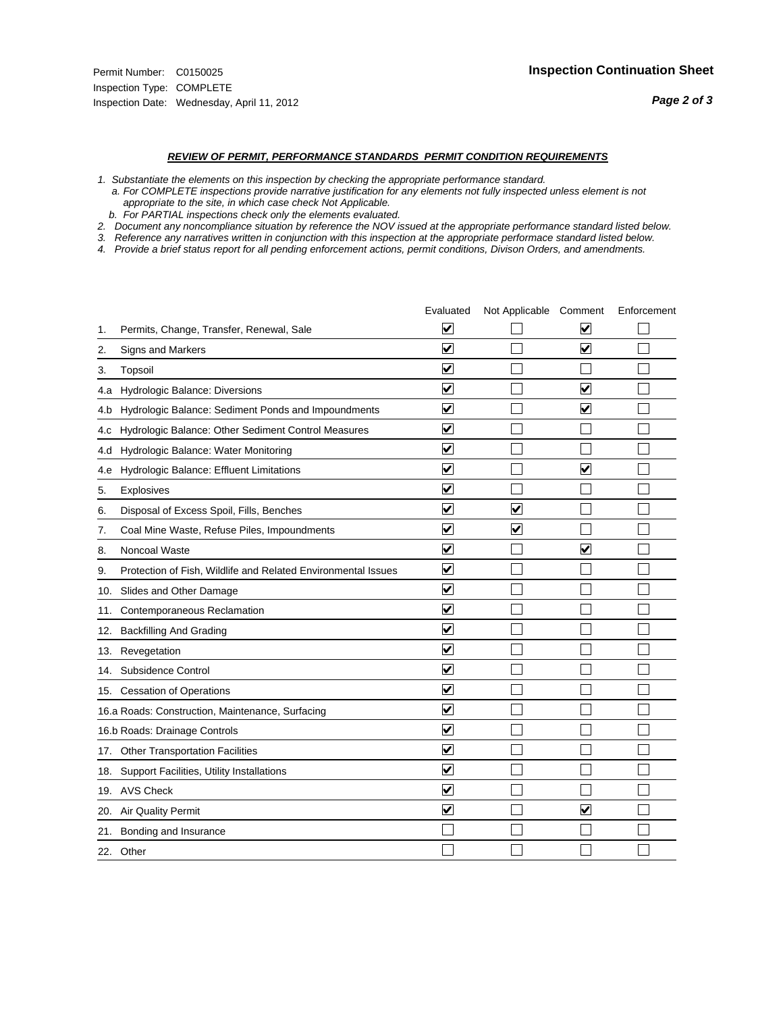#### *REVIEW OF PERMIT, PERFORMANCE STANDARDS PERMIT CONDITION REQUIREMENTS*

*1. Substantiate the elements on this inspection by checking the appropriate performance standard.*

 *a. For COMPLETE inspections provide narrative justification for any elements not fully inspected unless element is not appropriate to the site, in which case check Not Applicable.*

 *b. For PARTIAL inspections check only the elements evaluated.*

*2. Document any noncompliance situation by reference the NOV issued at the appropriate performance standard listed below.*

*3. Reference any narratives written in conjunction with this inspection at the appropriate performace standard listed below.*

*4. Provide a brief status report for all pending enforcement actions, permit conditions, Divison Orders, and amendments.*

|     |                                                               | Evaluated               | Not Applicable Comment  |                         | Enforcement |
|-----|---------------------------------------------------------------|-------------------------|-------------------------|-------------------------|-------------|
| 1.  | Permits, Change, Transfer, Renewal, Sale                      | $\overline{\mathbf{v}}$ |                         | V                       |             |
| 2.  | Signs and Markers                                             | $\overline{\mathbf{v}}$ |                         | $\blacktriangledown$    |             |
| 3.  | Topsoil                                                       | $\overline{\mathbf{v}}$ |                         |                         |             |
| 4.a | Hydrologic Balance: Diversions                                | $\blacktriangledown$    |                         | $\overline{\mathbf{v}}$ |             |
| 4.b | Hydrologic Balance: Sediment Ponds and Impoundments           | $\blacktriangledown$    |                         | V                       |             |
| 4.C | Hydrologic Balance: Other Sediment Control Measures           | $\overline{\mathbf{v}}$ |                         |                         |             |
| 4.d | Hydrologic Balance: Water Monitoring                          | $\overline{\mathbf{v}}$ |                         |                         |             |
| 4.e | Hydrologic Balance: Effluent Limitations                      | $\overline{\mathbf{v}}$ |                         | $\blacktriangledown$    |             |
| 5.  | Explosives                                                    | $\overline{\mathbf{v}}$ |                         |                         |             |
| 6.  | Disposal of Excess Spoil, Fills, Benches                      | $\blacktriangledown$    | $\blacktriangledown$    |                         |             |
| 7.  | Coal Mine Waste, Refuse Piles, Impoundments                   | $\overline{\mathsf{v}}$ | $\overline{\mathbf{v}}$ |                         |             |
| 8.  | Noncoal Waste                                                 | $\overline{\mathbf{v}}$ |                         | $\overline{\mathbf{v}}$ |             |
| 9.  | Protection of Fish, Wildlife and Related Environmental Issues | $\overline{\mathbf{v}}$ |                         |                         |             |
|     | 10. Slides and Other Damage                                   | $\overline{\mathbf{v}}$ |                         |                         |             |
| 11. | Contemporaneous Reclamation                                   | ⊽                       |                         |                         |             |
| 12. | <b>Backfilling And Grading</b>                                | $\overline{\mathbf{v}}$ |                         |                         |             |
| 13. | Revegetation                                                  | $\overline{\mathbf{v}}$ |                         |                         |             |
| 14. | Subsidence Control                                            | $\overline{\mathbf{v}}$ |                         |                         |             |
|     | 15. Cessation of Operations                                   | $\overline{\mathbf{v}}$ |                         |                         |             |
|     | 16.a Roads: Construction, Maintenance, Surfacing              | $\blacktriangledown$    |                         |                         |             |
|     | 16.b Roads: Drainage Controls                                 | $\overline{\mathbf{v}}$ |                         |                         |             |
| 17. | <b>Other Transportation Facilities</b>                        | $\overline{\mathbf{v}}$ |                         |                         |             |
| 18. | Support Facilities, Utility Installations                     | $\overline{\mathbf{v}}$ |                         |                         |             |
|     | 19. AVS Check                                                 | $\overline{\mathbf{v}}$ |                         |                         |             |
| 20. | <b>Air Quality Permit</b>                                     | $\checkmark$            |                         | $\blacktriangledown$    |             |
| 21. | Bonding and Insurance                                         |                         |                         |                         |             |
|     | 22. Other                                                     |                         |                         |                         |             |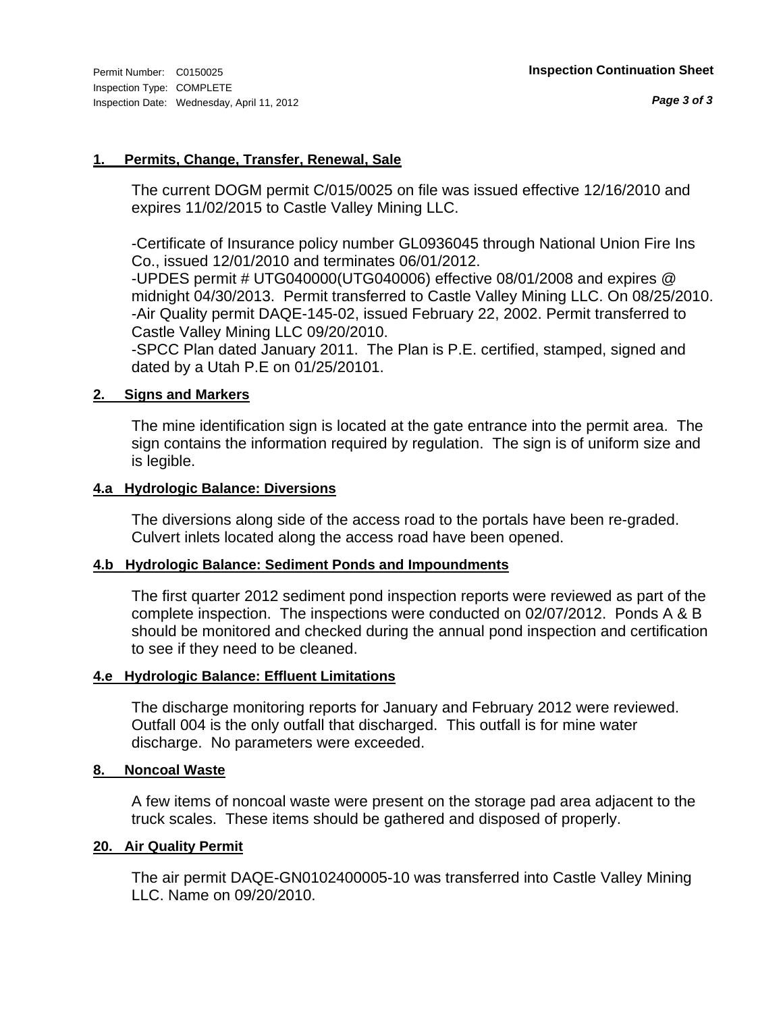#### **1. Permits, Change, Transfer, Renewal, Sale**

The current DOGM permit C/015/0025 on file was issued effective 12/16/2010 and expires 11/02/2015 to Castle Valley Mining LLC.

-Certificate of Insurance policy number GL0936045 through National Union Fire Ins Co., issued 12/01/2010 and terminates 06/01/2012.

-UPDES permit # UTG040000(UTG040006) effective 08/01/2008 and expires @ midnight 04/30/2013. Permit transferred to Castle Valley Mining LLC. On 08/25/2010. -Air Quality permit DAQE-145-02, issued February 22, 2002. Permit transferred to Castle Valley Mining LLC 09/20/2010.

-SPCC Plan dated January 2011. The Plan is P.E. certified, stamped, signed and dated by a Utah P.E on 01/25/20101.

#### **2. Signs and Markers**

The mine identification sign is located at the gate entrance into the permit area. The sign contains the information required by regulation. The sign is of uniform size and is legible.

#### **4.a Hydrologic Balance: Diversions**

The diversions along side of the access road to the portals have been re-graded. Culvert inlets located along the access road have been opened.

#### **4.b Hydrologic Balance: Sediment Ponds and Impoundments**

The first quarter 2012 sediment pond inspection reports were reviewed as part of the complete inspection. The inspections were conducted on 02/07/2012. Ponds A & B should be monitored and checked during the annual pond inspection and certification to see if they need to be cleaned.

#### **4.e Hydrologic Balance: Effluent Limitations**

The discharge monitoring reports for January and February 2012 were reviewed. Outfall 004 is the only outfall that discharged. This outfall is for mine water discharge. No parameters were exceeded.

#### **8. Noncoal Waste**

A few items of noncoal waste were present on the storage pad area adjacent to the truck scales. These items should be gathered and disposed of properly.

#### **20. Air Quality Permit**

The air permit DAQE-GN0102400005-10 was transferred into Castle Valley Mining LLC. Name on 09/20/2010.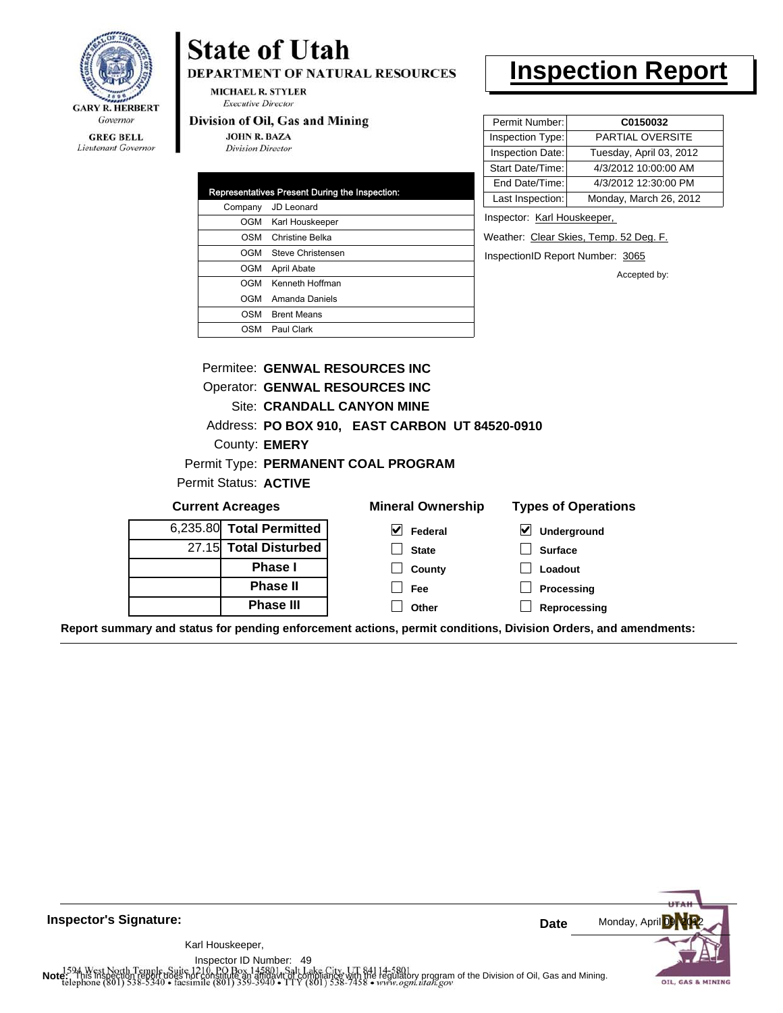

#### **GREG BELL** Lieutenant Governor

## **State of Utah**

DEPARTMENT OF NATURAL RESOURCES

**MICHAEL R. STYLER Executive Director** 

#### Division of Oil, Gas and Mining

**Phase III**

**JOHN R. BAZA Division Director** 

| <b>Representatives Present During the Inspection:</b> |  |  |  |
|-------------------------------------------------------|--|--|--|
| JD Leonard                                            |  |  |  |
| Karl Houskeeper                                       |  |  |  |
| Christine Belka                                       |  |  |  |
| Steve Christensen                                     |  |  |  |
| <b>April Abate</b>                                    |  |  |  |
| Kenneth Hoffman                                       |  |  |  |
| Amanda Daniels                                        |  |  |  |
| <b>Brent Means</b>                                    |  |  |  |
| Paul Clark                                            |  |  |  |
|                                                       |  |  |  |

### **Inspection Report**

| Permit Number:   | C0150032                |
|------------------|-------------------------|
| Inspection Type: | PARTIAL OVERSITE        |
| Inspection Date: | Tuesday, April 03, 2012 |
| Start Date/Time: | 4/3/2012 10:00:00 AM    |
| End Date/Time:   | 4/3/2012 12:30:00 PM    |
| Last Inspection: | Monday, March 26, 2012  |

Inspector: Karl Houskeeper,

Weather: Clear Skies, Temp. 52 Deg. F.

InspectionID Report Number: 3065

**Reprocessing**

Accepted by:

|                                     | Permitee: GENWAL RESOURCES INC        |                                                |                            |  |  |
|-------------------------------------|---------------------------------------|------------------------------------------------|----------------------------|--|--|
|                                     | <b>Operator: GENWAL RESOURCES INC</b> |                                                |                            |  |  |
| Site: CRANDALL CANYON MINE          |                                       |                                                |                            |  |  |
|                                     |                                       | Address: PO BOX 910, EAST CARBON UT 84520-0910 |                            |  |  |
| County: <b>EMERY</b>                |                                       |                                                |                            |  |  |
| Permit Type: PERMANENT COAL PROGRAM |                                       |                                                |                            |  |  |
|                                     | Permit Status: <b>ACTIVE</b>          |                                                |                            |  |  |
| <b>Current Acreages</b>             |                                       | <b>Mineral Ownership</b>                       | <b>Types of Operations</b> |  |  |
|                                     | 6,235.80 Total Permitted              | M<br>Federal                                   | V<br>Underground           |  |  |
|                                     | 27.15 Total Disturbed                 | <b>State</b>                                   | <b>Surface</b>             |  |  |
| <b>Phase I</b>                      |                                       | County                                         | Loadout                    |  |  |
|                                     | <b>Phase II</b>                       | Fee                                            | Processing                 |  |  |

**Report summary and status for pending enforcement actions, permit conditions, Division Orders, and amendments:**

**Other**



**Inspector's Signature:**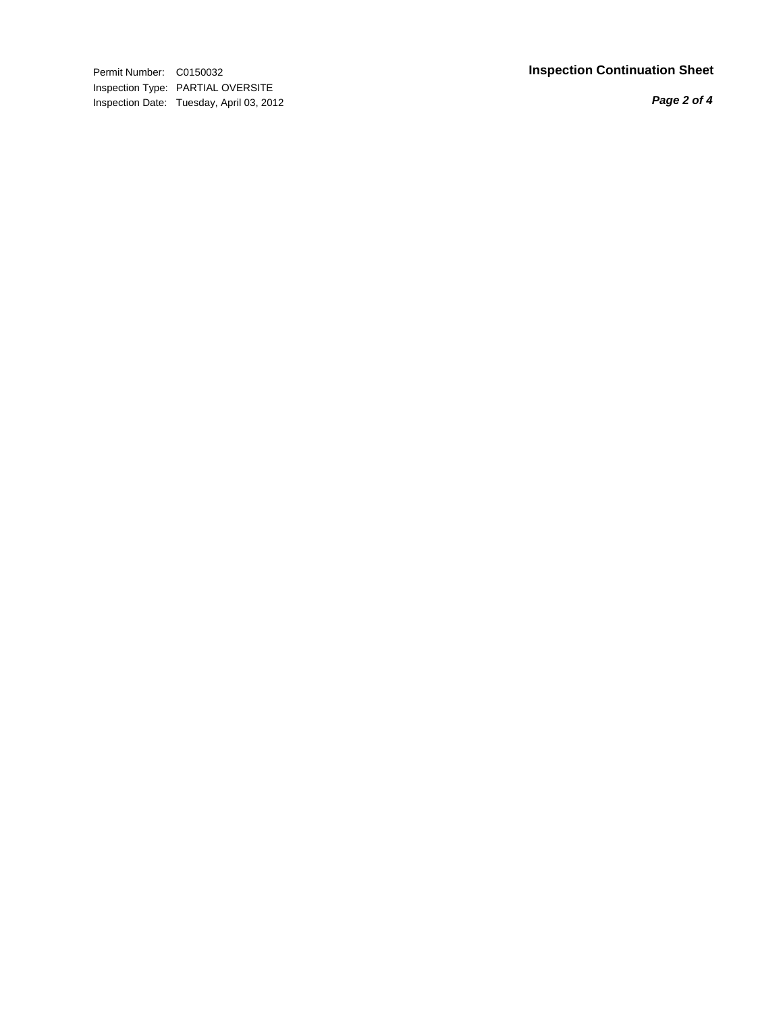Inspection Type: PARTIAL OVERSITE Inspection Date: Tuesday, April 03, 2012

#### Permit Number: C0150032 **Inspection Continuation Sheet**

*Page 2 of 4*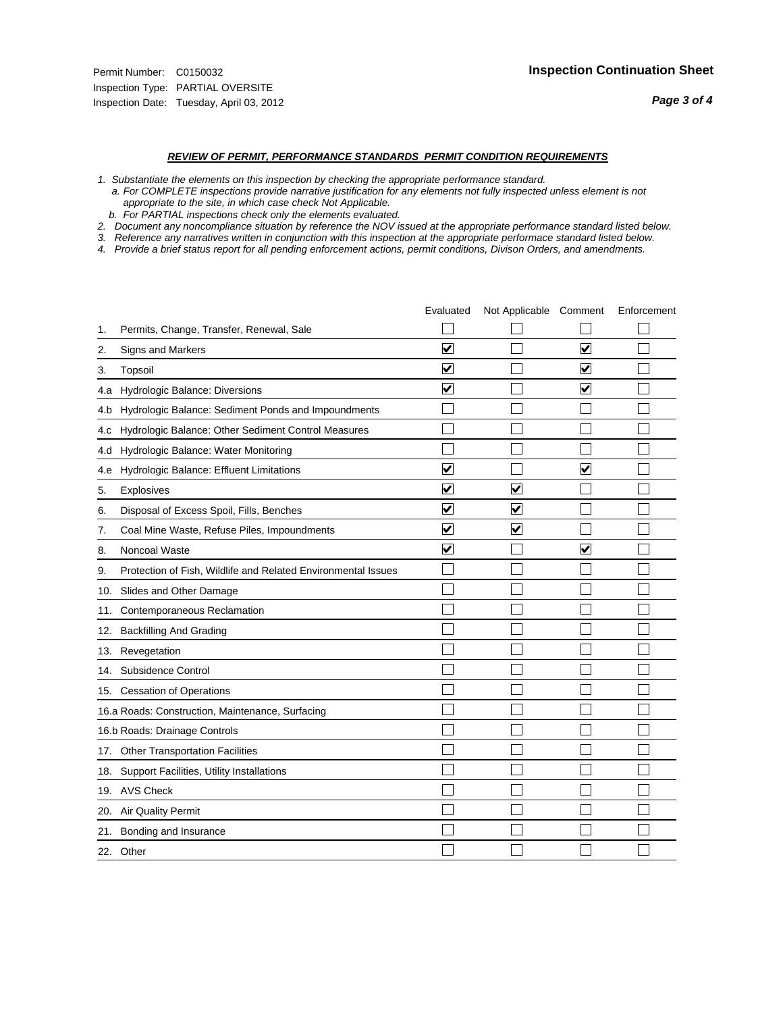*Page 3 of 4*

- *1. Substantiate the elements on this inspection by checking the appropriate performance standard.*
- *a. For COMPLETE inspections provide narrative justification for any elements not fully inspected unless element is not appropriate to the site, in which case check Not Applicable.*
- *b. For PARTIAL inspections check only the elements evaluated.*
- *2. Document any noncompliance situation by reference the NOV issued at the appropriate performance standard listed below.*
- *3. Reference any narratives written in conjunction with this inspection at the appropriate performace standard listed below.*
- *4. Provide a brief status report for all pending enforcement actions, permit conditions, Divison Orders, and amendments.*

|     |                                                               | Evaluated               | Not Applicable Comment  |                         | Enforcement |
|-----|---------------------------------------------------------------|-------------------------|-------------------------|-------------------------|-------------|
| 1.  | Permits, Change, Transfer, Renewal, Sale                      |                         |                         |                         |             |
| 2.  | <b>Signs and Markers</b>                                      | $\overline{\mathbf{v}}$ |                         | $\blacktriangledown$    |             |
| 3.  | Topsoil                                                       | $\overline{\mathbf{v}}$ |                         | $\blacktriangledown$    |             |
| 4.a | Hydrologic Balance: Diversions                                | $\blacktriangledown$    |                         | $\blacktriangledown$    |             |
| 4.b | Hydrologic Balance: Sediment Ponds and Impoundments           |                         |                         |                         |             |
| 4.c | Hydrologic Balance: Other Sediment Control Measures           |                         |                         |                         |             |
| 4.d | Hydrologic Balance: Water Monitoring                          |                         |                         |                         |             |
| 4.e | Hydrologic Balance: Effluent Limitations                      | $\overline{\mathbf{v}}$ |                         | $\blacktriangledown$    |             |
| 5.  | <b>Explosives</b>                                             | $\overline{\mathbf{v}}$ | $\overline{\mathbf{v}}$ |                         |             |
| 6.  | Disposal of Excess Spoil, Fills, Benches                      | $\overline{\mathsf{v}}$ | $\overline{\mathbf{v}}$ |                         |             |
| 7.  | Coal Mine Waste, Refuse Piles, Impoundments                   | $\overline{\mathbf{v}}$ | ☑                       |                         |             |
| 8.  | Noncoal Waste                                                 | $\overline{\mathsf{v}}$ |                         | $\overline{\mathsf{v}}$ |             |
| 9.  | Protection of Fish, Wildlife and Related Environmental Issues |                         |                         |                         |             |
|     | 10. Slides and Other Damage                                   |                         |                         |                         |             |
| 11. | Contemporaneous Reclamation                                   |                         |                         |                         |             |
| 12. | <b>Backfilling And Grading</b>                                |                         |                         |                         |             |
| 13. | Revegetation                                                  |                         |                         |                         |             |
| 14. | Subsidence Control                                            |                         |                         |                         |             |
|     | 15. Cessation of Operations                                   |                         |                         |                         |             |
|     | 16.a Roads: Construction, Maintenance, Surfacing              |                         |                         |                         |             |
|     | 16.b Roads: Drainage Controls                                 |                         |                         |                         |             |
| 17. | <b>Other Transportation Facilities</b>                        |                         |                         |                         |             |
| 18. | Support Facilities, Utility Installations                     |                         |                         |                         |             |
|     | 19. AVS Check                                                 |                         |                         |                         |             |
| 20. | Air Quality Permit                                            |                         |                         |                         |             |
| 21. | Bonding and Insurance                                         |                         |                         |                         |             |
|     | 22. Other                                                     |                         |                         |                         |             |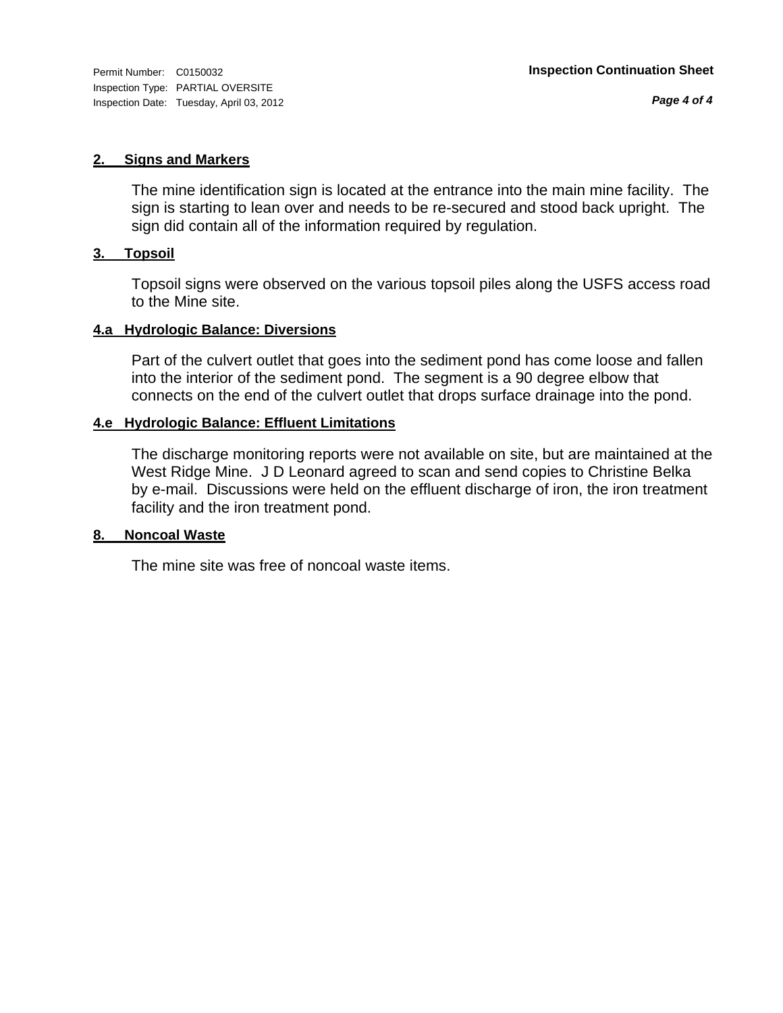## **2. Signs and Markers**

The mine identification sign is located at the entrance into the main mine facility. The sign is starting to lean over and needs to be re-secured and stood back upright. The sign did contain all of the information required by regulation.

## **3. Topsoil**

Topsoil signs were observed on the various topsoil piles along the USFS access road to the Mine site.

## **4.a Hydrologic Balance: Diversions**

Part of the culvert outlet that goes into the sediment pond has come loose and fallen into the interior of the sediment pond. The segment is a 90 degree elbow that connects on the end of the culvert outlet that drops surface drainage into the pond.

## **4.e Hydrologic Balance: Effluent Limitations**

The discharge monitoring reports were not available on site, but are maintained at the West Ridge Mine. J D Leonard agreed to scan and send copies to Christine Belka by e-mail. Discussions were held on the effluent discharge of iron, the iron treatment facility and the iron treatment pond.

## **8. Noncoal Waste**

The mine site was free of noncoal waste items.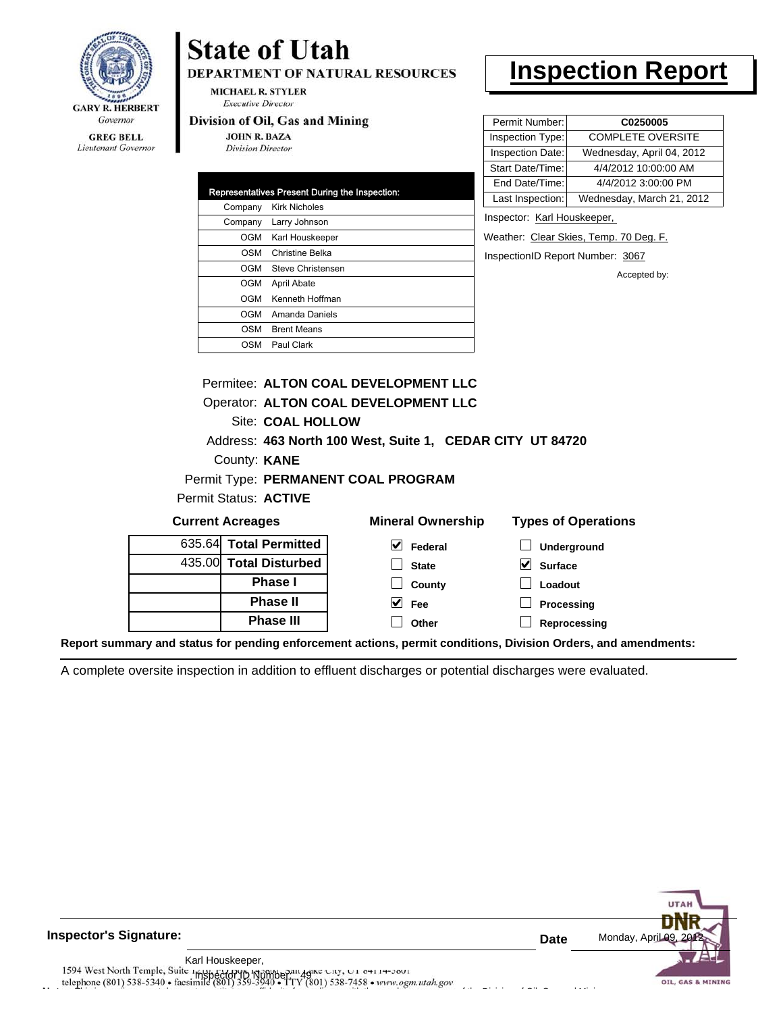

### **GREG BELL** Lieutenant Governor

# **State of Utah**

DEPARTMENT OF NATURAL RESOURCES

**MICHAEL R. STYLER Executive Director** 

## Division of Oil, Gas and Mining

**JOHN R. BAZA Division Director** 

| <b>Representatives Present During the Inspection:</b> |                      |  |  |
|-------------------------------------------------------|----------------------|--|--|
| Company                                               | <b>Kirk Nicholes</b> |  |  |
| Company                                               | Larry Johnson        |  |  |
| OGM                                                   | Karl Houskeeper      |  |  |
| OSM                                                   | Christine Belka      |  |  |
| OGM                                                   | Steve Christensen    |  |  |
| <b>OGM</b>                                            | April Abate          |  |  |
| OGM                                                   | Kenneth Hoffman      |  |  |
| OGM                                                   | Amanda Daniels       |  |  |
| OSM                                                   | <b>Brent Means</b>   |  |  |
| OSM                                                   | Paul Clark           |  |  |

# **Inspection Report**

| Permit Number:   | C0250005                  |
|------------------|---------------------------|
| Inspection Type: | <b>COMPLETE OVERSITE</b>  |
| Inspection Date: | Wednesday, April 04, 2012 |
| Start Date/Time: | 4/4/2012 10:00:00 AM      |
| End Date/Time:   | 4/4/2012 3:00:00 PM       |
| Last Inspection: | Wednesday, March 21, 2012 |

Inspector: Karl Houskeeper,

Weather: Clear Skies, Temp. 70 Deg. F.

InspectionID Report Number: 3067

Accepted by:

|                         | Permitee: ALTON COAL DEVELOPMENT LLC                      |                            |
|-------------------------|-----------------------------------------------------------|----------------------------|
|                         | Operator: ALTON COAL DEVELOPMENT LLC                      |                            |
| Site: COAL HOLLOW       |                                                           |                            |
|                         | Address: 463 North 100 West, Suite 1, CEDAR CITY UT 84720 |                            |
| County: <b>KANE</b>     |                                                           |                            |
|                         | Permit Type: PERMANENT COAL PROGRAM                       |                            |
| Permit Status: ACTIVE   |                                                           |                            |
| <b>Current Acreages</b> | <b>Mineral Ownership</b>                                  | <b>Types of Operations</b> |
| 635.64 Total Permitted  | V<br>Federal                                              | <b>Underground</b>         |
| 435.00 Total Disturbed  | <b>State</b>                                              | V<br><b>Surface</b>        |
| <b>Phase I</b>          | County                                                    | Loadout                    |
| <b>Phase II</b>         | Fee                                                       | <b>Processing</b>          |
| <b>Phase III</b>        | Other                                                     | Reprocessing               |

**Report summary and status for pending enforcement actions, permit conditions, Division Orders, and amendments:**

A complete oversite inspection in addition to effluent discharges or potential discharges were evaluated.



**Inspector's Signature:**

49 Inspector ID Number:

N this is the time of the conduction will be the more of the *ithin it film* it in the top of the top of the conduction of the conduction of the conduction of the conduction of the conduction of the conduction of the condu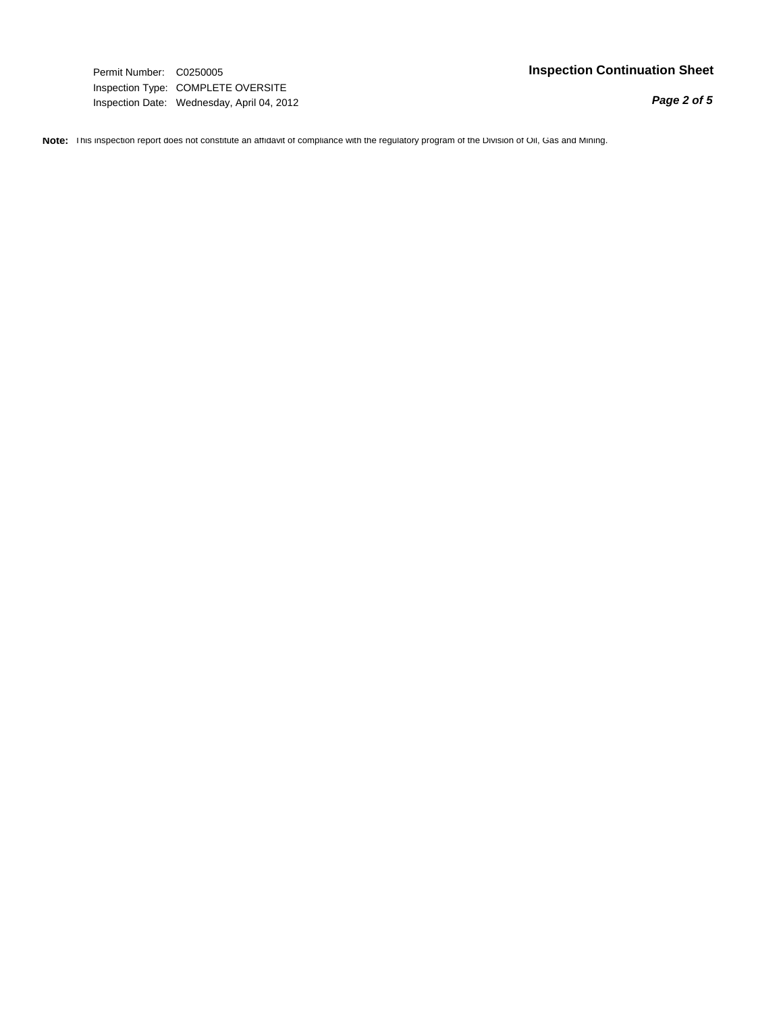Inspection Type: COMPLETE OVERSITE Inspection Date: Wednesday, April 04, 2012

*Page 2 of 5*

**Note:** This inspection report does not constitute an affidavit of compliance with the regulatory program of the Division of Oil, Gas and Mining.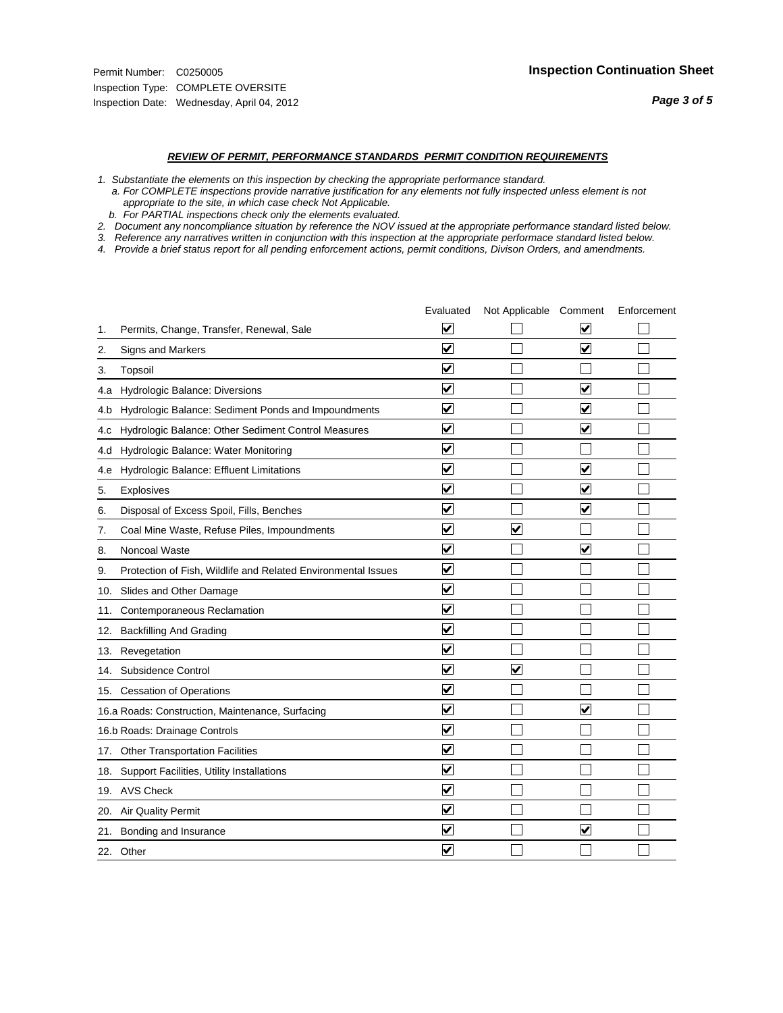*Page 3 of 5*

### *REVIEW OF PERMIT, PERFORMANCE STANDARDS PERMIT CONDITION REQUIREMENTS*

- *1. Substantiate the elements on this inspection by checking the appropriate performance standard.*
- *a. For COMPLETE inspections provide narrative justification for any elements not fully inspected unless element is not appropriate to the site, in which case check Not Applicable.*
- *b. For PARTIAL inspections check only the elements evaluated.*
- *2. Document any noncompliance situation by reference the NOV issued at the appropriate performance standard listed below.*
- *3. Reference any narratives written in conjunction with this inspection at the appropriate performace standard listed below.*
- *4. Provide a brief status report for all pending enforcement actions, permit conditions, Divison Orders, and amendments.*

|     |                                                               | Evaluated               | Not Applicable Comment  |                         | Enforcement |
|-----|---------------------------------------------------------------|-------------------------|-------------------------|-------------------------|-------------|
| 1.  | Permits, Change, Transfer, Renewal, Sale                      | $\overline{\mathbf{v}}$ |                         | V                       |             |
| 2.  | <b>Signs and Markers</b>                                      | $\overline{\mathbf{v}}$ |                         | $\blacktriangledown$    |             |
| 3.  | Topsoil                                                       | $\overline{\mathbf{v}}$ |                         |                         |             |
| 4.a | Hydrologic Balance: Diversions                                | $\overline{\mathbf{v}}$ |                         | $\blacktriangledown$    |             |
| 4.b | Hydrologic Balance: Sediment Ponds and Impoundments           | $\blacktriangledown$    |                         | V                       |             |
| 4.c | Hydrologic Balance: Other Sediment Control Measures           | $\overline{\mathbf{v}}$ |                         | $\blacktriangledown$    |             |
| 4.d | Hydrologic Balance: Water Monitoring                          | $\overline{\mathbf{v}}$ |                         |                         |             |
| 4.e | Hydrologic Balance: Effluent Limitations                      | $\overline{\mathbf{v}}$ |                         | $\blacktriangledown$    |             |
| 5.  | <b>Explosives</b>                                             | $\overline{\mathbf{v}}$ |                         | ☑                       |             |
| 6.  | Disposal of Excess Spoil, Fills, Benches                      | $\overline{\mathbf{v}}$ |                         | $\blacktriangledown$    |             |
| 7.  | Coal Mine Waste, Refuse Piles, Impoundments                   | $\overline{\mathbf{v}}$ | $\overline{\mathsf{v}}$ |                         |             |
| 8.  | Noncoal Waste                                                 | $\overline{\mathsf{v}}$ |                         | $\overline{\mathbf{v}}$ |             |
| 9.  | Protection of Fish, Wildlife and Related Environmental Issues | $\overline{\mathbf{v}}$ |                         |                         |             |
|     | 10. Slides and Other Damage                                   | $\overline{\mathbf{v}}$ |                         |                         |             |
| 11. | Contemporaneous Reclamation                                   | ⊻                       |                         |                         |             |
| 12. | <b>Backfilling And Grading</b>                                | $\overline{\mathbf{v}}$ |                         |                         |             |
| 13. | Revegetation                                                  | $\overline{\mathbf{v}}$ |                         |                         |             |
| 14. | Subsidence Control                                            | $\overline{\mathbf{v}}$ | $\overline{\mathbf{v}}$ |                         |             |
|     | 15. Cessation of Operations                                   | $\blacktriangleright$   |                         |                         |             |
|     | 16.a Roads: Construction, Maintenance, Surfacing              | $\blacktriangledown$    |                         | $\blacktriangledown$    |             |
|     | 16.b Roads: Drainage Controls                                 | $\blacktriangledown$    |                         |                         |             |
| 17. | <b>Other Transportation Facilities</b>                        | $\overline{\mathbf{v}}$ |                         |                         |             |
| 18. | Support Facilities, Utility Installations                     | $\overline{\mathbf{v}}$ |                         |                         |             |
|     | 19. AVS Check                                                 | $\overline{\mathbf{v}}$ |                         |                         |             |
| 20. | Air Quality Permit                                            | $\overline{\mathsf{v}}$ |                         |                         |             |
|     | 21. Bonding and Insurance                                     | $\overline{\mathbf{v}}$ |                         | $\blacktriangledown$    |             |
|     | 22. Other                                                     | $\blacktriangledown$    |                         |                         |             |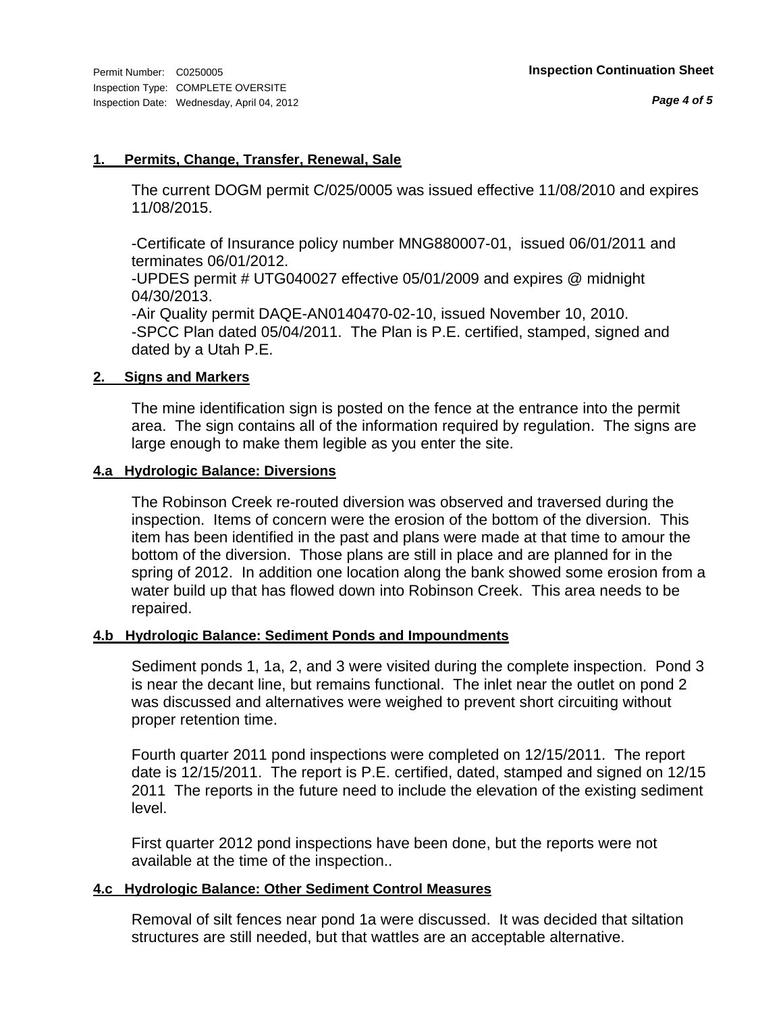## **1. Permits, Change, Transfer, Renewal, Sale**

The current DOGM permit C/025/0005 was issued effective 11/08/2010 and expires 11/08/2015.

-Certificate of Insurance policy number MNG880007-01, issued 06/01/2011 and terminates 06/01/2012.

-UPDES permit # UTG040027 effective 05/01/2009 and expires @ midnight 04/30/2013.

-Air Quality permit DAQE-AN0140470-02-10, issued November 10, 2010. -SPCC Plan dated 05/04/2011. The Plan is P.E. certified, stamped, signed and dated by a Utah P.E.

## **2. Signs and Markers**

The mine identification sign is posted on the fence at the entrance into the permit area. The sign contains all of the information required by regulation. The signs are large enough to make them legible as you enter the site.

## **4.a Hydrologic Balance: Diversions**

The Robinson Creek re-routed diversion was observed and traversed during the inspection. Items of concern were the erosion of the bottom of the diversion. This item has been identified in the past and plans were made at that time to amour the bottom of the diversion. Those plans are still in place and are planned for in the spring of 2012. In addition one location along the bank showed some erosion from a water build up that has flowed down into Robinson Creek. This area needs to be repaired.

## **4.b Hydrologic Balance: Sediment Ponds and Impoundments**

Sediment ponds 1, 1a, 2, and 3 were visited during the complete inspection. Pond 3 is near the decant line, but remains functional. The inlet near the outlet on pond 2 was discussed and alternatives were weighed to prevent short circuiting without proper retention time.

Fourth quarter 2011 pond inspections were completed on 12/15/2011. The report date is 12/15/2011. The report is P.E. certified, dated, stamped and signed on 12/15 2011 The reports in the future need to include the elevation of the existing sediment level.

First quarter 2012 pond inspections have been done, but the reports were not available at the time of the inspection..

## **4.c Hydrologic Balance: Other Sediment Control Measures**

Removal of silt fences near pond 1a were discussed. It was decided that siltation structures are still needed, but that wattles are an acceptable alternative.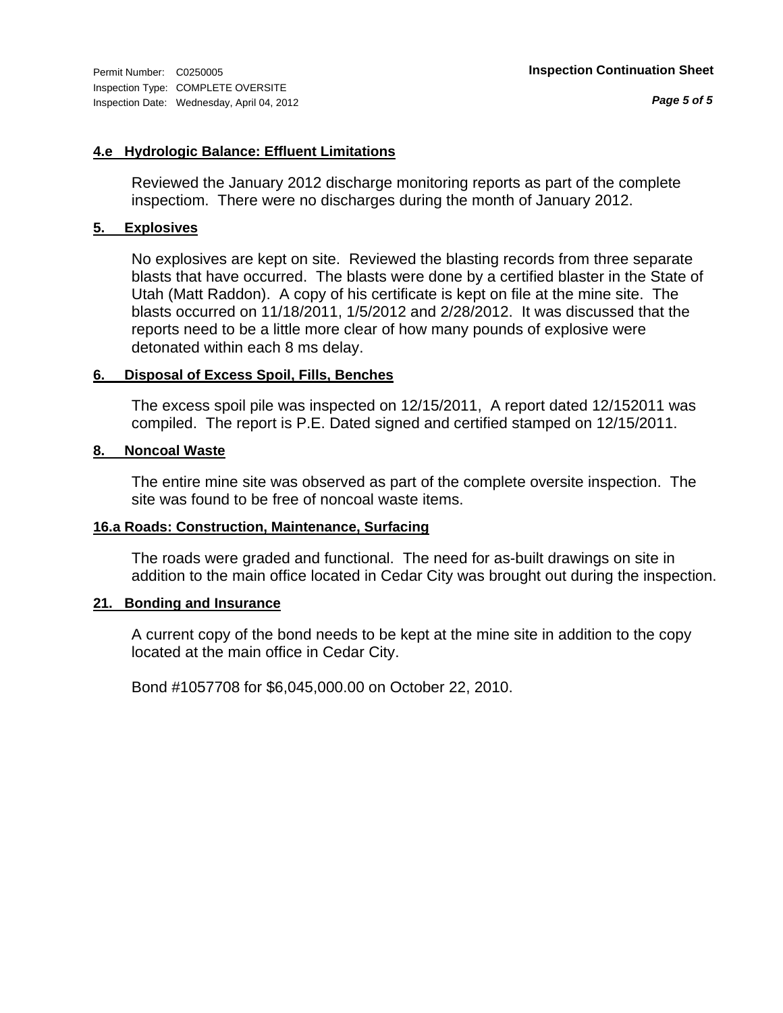## **4.e Hydrologic Balance: Effluent Limitations**

Reviewed the January 2012 discharge monitoring reports as part of the complete inspectiom. There were no discharges during the month of January 2012.

## **5. Explosives**

No explosives are kept on site. Reviewed the blasting records from three separate blasts that have occurred. The blasts were done by a certified blaster in the State of Utah (Matt Raddon). A copy of his certificate is kept on file at the mine site. The blasts occurred on 11/18/2011, 1/5/2012 and 2/28/2012. It was discussed that the reports need to be a little more clear of how many pounds of explosive were detonated within each 8 ms delay.

## **6. Disposal of Excess Spoil, Fills, Benches**

The excess spoil pile was inspected on 12/15/2011, A report dated 12/152011 was compiled. The report is P.E. Dated signed and certified stamped on 12/15/2011.

## **8. Noncoal Waste**

The entire mine site was observed as part of the complete oversite inspection. The site was found to be free of noncoal waste items.

## **16.a Roads: Construction, Maintenance, Surfacing**

The roads were graded and functional. The need for as-built drawings on site in addition to the main office located in Cedar City was brought out during the inspection.

## **21. Bonding and Insurance**

A current copy of the bond needs to be kept at the mine site in addition to the copy located at the main office in Cedar City.

Bond #1057708 for \$6,045,000.00 on October 22, 2010.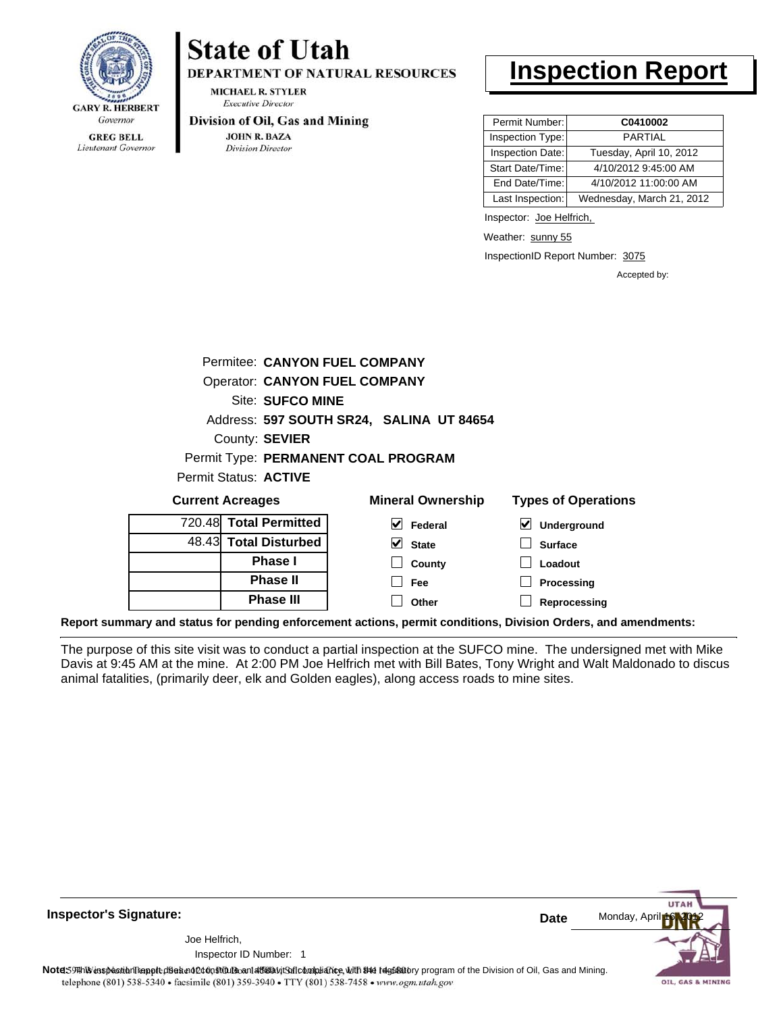

Lieutenant Governor

# **State of Utah**

**DEPARTMENT OF NATURAL RESOURCES** 

**MICHAEL R. STYLER Executive Director** 

## Division of Oil, Gas and Mining

**JOHN R. BAZA Division Director** 

# **Inspection Report**

| Permit Number:   | C0410002                  |
|------------------|---------------------------|
| Inspection Type: | <b>PARTIAL</b>            |
| Inspection Date: | Tuesday, April 10, 2012   |
| Start Date/Time: | 4/10/2012 9:45:00 AM      |
| End Date/Time:   | 4/10/2012 11:00:00 AM     |
| Last Inspection: | Wednesday, March 21, 2012 |

Inspector: Joe Helfrich,

Weather: sunny 55

InspectionID Report Number: 3075

Accepted by:

|                         |                        | Permitee: CANYON FUEL COMPANY            |                          |                            |
|-------------------------|------------------------|------------------------------------------|--------------------------|----------------------------|
|                         |                        | <b>Operator: CANYON FUEL COMPANY</b>     |                          |                            |
|                         | Site: SUFCO MINE       |                                          |                          |                            |
|                         |                        | Address: 597 SOUTH SR24, SALINA UT 84654 |                          |                            |
|                         | County: SEVIER         |                                          |                          |                            |
|                         |                        | Permit Type: PERMANENT COAL PROGRAM      |                          |                            |
| Permit Status: ACTIVE   |                        |                                          |                          |                            |
| <b>Current Acreages</b> |                        |                                          | <b>Mineral Ownership</b> | <b>Types of Operations</b> |
|                         | 720.48 Total Permitted | V                                        | Federal                  | Underground                |
|                         | 48.43 Total Disturbed  |                                          | <b>State</b>             | <b>Surface</b>             |

| <b>Phase III</b>              |  |
|-------------------------------|--|
| <b>Phase II</b>               |  |
| <b>Phase I</b>                |  |
| 48.43 Total Disturbed         |  |
| 720.48 <b>Total Permitted</b> |  |

| eral Ownership          | <b>Types of Operat</b>       |
|-------------------------|------------------------------|
| $\triangledown$ Federal | $\triangleright$ Underground |
| $\triangledown$ State   | $\Box$ Surface               |
| $\Box$ County           | $\Box$ Loadout               |
| $\Box$ Fee              | $\Box$ Processing            |
| Other                   | $\Box$ Reprocessing          |

**Report summary and status for pending enforcement actions, permit conditions, Division Orders, and amendments:**

The purpose of this site visit was to conduct a partial inspection at the SUFCO mine. The undersigned met with Mike Davis at 9:45 AM at the mine. At 2:00 PM Joe Helfrich met with Bill Bates, Tony Wright and Walt Maldonado to discus animal fatalities, (primarily deer, elk and Golden eagles), along access roads to mine sites.

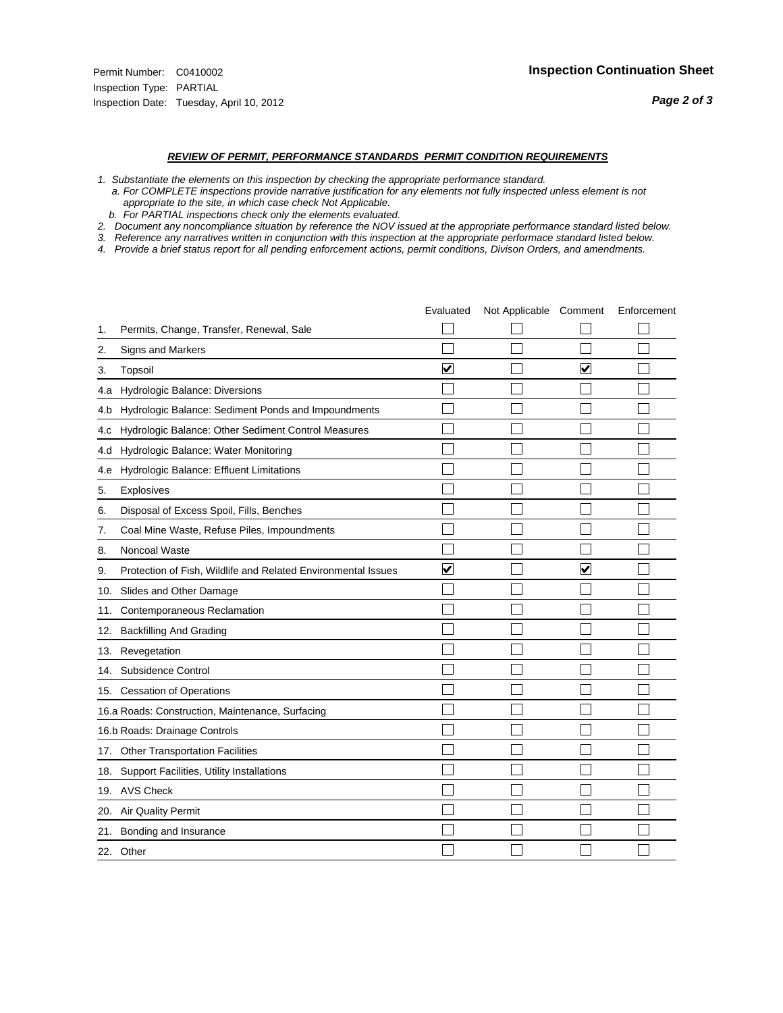*Page 2 of 3*

### *REVIEW OF PERMIT, PERFORMANCE STANDARDS PERMIT CONDITION REQUIREMENTS*

- *1. Substantiate the elements on this inspection by checking the appropriate performance standard.*
- *a. For COMPLETE inspections provide narrative justification for any elements not fully inspected unless element is not appropriate to the site, in which case check Not Applicable.*
- *b. For PARTIAL inspections check only the elements evaluated.*
- *2. Document any noncompliance situation by reference the NOV issued at the appropriate performance standard listed below.*
- *3. Reference any narratives written in conjunction with this inspection at the appropriate performace standard listed below.*
- *4. Provide a brief status report for all pending enforcement actions, permit conditions, Divison Orders, and amendments.*

|     |                                                               | Evaluated               | Not Applicable Comment |                         | Enforcement |
|-----|---------------------------------------------------------------|-------------------------|------------------------|-------------------------|-------------|
| 1.  | Permits, Change, Transfer, Renewal, Sale                      |                         |                        |                         |             |
| 2.  | <b>Signs and Markers</b>                                      |                         |                        |                         |             |
| 3.  | Topsoil                                                       | $\overline{\mathbf{v}}$ |                        | $\overline{\mathbf{v}}$ |             |
| 4.a | Hydrologic Balance: Diversions                                |                         |                        |                         |             |
| 4.b | Hydrologic Balance: Sediment Ponds and Impoundments           |                         |                        |                         |             |
| 4.c | Hydrologic Balance: Other Sediment Control Measures           |                         |                        |                         |             |
| 4.d | Hydrologic Balance: Water Monitoring                          |                         |                        |                         |             |
| 4.e | Hydrologic Balance: Effluent Limitations                      |                         |                        |                         |             |
| 5.  | <b>Explosives</b>                                             |                         |                        |                         |             |
| 6.  | Disposal of Excess Spoil, Fills, Benches                      |                         |                        |                         |             |
| 7.  | Coal Mine Waste, Refuse Piles, Impoundments                   |                         |                        |                         |             |
| 8.  | Noncoal Waste                                                 |                         |                        |                         |             |
| 9.  | Protection of Fish, Wildlife and Related Environmental Issues | $\blacktriangledown$    |                        | $\blacktriangledown$    |             |
| 10. | Slides and Other Damage                                       |                         |                        |                         |             |
| 11. | Contemporaneous Reclamation                                   |                         |                        |                         |             |
| 12. | <b>Backfilling And Grading</b>                                |                         |                        |                         |             |
| 13. | Revegetation                                                  |                         |                        |                         |             |
| 14. | Subsidence Control                                            |                         |                        |                         |             |
|     | 15. Cessation of Operations                                   |                         |                        |                         |             |
|     | 16.a Roads: Construction, Maintenance, Surfacing              |                         |                        |                         |             |
|     | 16.b Roads: Drainage Controls                                 |                         |                        |                         |             |
| 17. | <b>Other Transportation Facilities</b>                        |                         |                        |                         |             |
| 18. | Support Facilities, Utility Installations                     |                         |                        |                         |             |
|     | 19. AVS Check                                                 |                         |                        |                         |             |
| 20. | <b>Air Quality Permit</b>                                     |                         |                        |                         |             |
|     | 21. Bonding and Insurance                                     |                         |                        |                         |             |
|     | 22. Other                                                     |                         |                        |                         |             |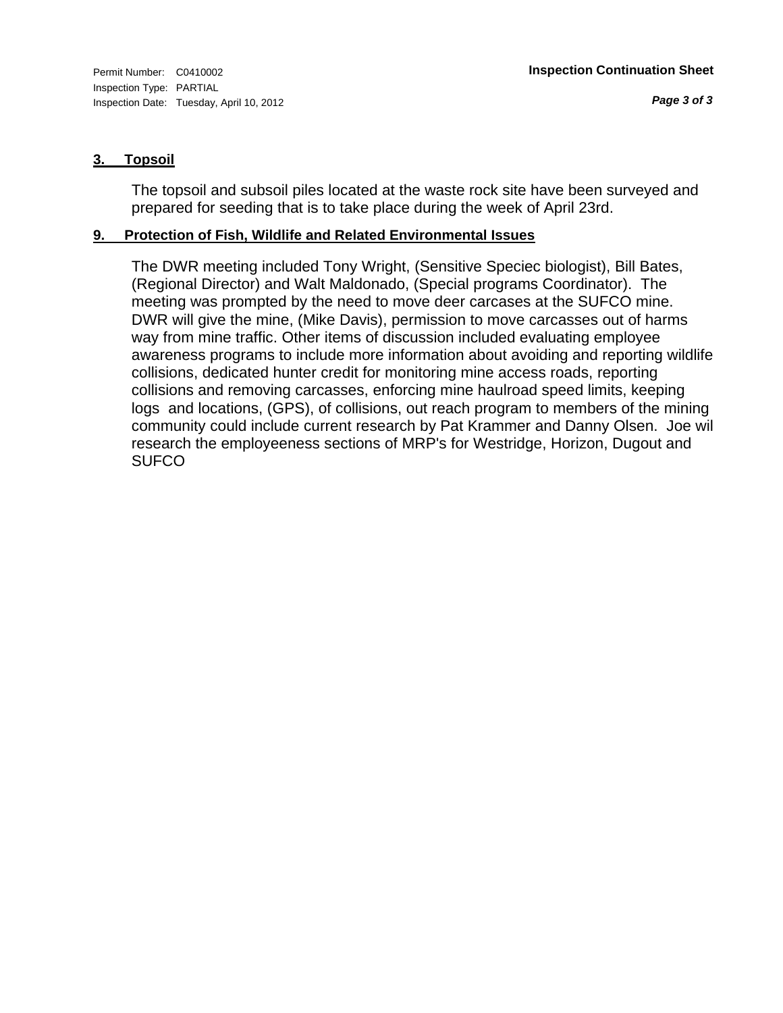## **3. Topsoil**

The topsoil and subsoil piles located at the waste rock site have been surveyed and prepared for seeding that is to take place during the week of April 23rd.

## **9. Protection of Fish, Wildlife and Related Environmental Issues**

The DWR meeting included Tony Wright, (Sensitive Speciec biologist), Bill Bates, (Regional Director) and Walt Maldonado, (Special programs Coordinator). The meeting was prompted by the need to move deer carcases at the SUFCO mine. DWR will give the mine, (Mike Davis), permission to move carcasses out of harms way from mine traffic. Other items of discussion included evaluating employee awareness programs to include more information about avoiding and reporting wildlife collisions, dedicated hunter credit for monitoring mine access roads, reporting collisions and removing carcasses, enforcing mine haulroad speed limits, keeping logs and locations, (GPS), of collisions, out reach program to members of the mining community could include current research by Pat Krammer and Danny Olsen. Joe wil research the employeeness sections of MRP's for Westridge, Horizon, Dugout and SUFCO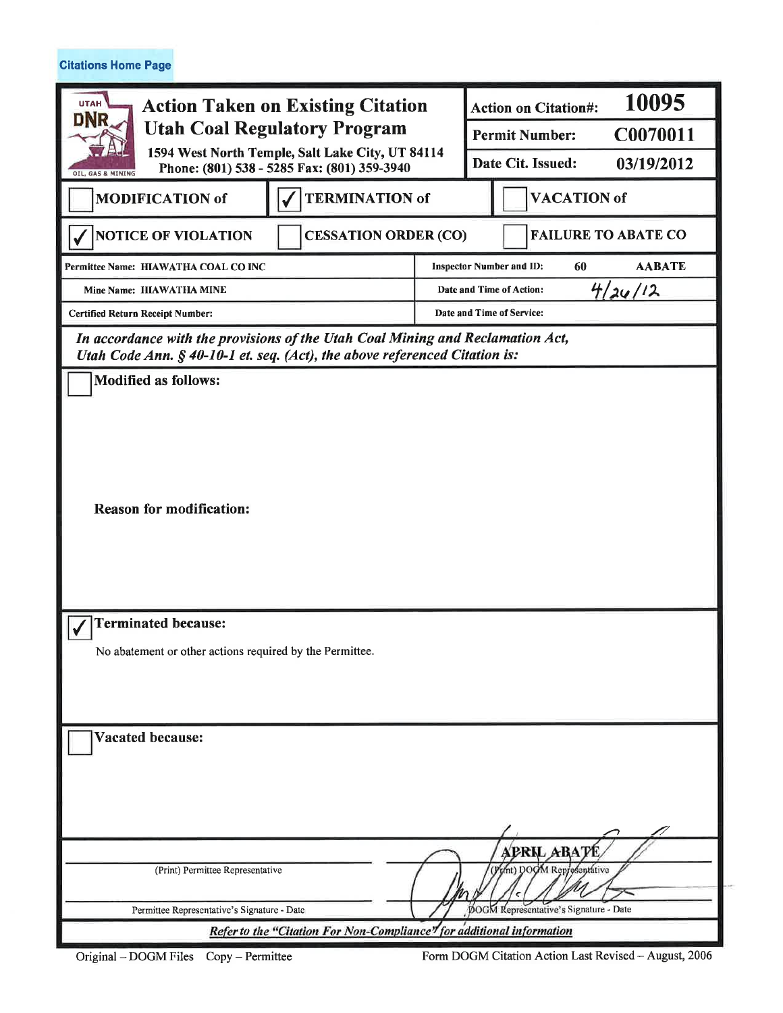**Citations Home Page** 

| <b>UTAH</b><br><b>Action Taken on Existing Citation</b><br>DNR<br><b>Utah Coal Regulatory Program</b><br>1594 West North Temple, Salt Lake City, UT 84114<br>Phone: (801) 538 - 5285 Fax: (801) 359-3940 |  | 10095<br><b>Action on Citation#:</b>                   |  |  |
|----------------------------------------------------------------------------------------------------------------------------------------------------------------------------------------------------------|--|--------------------------------------------------------|--|--|
|                                                                                                                                                                                                          |  | C0070011<br><b>Permit Number:</b>                      |  |  |
|                                                                                                                                                                                                          |  | Date Cit. Issued:<br>03/19/2012                        |  |  |
| OIL, GAS & MINING<br><b>TERMINATION of</b><br><b>MODIFICATION of</b>                                                                                                                                     |  | <b>VACATION of</b>                                     |  |  |
| <b>NOTICE OF VIOLATION</b><br><b>CESSATION ORDER (CO)</b>                                                                                                                                                |  | <b>FAILURE TO ABATE CO</b>                             |  |  |
| Permittee Name: HIAWATHA COAL CO INC                                                                                                                                                                     |  | <b>Inspector Number and ID:</b><br>60<br><b>AABATE</b> |  |  |
| Mine Name: HIAWATHA MINE                                                                                                                                                                                 |  | 4/24/12<br>Date and Time of Action:                    |  |  |
| <b>Certified Return Receipt Number:</b>                                                                                                                                                                  |  | Date and Time of Service:                              |  |  |
| In accordance with the provisions of the Utah Coal Mining and Reclamation Act,<br>Utah Code Ann. § 40-10-1 et. seq. (Act), the above referenced Citation is:                                             |  |                                                        |  |  |
| <b>Modified as follows:</b>                                                                                                                                                                              |  |                                                        |  |  |
| <b>Reason for modification:</b>                                                                                                                                                                          |  |                                                        |  |  |
| <b>Terminated because:</b>                                                                                                                                                                               |  |                                                        |  |  |
| No abatement or other actions required by the Permittee.                                                                                                                                                 |  |                                                        |  |  |
| <b>Vacated because:</b>                                                                                                                                                                                  |  | APRIL ABATE                                            |  |  |
| (Print) Permittee Representative                                                                                                                                                                         |  | tint) DOCM Reprosentative                              |  |  |
| Permittee Representative's Signature - Date                                                                                                                                                              |  | DOGM Representative's Signature - Date                 |  |  |
| Refer to the "Citation For Non-Compliance" for additional information                                                                                                                                    |  |                                                        |  |  |

Form DOGM Citation Action Last Revised - August, 2006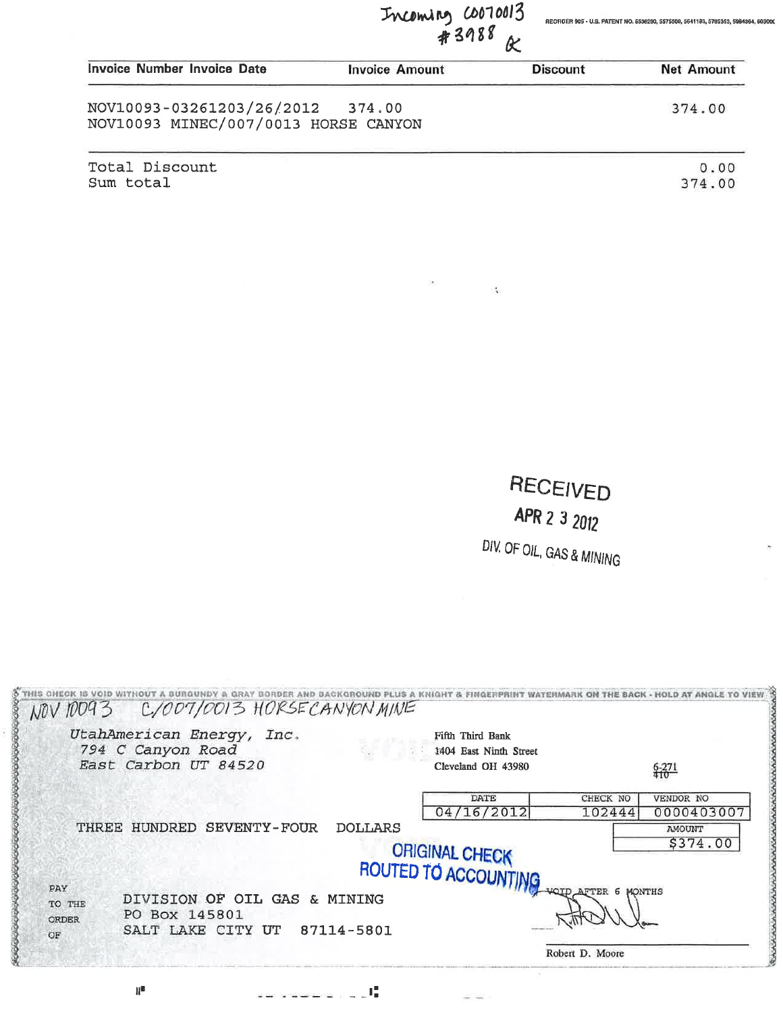REORDER 905 - U.S. PATENT NO. 5538290, 5575508, 5641183, 5785353, 5984364, 603000

Incoming CO070013

 $\tilde{\mathbf{A}}$ 

| <b>Invoice Number Invoice Date</b>                                | <b>Invoice Amount</b> | <b>Discount</b> | <b>Net Amount</b> |
|-------------------------------------------------------------------|-----------------------|-----------------|-------------------|
| NOV10093-03261203/26/2012<br>NOV10093 MINEC/007/0013 HORSE CANYON | 374.00                |                 | 374.00            |
| Total Discount                                                    |                       |                 | 0.00              |

Sum total

374.00

RECEIVED APR 2 3 2012

DIV. OF OIL, GAS & MINING

| NOV IDD93                    | C/007/0013 HORSECANYON MINE                                            |                                                                                                 |                 |                     |
|------------------------------|------------------------------------------------------------------------|-------------------------------------------------------------------------------------------------|-----------------|---------------------|
|                              | UtahAmerican Energy, Inc.<br>794 C Canyon Road<br>East Carbon UT 84520 | Fifth Third Bank<br>1404 East Ninth Street<br>$\mathbb{E}_{\mathbf{z}}$ .<br>Cleveland OH 43980 |                 | $\frac{6-271}{410}$ |
|                              |                                                                        | DATE                                                                                            | CHECK NO        | VENDOR NO           |
| THREE                        | HUNDRED SEVENTY-FOUR                                                   | 04/16/2012                                                                                      | 102444          | 0000403007          |
|                              |                                                                        | <b>ORIGINAL CHECK</b><br>ROUTED TO ACCOUNTING WORD AFTER 6 MONTHS                               |                 | \$374.00            |
| PAY<br>TO THE<br>ORDER<br>OF | DIVISION OF OIL GAS & MINING<br>PO Box 145801<br>SALT LAKE CITY UT     | 87114-5801                                                                                      |                 |                     |
|                              |                                                                        |                                                                                                 | Robert D. Moore |                     |

en engang pada

 $\mathbf{H}^{\mathbf{0}}$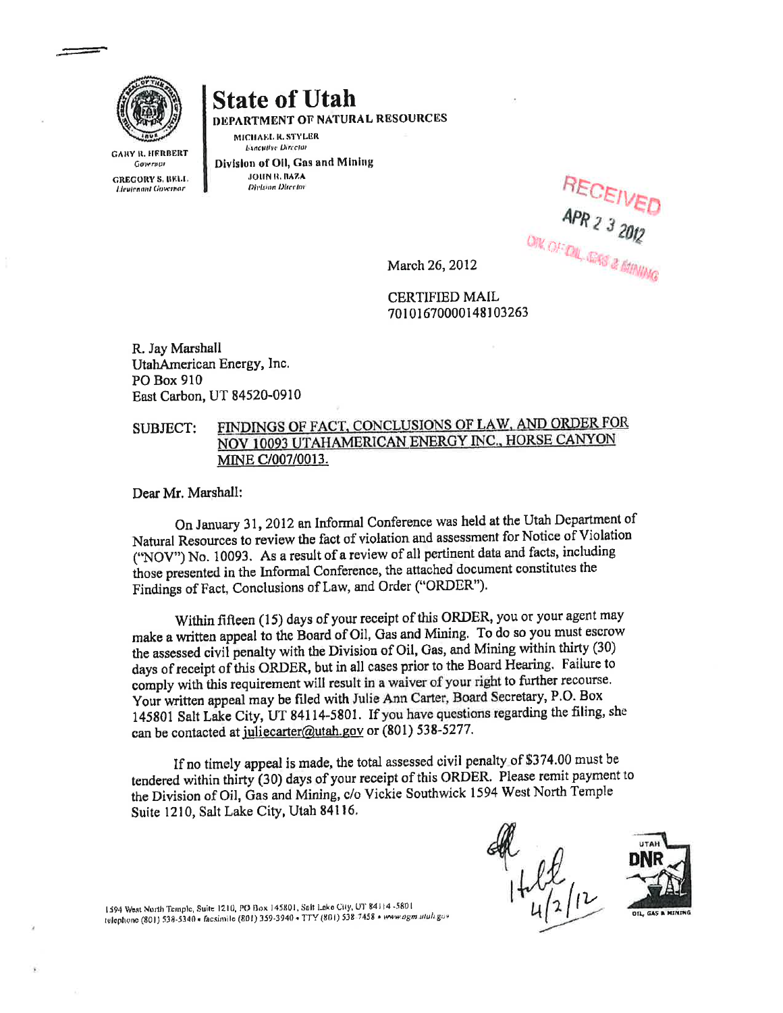

**Lieutenant Governar** 

**GARY R. HERBERT** Governor **GREGORY S. BELL** 

# **State of Utah**

DEPARTMENT OF NATURAL RESOURCES

MICHAEL R. STYLER **Executive Director** 

Division of Oil, Gas and Mining **JOUN R. BAZA Division Director** 

RECEIVED

March 26, 2012

**CERTIFIED MAIL** 70101670000148103263

R. Jay Marshall UtahAmerican Energy, Inc. PO Box 910 East Carbon, UT 84520-0910

### FINDINGS OF FACT, CONCLUSIONS OF LAW, AND ORDER FOR **SUBJECT:** NOV 10093 UTAHAMERICAN ENERGY INC., HORSE CANYON MINE C/007/0013.

Dear Mr. Marshall:

On January 31, 2012 an Informal Conference was held at the Utah Department of Natural Resources to review the fact of violation and assessment for Notice of Violation ("NOV") No. 10093. As a result of a review of all pertinent data and facts, including those presented in the Informal Conference, the attached document constitutes the Findings of Fact, Conclusions of Law, and Order ("ORDER").

Within fifteen (15) days of your receipt of this ORDER, you or your agent may make a written appeal to the Board of Oil, Gas and Mining. To do so you must escrow the assessed civil penalty with the Division of Oil, Gas, and Mining within thirty (30) days of receipt of this ORDER, but in all cases prior to the Board Hearing. Failure to comply with this requirement will result in a waiver of your right to further recourse. Your written appeal may be filed with Julie Ann Carter, Board Secretary, P.O. Box 145801 Salt Lake City, UT 84114-5801. If you have questions regarding the filing, she can be contacted at juliecarter@utah.gov or (801) 538-5277.

If no timely appeal is made, the total assessed civil penalty of \$374.00 must be tendered within thirty (30) days of your receipt of this ORDER. Please remit payment to the Division of Oil, Gas and Mining, c/o Vickie Southwick 1594 West North Temple Suite 1210, Salt Lake City, Utah 84116.





1594 West North Temple, Suite 1210, PO Box 145801, Salt Lake City, UT 84114-5801 telephone (801) 538-5340 = facsinite (801) 359-3940 = TTY (801) 538-7458 = www.ogm.utoli.gov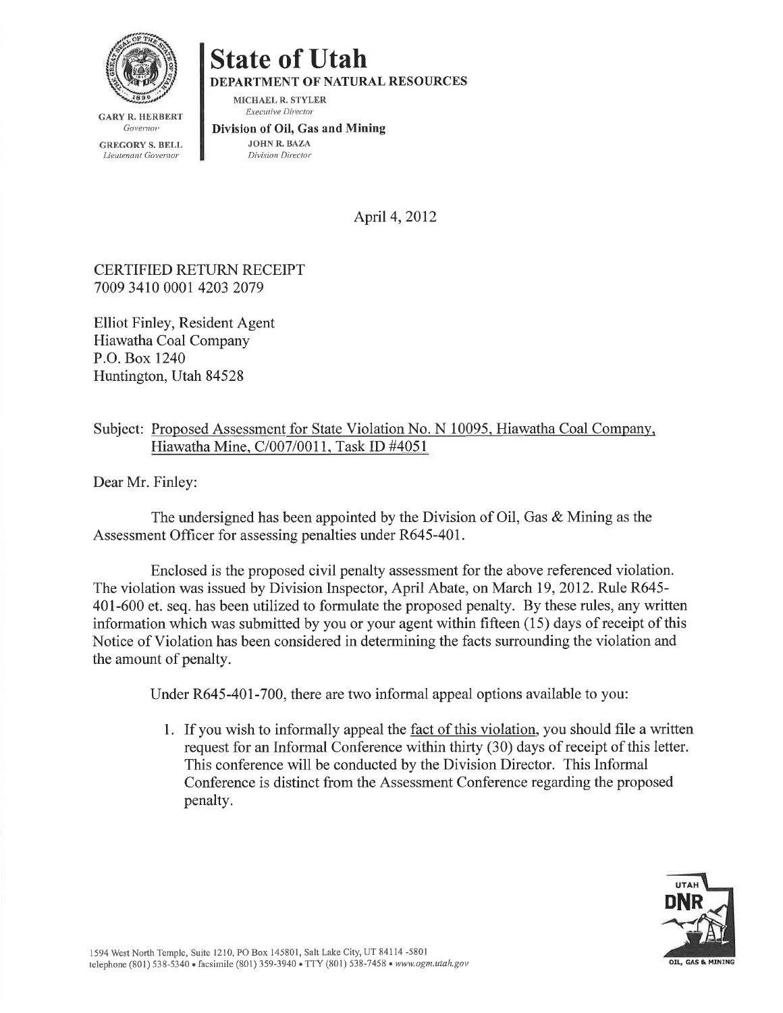

**State of Utah** 

DEPARTMENT OF NATURAL RESOURCES

MICHAEL R. STYLER **Executive Director** 

**GARY R. HERBERT** Governor

**GREGORY S. BELL** Lieutenant Governor

Division of Oil, Gas and Mining

**JOHN R. BAZA** Division Director

April 4, 2012

**CERTIFIED RETURN RECEIPT** 7009 3410 0001 4203 2079

**Elliot Finley, Resident Agent** Hiawatha Coal Company P.O. Box 1240 Huntington, Utah 84528

## Subject: Proposed Assessment for State Violation No. N 10095, Hiawatha Coal Company, Hiawatha Mine, C/007/0011, Task ID #4051

Dear Mr. Finley:

The undersigned has been appointed by the Division of Oil, Gas  $\&$  Mining as the Assessment Officer for assessing penalties under R645-401.

Enclosed is the proposed civil penalty assessment for the above referenced violation. The violation was issued by Division Inspector, April Abate, on March 19, 2012. Rule R645-401-600 et. seq. has been utilized to formulate the proposed penalty. By these rules, any written information which was submitted by you or your agent within fifteen (15) days of receipt of this Notice of Violation has been considered in determining the facts surrounding the violation and the amount of penalty.

Under R645-401-700, there are two informal appeal options available to you:

1. If you wish to informally appeal the fact of this violation, you should file a written request for an Informal Conference within thirty (30) days of receipt of this letter. This conference will be conducted by the Division Director. This Informal Conference is distinct from the Assessment Conference regarding the proposed penalty.

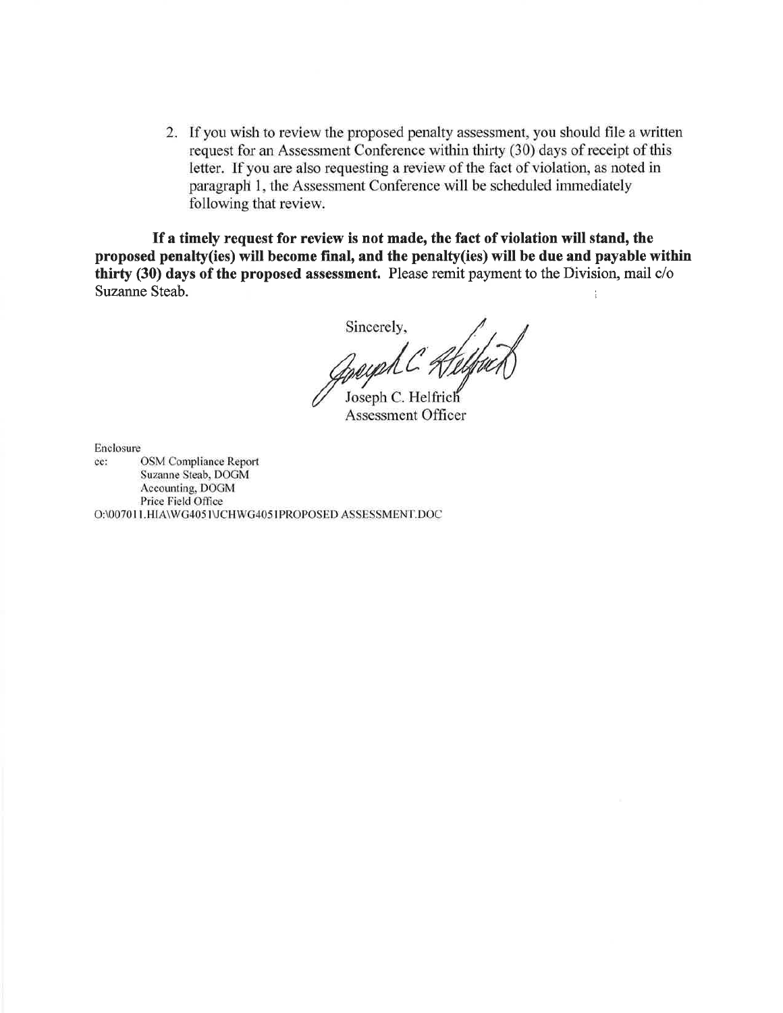2. If you wish to review the proposed penalty assessment, you should file a written request for an Assessment Conference within thirty (30) days of receipt of this letter. If you are also requesting a review of the fact of violation, as noted in paragraph 1, the Assessment Conference will be scheduled immediately following that review.

If a timely request for review is not made, the fact of violation will stand, the proposed penalty(ies) will become final, and the penalty(ies) will be due and payable within thirty (30) days of the proposed assessment. Please remit payment to the Division, mail c/o Suzanne Steab.  $\frac{1}{3}$ 

Sincerely,

Joseph C. Helfrich **Assessment Officer** 

Enclosure OSM Compliance Report cc: Suzanne Steab, DOGM Accounting, DOGM Price Field Office O:\007011.HIA\WG4051\JCHWG4051PROPOSED ASSESSMENT.DOC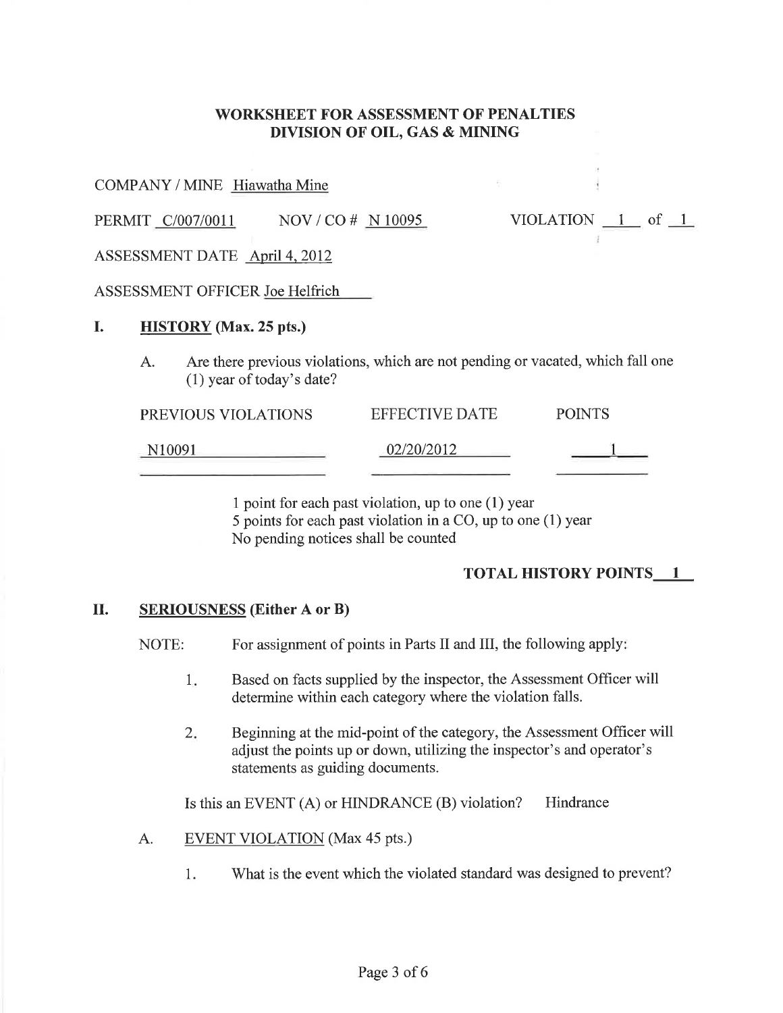## **WORKSHEET FOR ASSESSMENT OF PENALTIES** DIVISION OF OIL, GAS & MINING

COMPANY / MINE Hiawatha Mine

NOV / CO # N 10095 PERMIT C/007/0011

VIOLATION  $1$  of  $1$ 

 $\mathbf{e}_1$  . The contract of the contract of

ASSESSMENT DATE April 4, 2012

ASSESSMENT OFFICER Joe Helfrich

### L **HISTORY** (Max. 25 pts.)

Are there previous violations, which are not pending or vacated, which fall one  $\mathsf{A}$ . (1) year of today's date?

| PREVIOUS VIOLATIONS | EFFECTIVE DATE | <b>POINTS</b> |
|---------------------|----------------|---------------|
| N10091              | $-02/20/2012$  |               |

1 point for each past violation, up to one (1) year 5 points for each past violation in a CO, up to one (1) year No pending notices shall be counted

## **TOTAL HISTORY POINTS 1**

### II. **SERIOUSNESS** (Either A or B)

For assignment of points in Parts II and III, the following apply! NOTE:

- Based on facts supplied by the inspector, the Assessment Officer will 1. determine within each category where the violation falls.
- Beginning at the mid-point of the category, the Assessment Officer will  $2.$ adjust the points up or down, utilizing the inspector's and operator's statements as guiding documents.

Is this an EVENT (A) or HINDRANCE (B) violation? Hindrance

- **EVENT VIOLATION** (Max 45 pts.) A.
	- $1.$ What is the event which the violated standard was designed to prevent?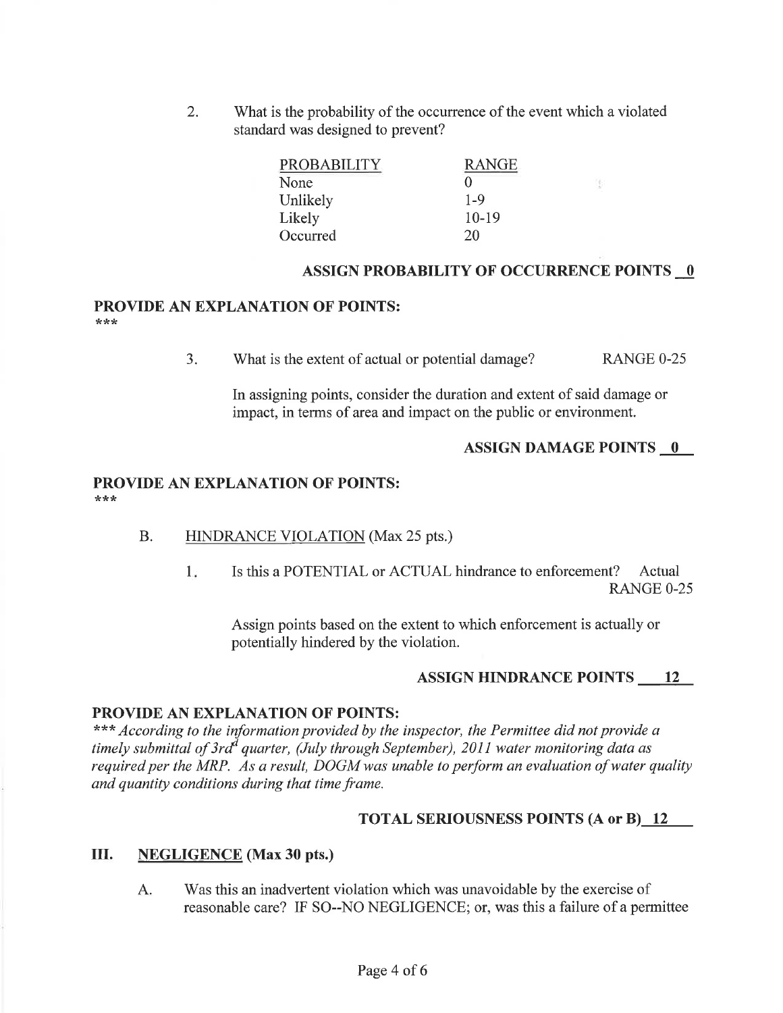2. What is the probability of the occurrence of the event which a violated standard was designed to prevent?

| <b>PROBABILITY</b> | RANGE.  |
|--------------------|---------|
| None               | 0       |
| Unlikely           | $1 - 9$ |
| Likely             | $10-19$ |
| Occurred           | 20      |

## **ASSIGN PROBABILITY OF OCCURRENCE POINTS 0**

## PROVIDE AN EXPLANATION OF POINTS: \*\*\*

What is the extent of actual or potential damage?  $3<sub>1</sub>$ RANGE 0-25

In assigning points, consider the duration and extent of said damage or impact, in terms of area and impact on the public or environment.

## **ASSIGN DAMAGE POINTS 0**

图

## **PROVIDE AN EXPLANATION OF POINTS:** \*\*\*

- **B.** HINDRANCE VIOLATION (Max 25 pts.)
	- Is this a POTENTIAL or ACTUAL hindrance to enforcement?  $1:$ Actual **RANGE 0-25**

Assign points based on the extent to which enforcement is actually or potentially hindered by the violation.

## **ASSIGN HINDRANCE POINTS 12**

## PROVIDE AN EXPLANATION OF POINTS:

\*\*\* According to the information provided by the inspector, the Permittee did not provide a timely submittal of  $3rd^d$  quarter, (July through September), 2011 water monitoring data as required per the MRP. As a result, DOGM was unable to perform an evaluation of water quality and quantity conditions during that time frame.

## **TOTAL SERIOUSNESS POINTS (A or B) 12**

#### Ш. **NEGLIGENCE** (Max 30 pts.)

Was this an inadvertent violation which was unavoidable by the exercise of A. reasonable care? IF SO--NO NEGLIGENCE; or, was this a failure of a permittee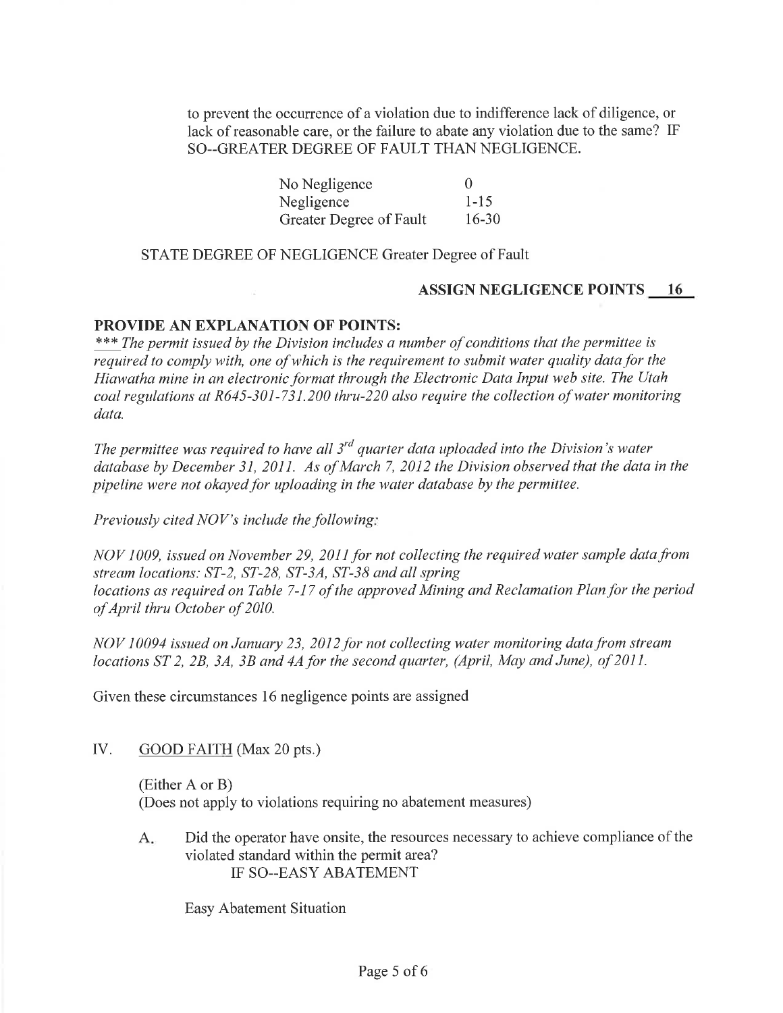to prevent the occurrence of a violation due to indifference lack of diligence, or lack of reasonable care, or the failure to abate any violation due to the same? IF SO--GREATER DEGREE OF FAULT THAN NEGLIGENCE.

| No Negligence           | $\theta$  |
|-------------------------|-----------|
| Negligence              | $1 - 15$  |
| Greater Degree of Fault | $16 - 30$ |

## STATE DEGREE OF NEGLIGENCE Greater Degree of Fault

## **ASSIGN NEGLIGENCE POINTS 16**

## PROVIDE AN EXPLANATION OF POINTS:

\*\*\* The permit issued by the Division includes a number of conditions that the permittee is required to comply with, one of which is the requirement to submit water quality data for the Hiawatha mine in an electronic format through the Electronic Data Input web site. The Utah coal regulations at R645-301-731.200 thru-220 also require the collection of water monitoring data.

The permittee was required to have all  $3^{rd}$  quarter data uploaded into the Division's water database by December 31, 2011. As of March 7, 2012 the Division observed that the data in the pipeline were not okayed for uploading in the water database by the permittee.

Previously cited NOV's include the following:

NOV 1009, issued on November 29, 2011 for not collecting the required water sample data from stream locations: ST-2, ST-28, ST-3A, ST-38 and all spring locations as required on Table 7-17 of the approved Mining and Reclamation Plan for the period of April thru October of 2010.

NOV 10094 issued on January 23, 2012 for not collecting water monitoring data from stream locations ST 2, 2B, 3A, 3B and 4A for the second quarter, (April, May and June), of 2011.

Given these circumstances 16 negligence points are assigned

IV. **GOOD FAITH** (Max 20 pts.)

> $(Either A or B)$ (Does not apply to violations requiring no abatement measures)

Did the operator have onsite, the resources necessary to achieve compliance of the  $A_{\cdot}$ violated standard within the permit area? IF SO--EASY ABATEMENT

**Easy Abatement Situation**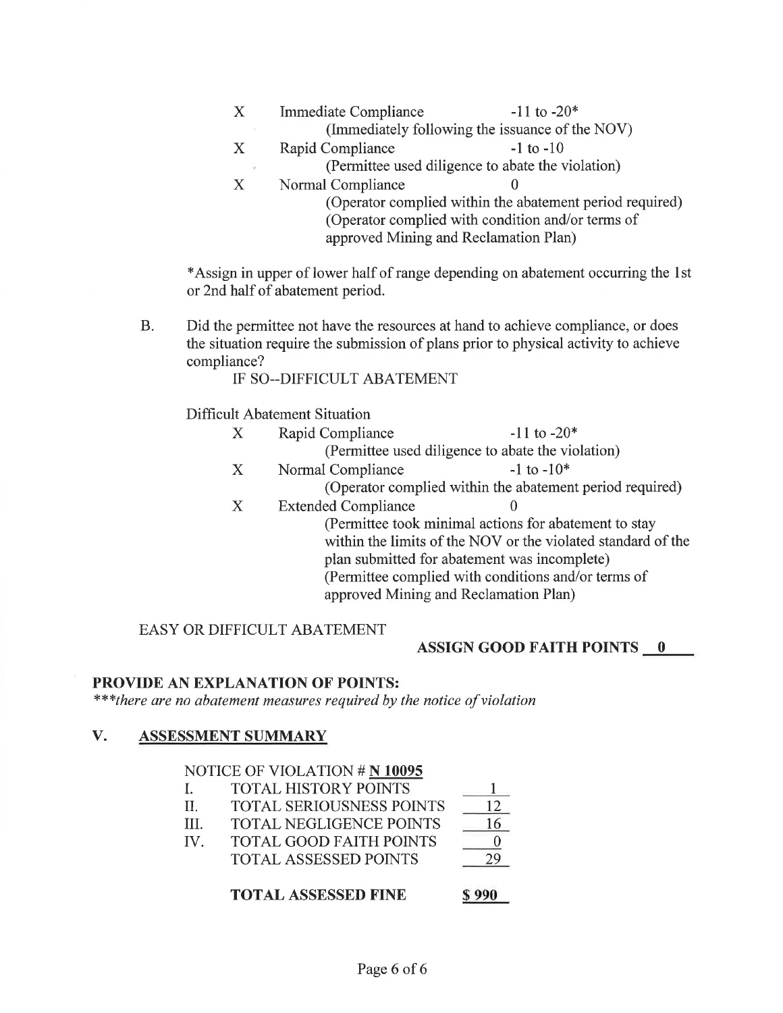| Immediate Compliance                              | $-11$ to $-20*$                                          |  |
|---------------------------------------------------|----------------------------------------------------------|--|
|                                                   | (Immediately following the issuance of the NOV)          |  |
| Rapid Compliance                                  | $-1$ to $-10$                                            |  |
| (Permittee used diligence to abate the violation) |                                                          |  |
| Normal Compliance                                 |                                                          |  |
|                                                   | (Operator complied within the abatement period required) |  |
| (Operator complied with condition and/or terms of |                                                          |  |
|                                                   | approved Mining and Reclamation Plan)                    |  |
|                                                   |                                                          |  |

\*Assign in upper of lower half of range depending on abatement occurring the 1st or 2nd half of abatement period.

 $B.$ Did the permittee not have the resources at hand to achieve compliance, or does the situation require the submission of plans prior to physical activity to achieve compliance?

**IF SO--DIFFICULT ABATEMENT** 

**Difficult Abatement Situation** 

Rapid Compliance  $-11$  to  $-20*$  $\mathbf{X}$ 

(Permittee used diligence to abate the violation)

- Normal Compliance  $-1$  to  $-10*$ X (Operator complied within the abatement period required)
- X **Extended Compliance**  $\Omega$ (Permittee took minimal actions for abatement to stay within the limits of the NOV or the violated standard of the plan submitted for abatement was incomplete) (Permittee complied with conditions and/or terms of approved Mining and Reclamation Plan)

## **EASY OR DIFFICULT ABATEMENT**

## **ASSIGN GOOD FAITH POINTS \_0**

## PROVIDE AN EXPLANATION OF POINTS:

\*\*\*there are no abatement measures required by the notice of violation

#### V. **ASSESSMENT SUMMARY**

## NOTICE OF VIOLATION  $#N$  10095

| 16 |
|----|
|    |
|    |

| <b>TOTAL ASSESSED POINTS</b> |  |
|------------------------------|--|
|------------------------------|--|

### **TOTAL ASSESSED FINE** \$990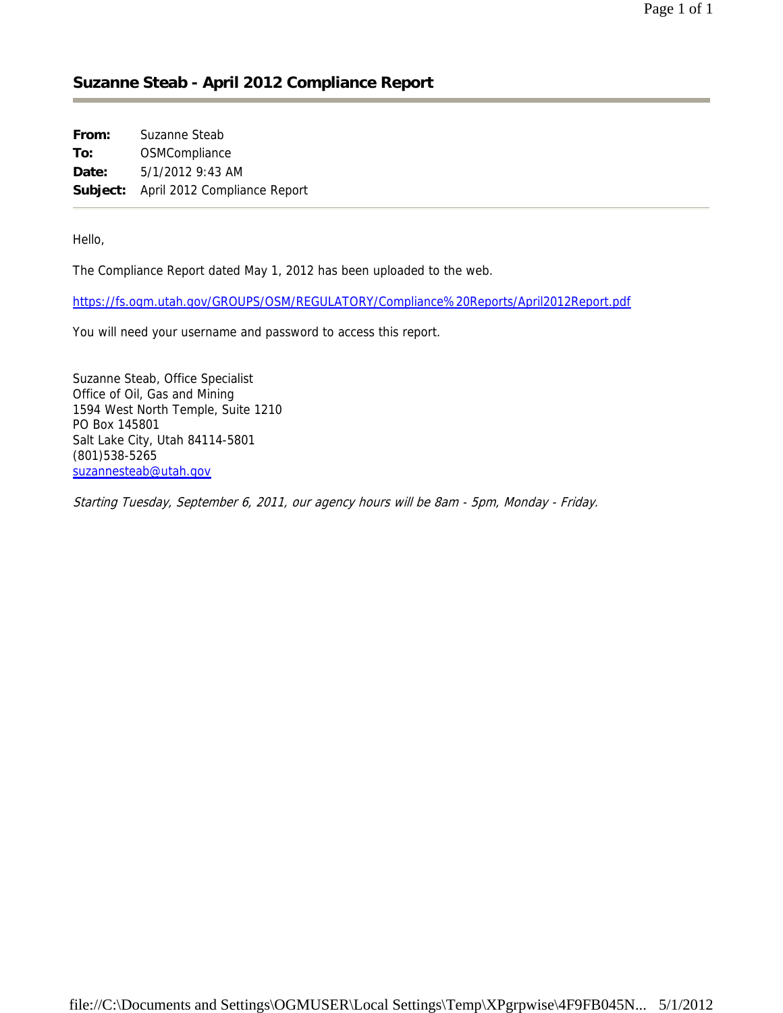## **Suzanne Steab - April 2012 Compliance Report**

| From:    | Suzanne Steab                |
|----------|------------------------------|
| To:      | OSMCompliance                |
| Date:    | 5/1/2012 9:43 AM             |
| Subject: | April 2012 Compliance Report |

Hello,

The Compliance Report dated May 1, 2012 has been uploaded to the web.

https://fs.ogm.utah.gov/GROUPS/OSM/REGULATORY/Compliance%20Reports/April2012Report.pdf

You will need your username and password to access this report.

Suzanne Steab, Office Specialist Office of Oil, Gas and Mining 1594 West North Temple, Suite 1210 PO Box 145801 Salt Lake City, Utah 84114-5801 (801)538-5265 suzannesteab@utah.gov

Starting Tuesday, September 6, 2011, our agency hours will be 8am - 5pm, Monday - Friday.